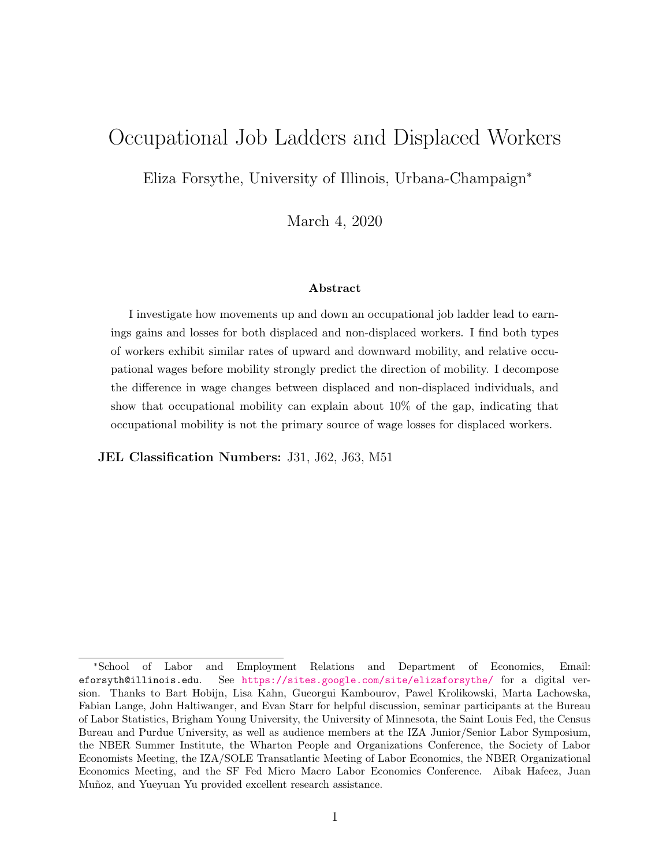## Occupational Job Ladders and Displaced Workers

Eliza Forsythe, University of Illinois, Urbana-Champaign<sup>∗</sup>

March 4, 2020

#### Abstract

I investigate how movements up and down an occupational job ladder lead to earnings gains and losses for both displaced and non-displaced workers. I find both types of workers exhibit similar rates of upward and downward mobility, and relative occupational wages before mobility strongly predict the direction of mobility. I decompose the difference in wage changes between displaced and non-displaced individuals, and show that occupational mobility can explain about 10% of the gap, indicating that occupational mobility is not the primary source of wage losses for displaced workers.

JEL Classification Numbers: J31, J62, J63, M51

<sup>∗</sup>School of Labor and Employment Relations and Department of Economics, Email: eforsyth@illinois.edu. See <https://sites.google.com/site/elizaforsythe/> for a digital version. Thanks to Bart Hobijn, Lisa Kahn, Gueorgui Kambourov, Pawel Krolikowski, Marta Lachowska, Fabian Lange, John Haltiwanger, and Evan Starr for helpful discussion, seminar participants at the Bureau of Labor Statistics, Brigham Young University, the University of Minnesota, the Saint Louis Fed, the Census Bureau and Purdue University, as well as audience members at the IZA Junior/Senior Labor Symposium, the NBER Summer Institute, the Wharton People and Organizations Conference, the Society of Labor Economists Meeting, the IZA/SOLE Transatlantic Meeting of Labor Economics, the NBER Organizational Economics Meeting, and the SF Fed Micro Macro Labor Economics Conference. Aibak Hafeez, Juan Muñoz, and Yueyuan Yu provided excellent research assistance.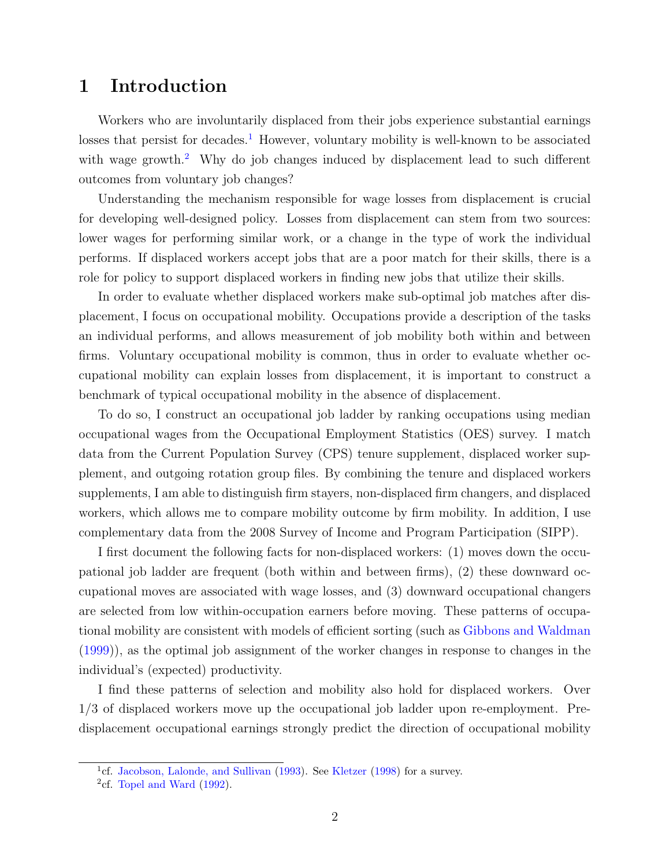### 1 Introduction

Workers who are involuntarily displaced from their jobs experience substantial earnings losses that persist for decades.<sup>[1](#page-1-0)</sup> However, voluntary mobility is well-known to be associated with wage growth.<sup>[2](#page-1-1)</sup> Why do job changes induced by displacement lead to such different outcomes from voluntary job changes?

Understanding the mechanism responsible for wage losses from displacement is crucial for developing well-designed policy. Losses from displacement can stem from two sources: lower wages for performing similar work, or a change in the type of work the individual performs. If displaced workers accept jobs that are a poor match for their skills, there is a role for policy to support displaced workers in finding new jobs that utilize their skills.

In order to evaluate whether displaced workers make sub-optimal job matches after displacement, I focus on occupational mobility. Occupations provide a description of the tasks an individual performs, and allows measurement of job mobility both within and between firms. Voluntary occupational mobility is common, thus in order to evaluate whether occupational mobility can explain losses from displacement, it is important to construct a benchmark of typical occupational mobility in the absence of displacement.

To do so, I construct an occupational job ladder by ranking occupations using median occupational wages from the Occupational Employment Statistics (OES) survey. I match data from the Current Population Survey (CPS) tenure supplement, displaced worker supplement, and outgoing rotation group files. By combining the tenure and displaced workers supplements, I am able to distinguish firm stayers, non-displaced firm changers, and displaced workers, which allows me to compare mobility outcome by firm mobility. In addition, I use complementary data from the 2008 Survey of Income and Program Participation (SIPP).

I first document the following facts for non-displaced workers: (1) moves down the occupational job ladder are frequent (both within and between firms), (2) these downward occupational moves are associated with wage losses, and (3) downward occupational changers are selected from low within-occupation earners before moving. These patterns of occupational mobility are consistent with models of efficient sorting (such as [Gibbons and Waldman](#page-28-0) [\(1999\)](#page-28-0)), as the optimal job assignment of the worker changes in response to changes in the individual's (expected) productivity.

I find these patterns of selection and mobility also hold for displaced workers. Over 1/3 of displaced workers move up the occupational job ladder upon re-employment. Predisplacement occupational earnings strongly predict the direction of occupational mobility

<span id="page-1-0"></span><sup>&</sup>lt;sup>1</sup>cf. [Jacobson, Lalonde, and Sullivan](#page-28-1) [\(1993\)](#page-28-1). See [Kletzer](#page-28-2) [\(1998\)](#page-28-2) for a survey.

<span id="page-1-1"></span> $^{2}$ cf. [Topel and Ward](#page-29-0) [\(1992\)](#page-29-0).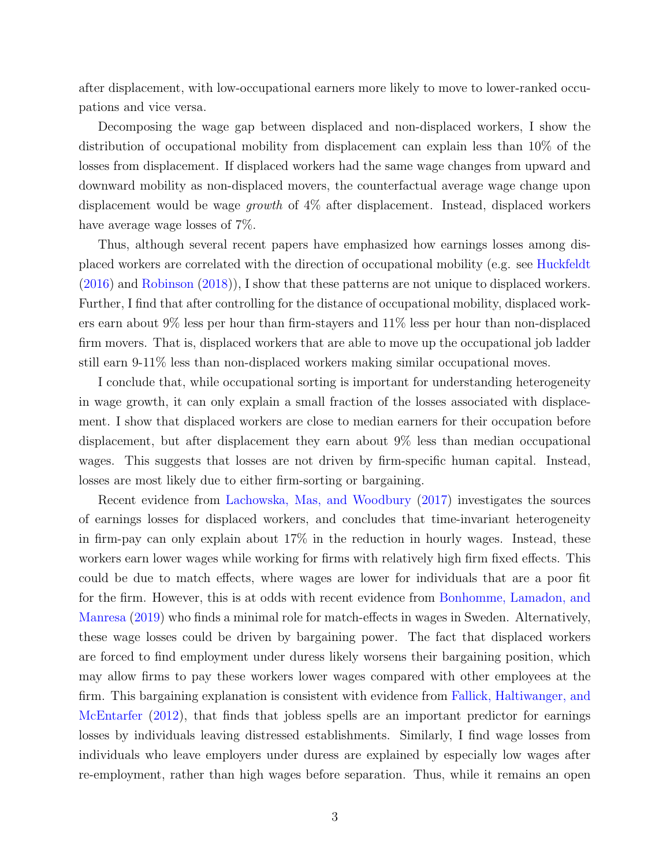after displacement, with low-occupational earners more likely to move to lower-ranked occupations and vice versa.

Decomposing the wage gap between displaced and non-displaced workers, I show the distribution of occupational mobility from displacement can explain less than 10% of the losses from displacement. If displaced workers had the same wage changes from upward and downward mobility as non-displaced movers, the counterfactual average wage change upon displacement would be wage growth of 4% after displacement. Instead, displaced workers have average wage losses of 7%.

Thus, although several recent papers have emphasized how earnings losses among displaced workers are correlated with the direction of occupational mobility (e.g. see [Huckfeldt](#page-28-3) [\(2016\)](#page-28-3) and [Robinson](#page-29-1) [\(2018\)](#page-29-1)), I show that these patterns are not unique to displaced workers. Further, I find that after controlling for the distance of occupational mobility, displaced workers earn about 9% less per hour than firm-stayers and 11% less per hour than non-displaced firm movers. That is, displaced workers that are able to move up the occupational job ladder still earn 9-11% less than non-displaced workers making similar occupational moves.

I conclude that, while occupational sorting is important for understanding heterogeneity in wage growth, it can only explain a small fraction of the losses associated with displacement. I show that displaced workers are close to median earners for their occupation before displacement, but after displacement they earn about 9% less than median occupational wages. This suggests that losses are not driven by firm-specific human capital. Instead, losses are most likely due to either firm-sorting or bargaining.

Recent evidence from [Lachowska, Mas, and Woodbury](#page-29-2) [\(2017\)](#page-29-2) investigates the sources of earnings losses for displaced workers, and concludes that time-invariant heterogeneity in firm-pay can only explain about 17% in the reduction in hourly wages. Instead, these workers earn lower wages while working for firms with relatively high firm fixed effects. This could be due to match effects, where wages are lower for individuals that are a poor fit for the firm. However, this is at odds with recent evidence from [Bonhomme, Lamadon, and](#page-28-4) [Manresa](#page-28-4) [\(2019\)](#page-28-4) who finds a minimal role for match-effects in wages in Sweden. Alternatively, these wage losses could be driven by bargaining power. The fact that displaced workers are forced to find employment under duress likely worsens their bargaining position, which may allow firms to pay these workers lower wages compared with other employees at the firm. This bargaining explanation is consistent with evidence from [Fallick, Haltiwanger, and](#page-28-5) [McEntarfer](#page-28-5) [\(2012\)](#page-28-5), that finds that jobless spells are an important predictor for earnings losses by individuals leaving distressed establishments. Similarly, I find wage losses from individuals who leave employers under duress are explained by especially low wages after re-employment, rather than high wages before separation. Thus, while it remains an open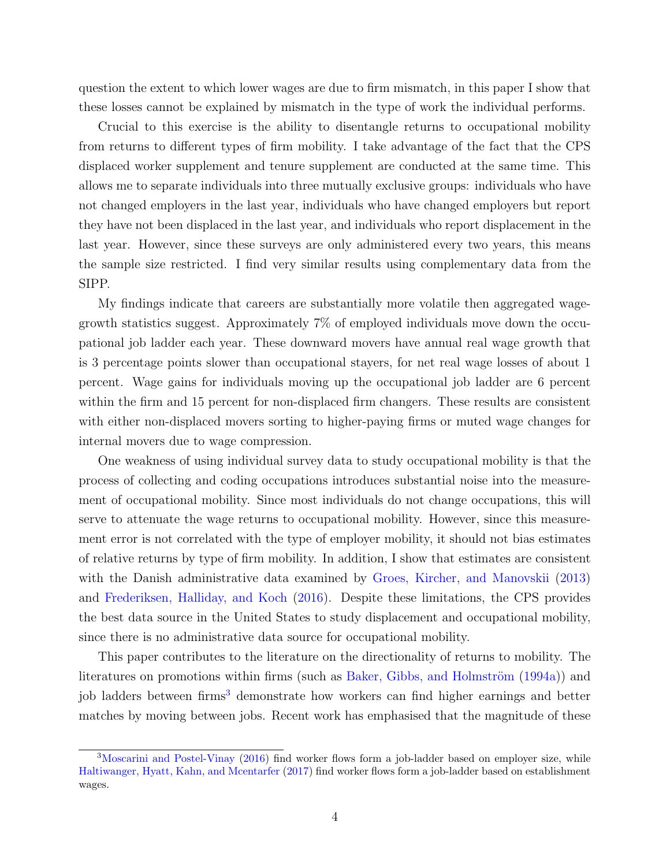question the extent to which lower wages are due to firm mismatch, in this paper I show that these losses cannot be explained by mismatch in the type of work the individual performs.

Crucial to this exercise is the ability to disentangle returns to occupational mobility from returns to different types of firm mobility. I take advantage of the fact that the CPS displaced worker supplement and tenure supplement are conducted at the same time. This allows me to separate individuals into three mutually exclusive groups: individuals who have not changed employers in the last year, individuals who have changed employers but report they have not been displaced in the last year, and individuals who report displacement in the last year. However, since these surveys are only administered every two years, this means the sample size restricted. I find very similar results using complementary data from the SIPP.

My findings indicate that careers are substantially more volatile then aggregated wagegrowth statistics suggest. Approximately 7% of employed individuals move down the occupational job ladder each year. These downward movers have annual real wage growth that is 3 percentage points slower than occupational stayers, for net real wage losses of about 1 percent. Wage gains for individuals moving up the occupational job ladder are 6 percent within the firm and 15 percent for non-displaced firm changers. These results are consistent with either non-displaced movers sorting to higher-paying firms or muted wage changes for internal movers due to wage compression.

One weakness of using individual survey data to study occupational mobility is that the process of collecting and coding occupations introduces substantial noise into the measurement of occupational mobility. Since most individuals do not change occupations, this will serve to attenuate the wage returns to occupational mobility. However, since this measurement error is not correlated with the type of employer mobility, it should not bias estimates of relative returns by type of firm mobility. In addition, I show that estimates are consistent with the Danish administrative data examined by [Groes, Kircher, and Manovskii](#page-28-6) [\(2013\)](#page-28-6) and [Frederiksen, Halliday, and Koch](#page-28-7) [\(2016\)](#page-28-7). Despite these limitations, the CPS provides the best data source in the United States to study displacement and occupational mobility, since there is no administrative data source for occupational mobility.

This paper contributes to the literature on the directionality of returns to mobility. The literatures on promotions within firms (such as Baker, Gibbs, and Holmström [\(1994a\)](#page-27-0)) and job ladders between firms<sup>[3](#page-3-0)</sup> demonstrate how workers can find higher earnings and better matches by moving between jobs. Recent work has emphasised that the magnitude of these

<span id="page-3-0"></span><sup>&</sup>lt;sup>3</sup>[Moscarini and Postel-Vinay](#page-29-3) [\(2016\)](#page-29-3) find worker flows form a job-ladder based on employer size, while [Haltiwanger, Hyatt, Kahn, and Mcentarfer](#page-28-8) [\(2017\)](#page-28-8) find worker flows form a job-ladder based on establishment wages.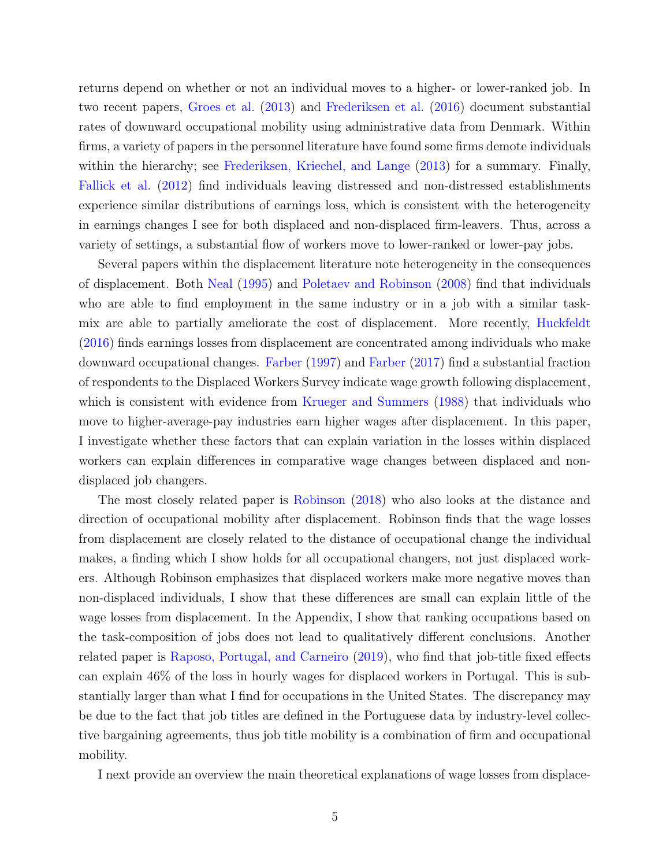returns depend on whether or not an individual moves to a higher- or lower-ranked job. In two recent papers, [Groes et al.](#page-28-6) [\(2013\)](#page-28-6) and [Frederiksen et al.](#page-28-7) [\(2016\)](#page-28-7) document substantial rates of downward occupational mobility using administrative data from Denmark. Within firms, a variety of papers in the personnel literature have found some firms demote individuals within the hierarchy; see [Frederiksen, Kriechel, and Lange](#page-28-9) [\(2013\)](#page-28-9) for a summary. Finally, [Fallick et al.](#page-28-5) [\(2012\)](#page-28-5) find individuals leaving distressed and non-distressed establishments experience similar distributions of earnings loss, which is consistent with the heterogeneity in earnings changes I see for both displaced and non-displaced firm-leavers. Thus, across a variety of settings, a substantial flow of workers move to lower-ranked or lower-pay jobs.

Several papers within the displacement literature note heterogeneity in the consequences of displacement. Both [Neal](#page-29-4) [\(1995\)](#page-29-4) and [Poletaev and Robinson](#page-29-5) [\(2008\)](#page-29-5) find that individuals who are able to find employment in the same industry or in a job with a similar task-mix are able to partially ameliorate the cost of displacement. More recently, [Huckfeldt](#page-28-3) [\(2016\)](#page-28-3) finds earnings losses from displacement are concentrated among individuals who make downward occupational changes. [Farber](#page-28-10) [\(1997\)](#page-28-10) and [Farber](#page-28-11) [\(2017\)](#page-28-11) find a substantial fraction of respondents to the Displaced Workers Survey indicate wage growth following displacement, which is consistent with evidence from [Krueger and Summers](#page-29-6) [\(1988\)](#page-29-6) that individuals who move to higher-average-pay industries earn higher wages after displacement. In this paper, I investigate whether these factors that can explain variation in the losses within displaced workers can explain differences in comparative wage changes between displaced and nondisplaced job changers.

The most closely related paper is [Robinson](#page-29-1) [\(2018\)](#page-29-1) who also looks at the distance and direction of occupational mobility after displacement. Robinson finds that the wage losses from displacement are closely related to the distance of occupational change the individual makes, a finding which I show holds for all occupational changers, not just displaced workers. Although Robinson emphasizes that displaced workers make more negative moves than non-displaced individuals, I show that these differences are small can explain little of the wage losses from displacement. In the Appendix, I show that ranking occupations based on the task-composition of jobs does not lead to qualitatively different conclusions. Another related paper is [Raposo, Portugal, and Carneiro](#page-29-7) [\(2019\)](#page-29-7), who find that job-title fixed effects can explain 46% of the loss in hourly wages for displaced workers in Portugal. This is substantially larger than what I find for occupations in the United States. The discrepancy may be due to the fact that job titles are defined in the Portuguese data by industry-level collective bargaining agreements, thus job title mobility is a combination of firm and occupational mobility.

I next provide an overview the main theoretical explanations of wage losses from displace-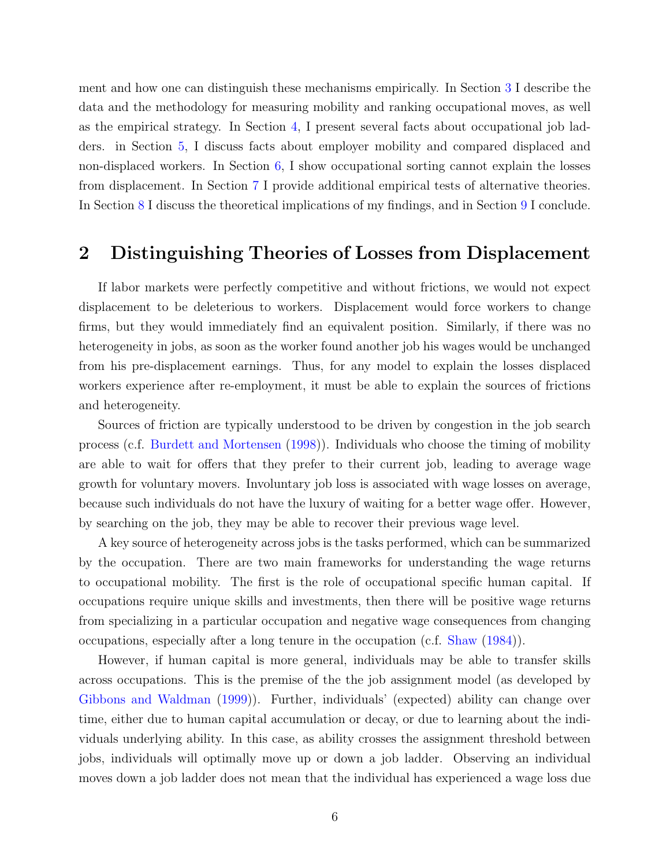ment and how one can distinguish these mechanisms empirically. In Section [3](#page-7-0) I describe the data and the methodology for measuring mobility and ranking occupational moves, as well as the empirical strategy. In Section [4,](#page-12-0) I present several facts about occupational job ladders. in Section [5,](#page-19-0) I discuss facts about employer mobility and compared displaced and non-displaced workers. In Section [6,](#page-21-0) I show occupational sorting cannot explain the losses from displacement. In Section [7](#page-24-0) I provide additional empirical tests of alternative theories. In Section [8](#page-26-0) I discuss the theoretical implications of my findings, and in Section [9](#page-27-1) I conclude.

### <span id="page-5-0"></span>2 Distinguishing Theories of Losses from Displacement

If labor markets were perfectly competitive and without frictions, we would not expect displacement to be deleterious to workers. Displacement would force workers to change firms, but they would immediately find an equivalent position. Similarly, if there was no heterogeneity in jobs, as soon as the worker found another job his wages would be unchanged from his pre-displacement earnings. Thus, for any model to explain the losses displaced workers experience after re-employment, it must be able to explain the sources of frictions and heterogeneity.

Sources of friction are typically understood to be driven by congestion in the job search process (c.f. [Burdett and Mortensen](#page-28-12) [\(1998\)](#page-28-12)). Individuals who choose the timing of mobility are able to wait for offers that they prefer to their current job, leading to average wage growth for voluntary movers. Involuntary job loss is associated with wage losses on average, because such individuals do not have the luxury of waiting for a better wage offer. However, by searching on the job, they may be able to recover their previous wage level.

A key source of heterogeneity across jobs is the tasks performed, which can be summarized by the occupation. There are two main frameworks for understanding the wage returns to occupational mobility. The first is the role of occupational specific human capital. If occupations require unique skills and investments, then there will be positive wage returns from specializing in a particular occupation and negative wage consequences from changing occupations, especially after a long tenure in the occupation (c.f. [Shaw](#page-29-8) [\(1984\)](#page-29-8)).

However, if human capital is more general, individuals may be able to transfer skills across occupations. This is the premise of the the job assignment model (as developed by [Gibbons and Waldman](#page-28-0) [\(1999\)](#page-28-0)). Further, individuals' (expected) ability can change over time, either due to human capital accumulation or decay, or due to learning about the individuals underlying ability. In this case, as ability crosses the assignment threshold between jobs, individuals will optimally move up or down a job ladder. Observing an individual moves down a job ladder does not mean that the individual has experienced a wage loss due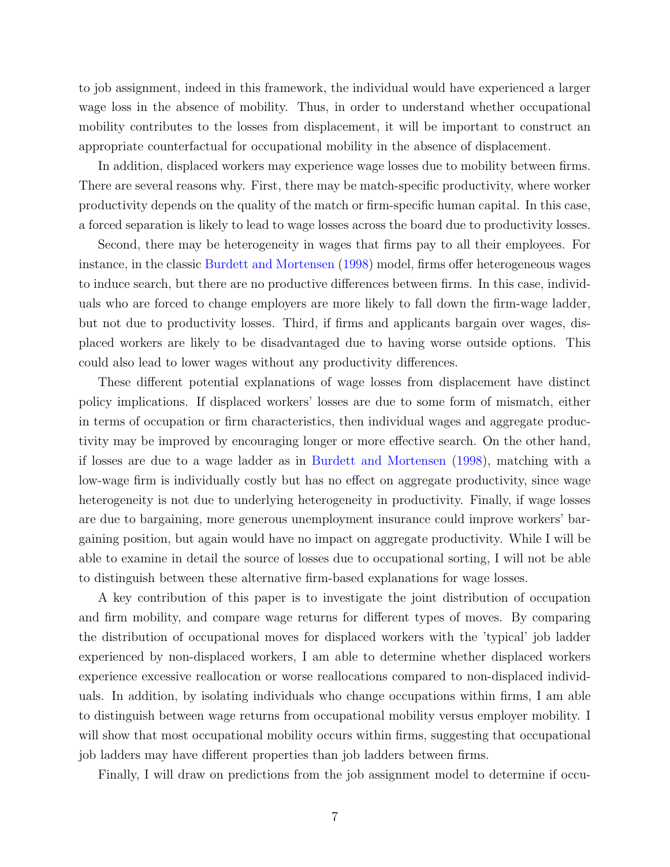to job assignment, indeed in this framework, the individual would have experienced a larger wage loss in the absence of mobility. Thus, in order to understand whether occupational mobility contributes to the losses from displacement, it will be important to construct an appropriate counterfactual for occupational mobility in the absence of displacement.

In addition, displaced workers may experience wage losses due to mobility between firms. There are several reasons why. First, there may be match-specific productivity, where worker productivity depends on the quality of the match or firm-specific human capital. In this case, a forced separation is likely to lead to wage losses across the board due to productivity losses.

Second, there may be heterogeneity in wages that firms pay to all their employees. For instance, in the classic [Burdett and Mortensen](#page-28-12) [\(1998\)](#page-28-12) model, firms offer heterogeneous wages to induce search, but there are no productive differences between firms. In this case, individuals who are forced to change employers are more likely to fall down the firm-wage ladder, but not due to productivity losses. Third, if firms and applicants bargain over wages, displaced workers are likely to be disadvantaged due to having worse outside options. This could also lead to lower wages without any productivity differences.

These different potential explanations of wage losses from displacement have distinct policy implications. If displaced workers' losses are due to some form of mismatch, either in terms of occupation or firm characteristics, then individual wages and aggregate productivity may be improved by encouraging longer or more effective search. On the other hand, if losses are due to a wage ladder as in [Burdett and Mortensen](#page-28-12) [\(1998\)](#page-28-12), matching with a low-wage firm is individually costly but has no effect on aggregate productivity, since wage heterogeneity is not due to underlying heterogeneity in productivity. Finally, if wage losses are due to bargaining, more generous unemployment insurance could improve workers' bargaining position, but again would have no impact on aggregate productivity. While I will be able to examine in detail the source of losses due to occupational sorting, I will not be able to distinguish between these alternative firm-based explanations for wage losses.

A key contribution of this paper is to investigate the joint distribution of occupation and firm mobility, and compare wage returns for different types of moves. By comparing the distribution of occupational moves for displaced workers with the 'typical' job ladder experienced by non-displaced workers, I am able to determine whether displaced workers experience excessive reallocation or worse reallocations compared to non-displaced individuals. In addition, by isolating individuals who change occupations within firms, I am able to distinguish between wage returns from occupational mobility versus employer mobility. I will show that most occupational mobility occurs within firms, suggesting that occupational job ladders may have different properties than job ladders between firms.

Finally, I will draw on predictions from the job assignment model to determine if occu-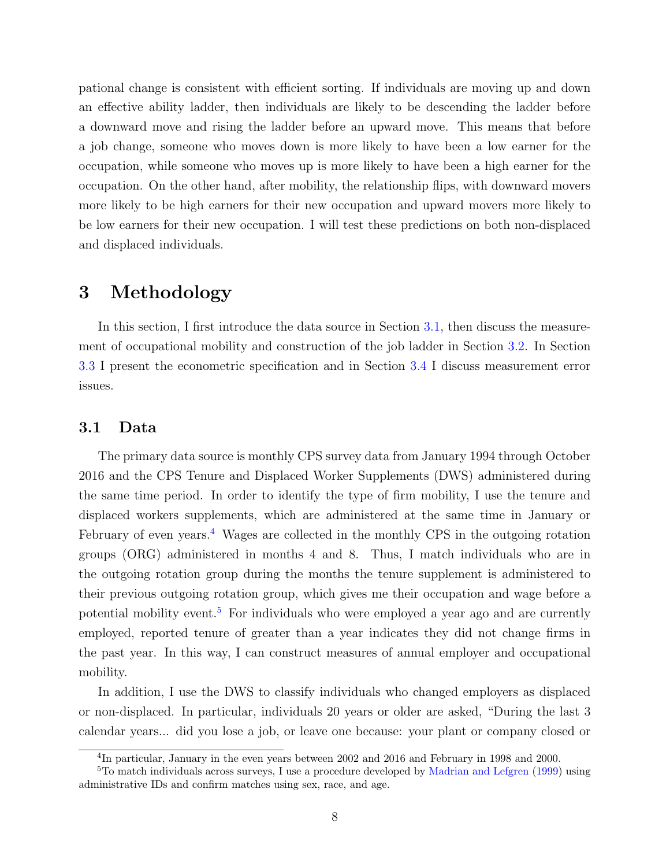pational change is consistent with efficient sorting. If individuals are moving up and down an effective ability ladder, then individuals are likely to be descending the ladder before a downward move and rising the ladder before an upward move. This means that before a job change, someone who moves down is more likely to have been a low earner for the occupation, while someone who moves up is more likely to have been a high earner for the occupation. On the other hand, after mobility, the relationship flips, with downward movers more likely to be high earners for their new occupation and upward movers more likely to be low earners for their new occupation. I will test these predictions on both non-displaced and displaced individuals.

### <span id="page-7-0"></span>3 Methodology

In this section, I first introduce the data source in Section [3.1,](#page-7-1) then discuss the measurement of occupational mobility and construction of the job ladder in Section [3.2.](#page-9-0) In Section [3.3](#page-9-1) I present the econometric specification and in Section [3.4](#page-11-0) I discuss measurement error issues.

#### <span id="page-7-1"></span>3.1 Data

The primary data source is monthly CPS survey data from January 1994 through October 2016 and the CPS Tenure and Displaced Worker Supplements (DWS) administered during the same time period. In order to identify the type of firm mobility, I use the tenure and displaced workers supplements, which are administered at the same time in January or February of even years.<sup>[4](#page-7-2)</sup> Wages are collected in the monthly CPS in the outgoing rotation groups (ORG) administered in months 4 and 8. Thus, I match individuals who are in the outgoing rotation group during the months the tenure supplement is administered to their previous outgoing rotation group, which gives me their occupation and wage before a potential mobility event.[5](#page-7-3) For individuals who were employed a year ago and are currently employed, reported tenure of greater than a year indicates they did not change firms in the past year. In this way, I can construct measures of annual employer and occupational mobility.

In addition, I use the DWS to classify individuals who changed employers as displaced or non-displaced. In particular, individuals 20 years or older are asked, "During the last 3 calendar years... did you lose a job, or leave one because: your plant or company closed or

<span id="page-7-3"></span><span id="page-7-2"></span><sup>&</sup>lt;sup>4</sup>In particular, January in the even years between 2002 and 2016 and February in 1998 and 2000.

<sup>&</sup>lt;sup>5</sup>To match individuals across surveys, I use a procedure developed by [Madrian and Lefgren](#page-29-9) [\(1999\)](#page-29-9) using administrative IDs and confirm matches using sex, race, and age.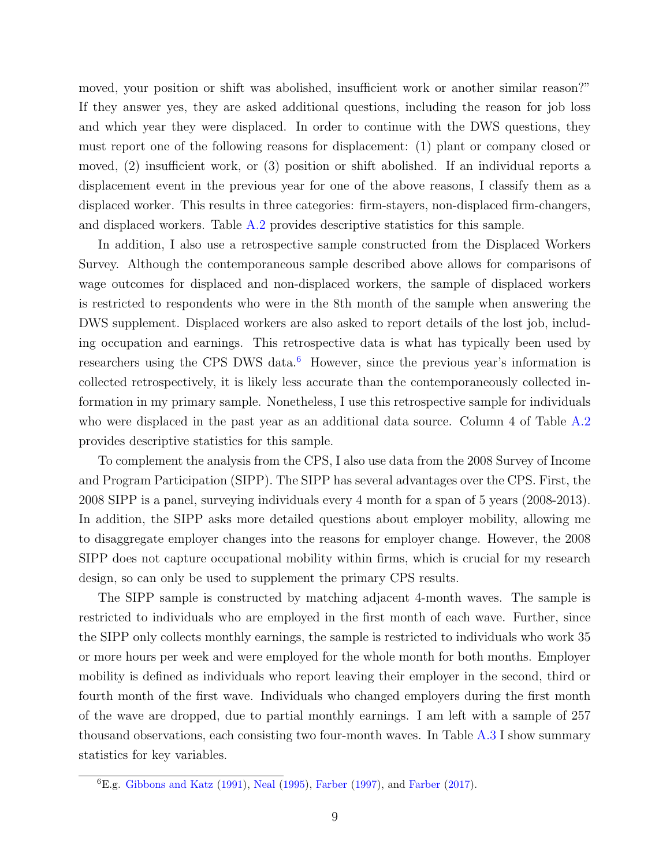moved, your position or shift was abolished, insufficient work or another similar reason?" If they answer yes, they are asked additional questions, including the reason for job loss and which year they were displaced. In order to continue with the DWS questions, they must report one of the following reasons for displacement: (1) plant or company closed or moved, (2) insufficient work, or (3) position or shift abolished. If an individual reports a displacement event in the previous year for one of the above reasons, I classify them as a displaced worker. This results in three categories: firm-stayers, non-displaced firm-changers, and displaced workers. Table [A.2](#page-42-0) provides descriptive statistics for this sample.

In addition, I also use a retrospective sample constructed from the Displaced Workers Survey. Although the contemporaneous sample described above allows for comparisons of wage outcomes for displaced and non-displaced workers, the sample of displaced workers is restricted to respondents who were in the 8th month of the sample when answering the DWS supplement. Displaced workers are also asked to report details of the lost job, including occupation and earnings. This retrospective data is what has typically been used by researchers using the CPS DWS data.<sup>[6](#page-8-0)</sup> However, since the previous year's information is collected retrospectively, it is likely less accurate than the contemporaneously collected information in my primary sample. Nonetheless, I use this retrospective sample for individuals who were displaced in the past year as an additional data source. Column 4 of Table [A.2](#page-42-0) provides descriptive statistics for this sample.

To complement the analysis from the CPS, I also use data from the 2008 Survey of Income and Program Participation (SIPP). The SIPP has several advantages over the CPS. First, the 2008 SIPP is a panel, surveying individuals every 4 month for a span of 5 years (2008-2013). In addition, the SIPP asks more detailed questions about employer mobility, allowing me to disaggregate employer changes into the reasons for employer change. However, the 2008 SIPP does not capture occupational mobility within firms, which is crucial for my research design, so can only be used to supplement the primary CPS results.

The SIPP sample is constructed by matching adjacent 4-month waves. The sample is restricted to individuals who are employed in the first month of each wave. Further, since the SIPP only collects monthly earnings, the sample is restricted to individuals who work 35 or more hours per week and were employed for the whole month for both months. Employer mobility is defined as individuals who report leaving their employer in the second, third or fourth month of the first wave. Individuals who changed employers during the first month of the wave are dropped, due to partial monthly earnings. I am left with a sample of 257 thousand observations, each consisting two four-month waves. In Table  $A.3 I$  $A.3 I$  show summary statistics for key variables.

<span id="page-8-0"></span> ${}^{6}E.g.$  [Gibbons and Katz](#page-28-13) [\(1991\)](#page-28-13), [Neal](#page-29-4) [\(1995\)](#page-29-4), [Farber](#page-28-11) [\(1997\)](#page-28-10), and Farber [\(2017\)](#page-28-11).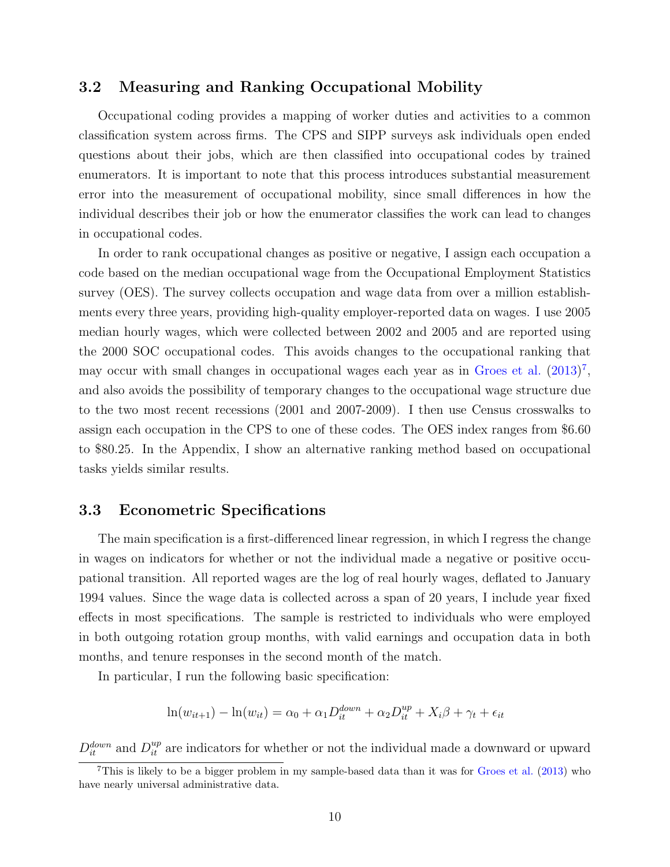#### <span id="page-9-0"></span>3.2 Measuring and Ranking Occupational Mobility

Occupational coding provides a mapping of worker duties and activities to a common classification system across firms. The CPS and SIPP surveys ask individuals open ended questions about their jobs, which are then classified into occupational codes by trained enumerators. It is important to note that this process introduces substantial measurement error into the measurement of occupational mobility, since small differences in how the individual describes their job or how the enumerator classifies the work can lead to changes in occupational codes.

In order to rank occupational changes as positive or negative, I assign each occupation a code based on the median occupational wage from the Occupational Employment Statistics survey (OES). The survey collects occupation and wage data from over a million establishments every three years, providing high-quality employer-reported data on wages. I use 2005 median hourly wages, which were collected between 2002 and 2005 and are reported using the 2000 SOC occupational codes. This avoids changes to the occupational ranking that may occur with small changes in occupational wages each year as in [Groes et al.](#page-28-6)  $(2013)^7$  $(2013)^7$  $(2013)^7$ , and also avoids the possibility of temporary changes to the occupational wage structure due to the two most recent recessions (2001 and 2007-2009). I then use Census crosswalks to assign each occupation in the CPS to one of these codes. The OES index ranges from \$6.60 to \$80.25. In the Appendix, I show an alternative ranking method based on occupational tasks yields similar results.

#### <span id="page-9-1"></span>3.3 Econometric Specifications

The main specification is a first-differenced linear regression, in which I regress the change in wages on indicators for whether or not the individual made a negative or positive occupational transition. All reported wages are the log of real hourly wages, deflated to January 1994 values. Since the wage data is collected across a span of 20 years, I include year fixed effects in most specifications. The sample is restricted to individuals who were employed in both outgoing rotation group months, with valid earnings and occupation data in both months, and tenure responses in the second month of the match.

In particular, I run the following basic specification:

$$
\ln(w_{it+1}) - \ln(w_{it}) = \alpha_0 + \alpha_1 D_{it}^{down} + \alpha_2 D_{it}^{up} + X_i \beta + \gamma_t + \epsilon_{it}
$$

 $D_{it}^{down}$  and  $D_{it}^{up}$  are indicators for whether or not the individual made a downward or upward

<span id="page-9-2"></span><sup>7</sup>This is likely to be a bigger problem in my sample-based data than it was for [Groes et al.](#page-28-6) [\(2013\)](#page-28-6) who have nearly universal administrative data.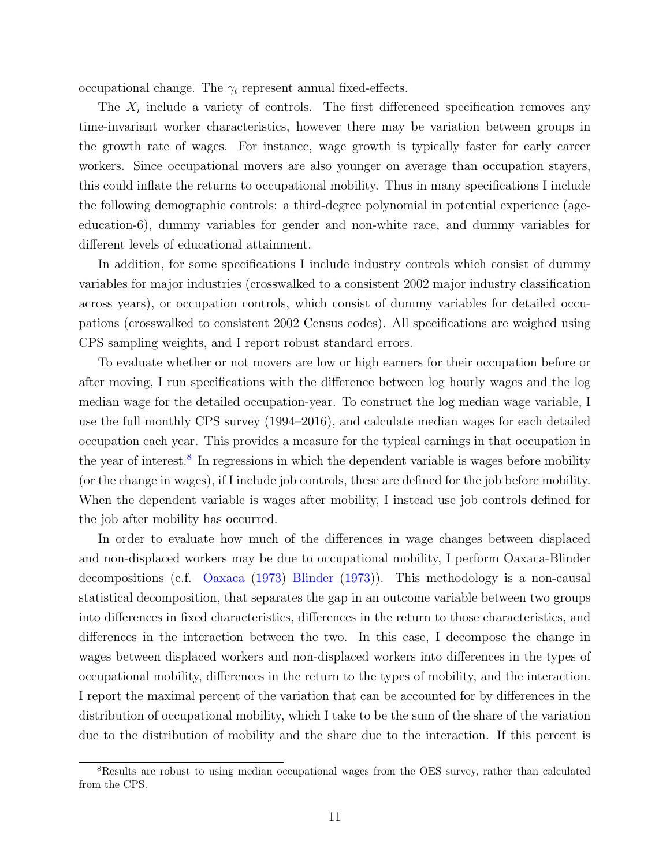occupational change. The  $\gamma_t$  represent annual fixed-effects.

The  $X_i$  include a variety of controls. The first differenced specification removes any time-invariant worker characteristics, however there may be variation between groups in the growth rate of wages. For instance, wage growth is typically faster for early career workers. Since occupational movers are also younger on average than occupation stayers, this could inflate the returns to occupational mobility. Thus in many specifications I include the following demographic controls: a third-degree polynomial in potential experience (ageeducation-6), dummy variables for gender and non-white race, and dummy variables for different levels of educational attainment.

In addition, for some specifications I include industry controls which consist of dummy variables for major industries (crosswalked to a consistent 2002 major industry classification across years), or occupation controls, which consist of dummy variables for detailed occupations (crosswalked to consistent 2002 Census codes). All specifications are weighed using CPS sampling weights, and I report robust standard errors.

To evaluate whether or not movers are low or high earners for their occupation before or after moving, I run specifications with the difference between log hourly wages and the log median wage for the detailed occupation-year. To construct the log median wage variable, I use the full monthly CPS survey (1994–2016), and calculate median wages for each detailed occupation each year. This provides a measure for the typical earnings in that occupation in the year of interest.<sup>[8](#page-10-0)</sup> In regressions in which the dependent variable is wages before mobility (or the change in wages), if I include job controls, these are defined for the job before mobility. When the dependent variable is wages after mobility, I instead use job controls defined for the job after mobility has occurred.

In order to evaluate how much of the differences in wage changes between displaced and non-displaced workers may be due to occupational mobility, I perform Oaxaca-Blinder decompositions (c.f. [Oaxaca](#page-29-10) [\(1973\)](#page-29-10) [Blinder](#page-27-2) [\(1973\)](#page-27-2)). This methodology is a non-causal statistical decomposition, that separates the gap in an outcome variable between two groups into differences in fixed characteristics, differences in the return to those characteristics, and differences in the interaction between the two. In this case, I decompose the change in wages between displaced workers and non-displaced workers into differences in the types of occupational mobility, differences in the return to the types of mobility, and the interaction. I report the maximal percent of the variation that can be accounted for by differences in the distribution of occupational mobility, which I take to be the sum of the share of the variation due to the distribution of mobility and the share due to the interaction. If this percent is

<span id="page-10-0"></span><sup>8</sup>Results are robust to using median occupational wages from the OES survey, rather than calculated from the CPS.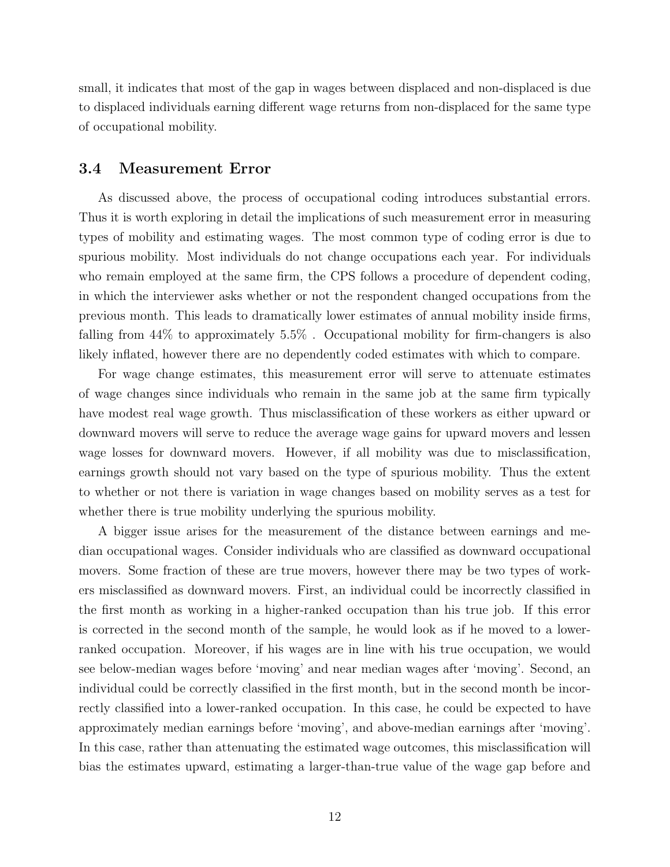small, it indicates that most of the gap in wages between displaced and non-displaced is due to displaced individuals earning different wage returns from non-displaced for the same type of occupational mobility.

#### <span id="page-11-0"></span>3.4 Measurement Error

As discussed above, the process of occupational coding introduces substantial errors. Thus it is worth exploring in detail the implications of such measurement error in measuring types of mobility and estimating wages. The most common type of coding error is due to spurious mobility. Most individuals do not change occupations each year. For individuals who remain employed at the same firm, the CPS follows a procedure of dependent coding, in which the interviewer asks whether or not the respondent changed occupations from the previous month. This leads to dramatically lower estimates of annual mobility inside firms, falling from 44% to approximately 5.5% . Occupational mobility for firm-changers is also likely inflated, however there are no dependently coded estimates with which to compare.

For wage change estimates, this measurement error will serve to attenuate estimates of wage changes since individuals who remain in the same job at the same firm typically have modest real wage growth. Thus misclassification of these workers as either upward or downward movers will serve to reduce the average wage gains for upward movers and lessen wage losses for downward movers. However, if all mobility was due to misclassification, earnings growth should not vary based on the type of spurious mobility. Thus the extent to whether or not there is variation in wage changes based on mobility serves as a test for whether there is true mobility underlying the spurious mobility.

A bigger issue arises for the measurement of the distance between earnings and median occupational wages. Consider individuals who are classified as downward occupational movers. Some fraction of these are true movers, however there may be two types of workers misclassified as downward movers. First, an individual could be incorrectly classified in the first month as working in a higher-ranked occupation than his true job. If this error is corrected in the second month of the sample, he would look as if he moved to a lowerranked occupation. Moreover, if his wages are in line with his true occupation, we would see below-median wages before 'moving' and near median wages after 'moving'. Second, an individual could be correctly classified in the first month, but in the second month be incorrectly classified into a lower-ranked occupation. In this case, he could be expected to have approximately median earnings before 'moving', and above-median earnings after 'moving'. In this case, rather than attenuating the estimated wage outcomes, this misclassification will bias the estimates upward, estimating a larger-than-true value of the wage gap before and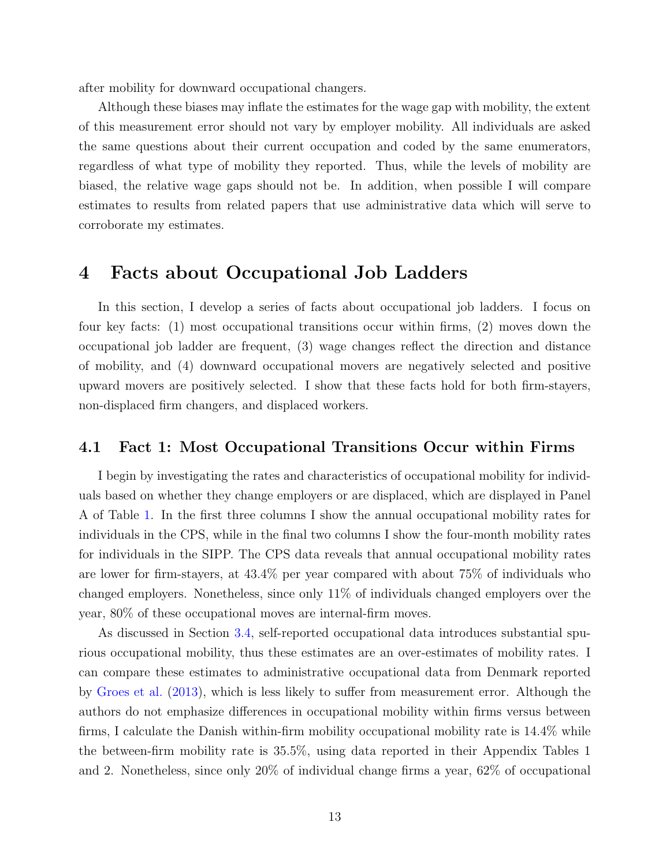after mobility for downward occupational changers.

Although these biases may inflate the estimates for the wage gap with mobility, the extent of this measurement error should not vary by employer mobility. All individuals are asked the same questions about their current occupation and coded by the same enumerators, regardless of what type of mobility they reported. Thus, while the levels of mobility are biased, the relative wage gaps should not be. In addition, when possible I will compare estimates to results from related papers that use administrative data which will serve to corroborate my estimates.

### <span id="page-12-0"></span>4 Facts about Occupational Job Ladders

In this section, I develop a series of facts about occupational job ladders. I focus on four key facts: (1) most occupational transitions occur within firms, (2) moves down the occupational job ladder are frequent, (3) wage changes reflect the direction and distance of mobility, and (4) downward occupational movers are negatively selected and positive upward movers are positively selected. I show that these facts hold for both firm-stayers, non-displaced firm changers, and displaced workers.

#### 4.1 Fact 1: Most Occupational Transitions Occur within Firms

I begin by investigating the rates and characteristics of occupational mobility for individuals based on whether they change employers or are displaced, which are displayed in Panel A of Table [1.](#page-33-0) In the first three columns I show the annual occupational mobility rates for individuals in the CPS, while in the final two columns I show the four-month mobility rates for individuals in the SIPP. The CPS data reveals that annual occupational mobility rates are lower for firm-stayers, at 43.4% per year compared with about 75% of individuals who changed employers. Nonetheless, since only 11% of individuals changed employers over the year, 80% of these occupational moves are internal-firm moves.

As discussed in Section [3.4,](#page-11-0) self-reported occupational data introduces substantial spurious occupational mobility, thus these estimates are an over-estimates of mobility rates. I can compare these estimates to administrative occupational data from Denmark reported by [Groes et al.](#page-28-6) [\(2013\)](#page-28-6), which is less likely to suffer from measurement error. Although the authors do not emphasize differences in occupational mobility within firms versus between firms, I calculate the Danish within-firm mobility occupational mobility rate is 14.4% while the between-firm mobility rate is 35.5%, using data reported in their Appendix Tables 1 and 2. Nonetheless, since only 20% of individual change firms a year, 62% of occupational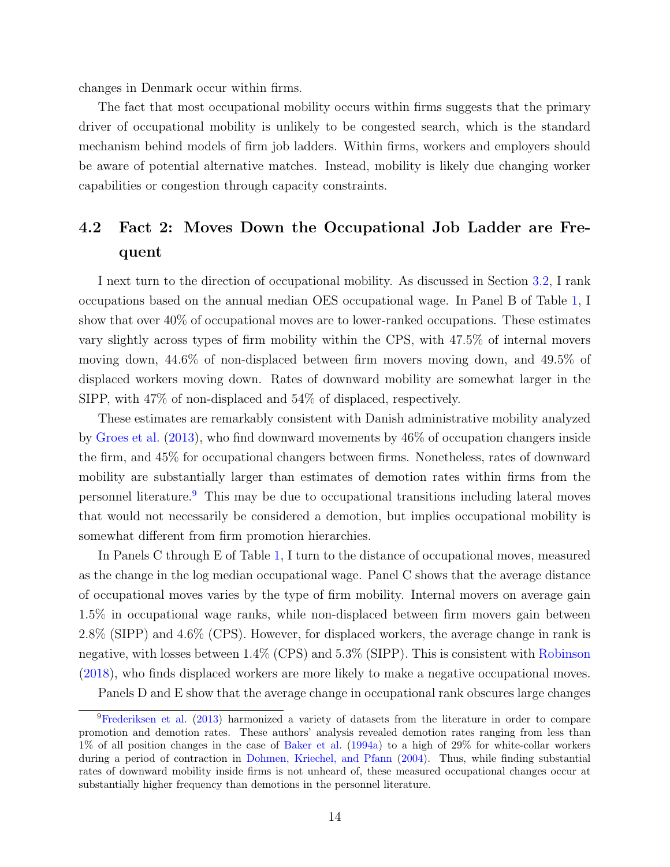changes in Denmark occur within firms.

The fact that most occupational mobility occurs within firms suggests that the primary driver of occupational mobility is unlikely to be congested search, which is the standard mechanism behind models of firm job ladders. Within firms, workers and employers should be aware of potential alternative matches. Instead, mobility is likely due changing worker capabilities or congestion through capacity constraints.

## 4.2 Fact 2: Moves Down the Occupational Job Ladder are Frequent

I next turn to the direction of occupational mobility. As discussed in Section [3.2,](#page-9-0) I rank occupations based on the annual median OES occupational wage. In Panel B of Table [1,](#page-33-0) I show that over 40% of occupational moves are to lower-ranked occupations. These estimates vary slightly across types of firm mobility within the CPS, with 47.5% of internal movers moving down, 44.6% of non-displaced between firm movers moving down, and 49.5% of displaced workers moving down. Rates of downward mobility are somewhat larger in the SIPP, with 47% of non-displaced and 54% of displaced, respectively.

These estimates are remarkably consistent with Danish administrative mobility analyzed by [Groes et al.](#page-28-6) [\(2013\)](#page-28-6), who find downward movements by 46% of occupation changers inside the firm, and 45% for occupational changers between firms. Nonetheless, rates of downward mobility are substantially larger than estimates of demotion rates within firms from the personnel literature.[9](#page-13-0) This may be due to occupational transitions including lateral moves that would not necessarily be considered a demotion, but implies occupational mobility is somewhat different from firm promotion hierarchies.

In Panels C through E of Table [1,](#page-33-0) I turn to the distance of occupational moves, measured as the change in the log median occupational wage. Panel C shows that the average distance of occupational moves varies by the type of firm mobility. Internal movers on average gain 1.5% in occupational wage ranks, while non-displaced between firm movers gain between 2.8% (SIPP) and 4.6% (CPS). However, for displaced workers, the average change in rank is negative, with losses between 1.4% (CPS) and 5.3% (SIPP). This is consistent with [Robinson](#page-29-1) [\(2018\)](#page-29-1), who finds displaced workers are more likely to make a negative occupational moves.

<span id="page-13-0"></span>Panels D and E show that the average change in occupational rank obscures large changes

<sup>&</sup>lt;sup>9</sup>[Frederiksen et al.](#page-28-9) [\(2013\)](#page-28-9) harmonized a variety of datasets from the literature in order to compare promotion and demotion rates. These authors' analysis revealed demotion rates ranging from less than 1% of all position changes in the case of [Baker et al.](#page-27-0) [\(1994a\)](#page-27-0) to a high of 29% for white-collar workers during a period of contraction in [Dohmen, Kriechel, and Pfann](#page-28-14) [\(2004\)](#page-28-14). Thus, while finding substantial rates of downward mobility inside firms is not unheard of, these measured occupational changes occur at substantially higher frequency than demotions in the personnel literature.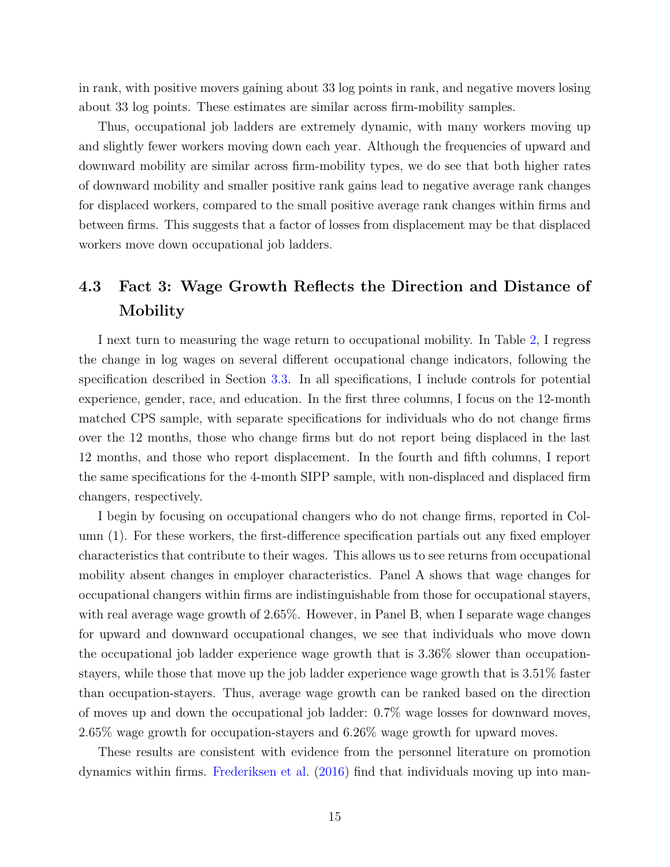in rank, with positive movers gaining about 33 log points in rank, and negative movers losing about 33 log points. These estimates are similar across firm-mobility samples.

Thus, occupational job ladders are extremely dynamic, with many workers moving up and slightly fewer workers moving down each year. Although the frequencies of upward and downward mobility are similar across firm-mobility types, we do see that both higher rates of downward mobility and smaller positive rank gains lead to negative average rank changes for displaced workers, compared to the small positive average rank changes within firms and between firms. This suggests that a factor of losses from displacement may be that displaced workers move down occupational job ladders.

### 4.3 Fact 3: Wage Growth Reflects the Direction and Distance of Mobility

I next turn to measuring the wage return to occupational mobility. In Table [2,](#page-34-0) I regress the change in log wages on several different occupational change indicators, following the specification described in Section [3.3.](#page-9-1) In all specifications, I include controls for potential experience, gender, race, and education. In the first three columns, I focus on the 12-month matched CPS sample, with separate specifications for individuals who do not change firms over the 12 months, those who change firms but do not report being displaced in the last 12 months, and those who report displacement. In the fourth and fifth columns, I report the same specifications for the 4-month SIPP sample, with non-displaced and displaced firm changers, respectively.

I begin by focusing on occupational changers who do not change firms, reported in Column (1). For these workers, the first-difference specification partials out any fixed employer characteristics that contribute to their wages. This allows us to see returns from occupational mobility absent changes in employer characteristics. Panel A shows that wage changes for occupational changers within firms are indistinguishable from those for occupational stayers, with real average wage growth of 2.65%. However, in Panel B, when I separate wage changes for upward and downward occupational changes, we see that individuals who move down the occupational job ladder experience wage growth that is 3.36% slower than occupationstayers, while those that move up the job ladder experience wage growth that is 3.51% faster than occupation-stayers. Thus, average wage growth can be ranked based on the direction of moves up and down the occupational job ladder: 0.7% wage losses for downward moves, 2.65% wage growth for occupation-stayers and 6.26% wage growth for upward moves.

These results are consistent with evidence from the personnel literature on promotion dynamics within firms. [Frederiksen et al.](#page-28-7) [\(2016\)](#page-28-7) find that individuals moving up into man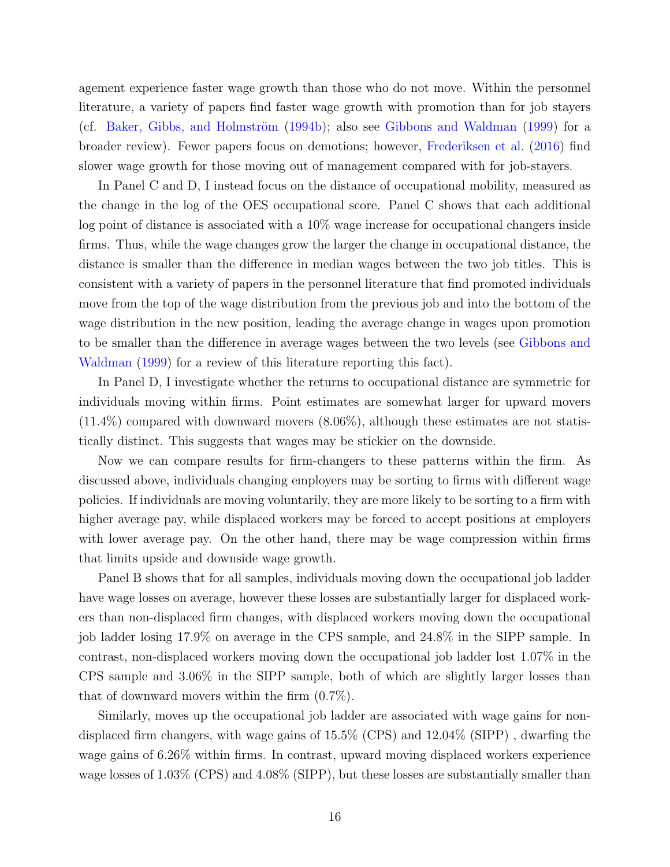agement experience faster wage growth than those who do not move. Within the personnel literature, a variety of papers find faster wage growth with promotion than for job stayers (cf. Baker, Gibbs, and Holmström  $(1994b)$ ; also see [Gibbons and Waldman](#page-28-0)  $(1999)$  for a broader review). Fewer papers focus on demotions; however, [Frederiksen et al.](#page-28-7) [\(2016\)](#page-28-7) find slower wage growth for those moving out of management compared with for job-stayers.

In Panel C and D, I instead focus on the distance of occupational mobility, measured as the change in the log of the OES occupational score. Panel C shows that each additional log point of distance is associated with a 10% wage increase for occupational changers inside firms. Thus, while the wage changes grow the larger the change in occupational distance, the distance is smaller than the difference in median wages between the two job titles. This is consistent with a variety of papers in the personnel literature that find promoted individuals move from the top of the wage distribution from the previous job and into the bottom of the wage distribution in the new position, leading the average change in wages upon promotion to be smaller than the difference in average wages between the two levels (see [Gibbons and](#page-28-0) [Waldman](#page-28-0) [\(1999\)](#page-28-0) for a review of this literature reporting this fact).

In Panel D, I investigate whether the returns to occupational distance are symmetric for individuals moving within firms. Point estimates are somewhat larger for upward movers (11.4%) compared with downward movers (8.06%), although these estimates are not statistically distinct. This suggests that wages may be stickier on the downside.

Now we can compare results for firm-changers to these patterns within the firm. As discussed above, individuals changing employers may be sorting to firms with different wage policies. If individuals are moving voluntarily, they are more likely to be sorting to a firm with higher average pay, while displaced workers may be forced to accept positions at employers with lower average pay. On the other hand, there may be wage compression within firms that limits upside and downside wage growth.

Panel B shows that for all samples, individuals moving down the occupational job ladder have wage losses on average, however these losses are substantially larger for displaced workers than non-displaced firm changes, with displaced workers moving down the occupational job ladder losing 17.9% on average in the CPS sample, and 24.8% in the SIPP sample. In contrast, non-displaced workers moving down the occupational job ladder lost 1.07% in the CPS sample and 3.06% in the SIPP sample, both of which are slightly larger losses than that of downward movers within the firm (0.7%).

Similarly, moves up the occupational job ladder are associated with wage gains for nondisplaced firm changers, with wage gains of 15.5% (CPS) and 12.04% (SIPP) , dwarfing the wage gains of 6.26% within firms. In contrast, upward moving displaced workers experience wage losses of 1.03% (CPS) and 4.08% (SIPP), but these losses are substantially smaller than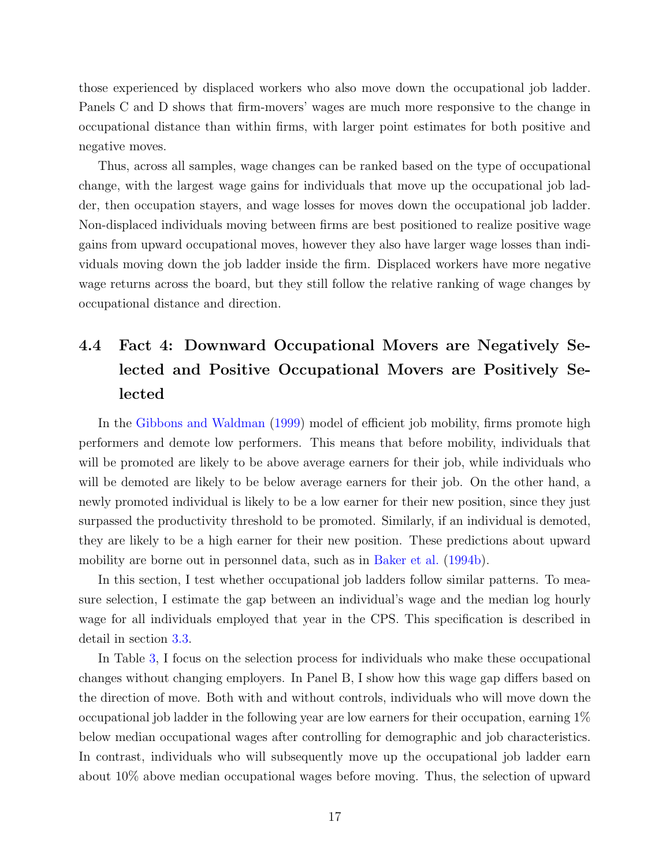those experienced by displaced workers who also move down the occupational job ladder. Panels C and D shows that firm-movers' wages are much more responsive to the change in occupational distance than within firms, with larger point estimates for both positive and negative moves.

Thus, across all samples, wage changes can be ranked based on the type of occupational change, with the largest wage gains for individuals that move up the occupational job ladder, then occupation stayers, and wage losses for moves down the occupational job ladder. Non-displaced individuals moving between firms are best positioned to realize positive wage gains from upward occupational moves, however they also have larger wage losses than individuals moving down the job ladder inside the firm. Displaced workers have more negative wage returns across the board, but they still follow the relative ranking of wage changes by occupational distance and direction.

## 4.4 Fact 4: Downward Occupational Movers are Negatively Selected and Positive Occupational Movers are Positively Selected

In the [Gibbons and Waldman](#page-28-0) [\(1999\)](#page-28-0) model of efficient job mobility, firms promote high performers and demote low performers. This means that before mobility, individuals that will be promoted are likely to be above average earners for their job, while individuals who will be demoted are likely to be below average earners for their job. On the other hand, a newly promoted individual is likely to be a low earner for their new position, since they just surpassed the productivity threshold to be promoted. Similarly, if an individual is demoted, they are likely to be a high earner for their new position. These predictions about upward mobility are borne out in personnel data, such as in [Baker et al.](#page-27-3) [\(1994b\)](#page-27-3).

In this section, I test whether occupational job ladders follow similar patterns. To measure selection, I estimate the gap between an individual's wage and the median log hourly wage for all individuals employed that year in the CPS. This specification is described in detail in section [3.3.](#page-9-1)

In Table [3,](#page-35-0) I focus on the selection process for individuals who make these occupational changes without changing employers. In Panel B, I show how this wage gap differs based on the direction of move. Both with and without controls, individuals who will move down the occupational job ladder in the following year are low earners for their occupation, earning 1% below median occupational wages after controlling for demographic and job characteristics. In contrast, individuals who will subsequently move up the occupational job ladder earn about 10% above median occupational wages before moving. Thus, the selection of upward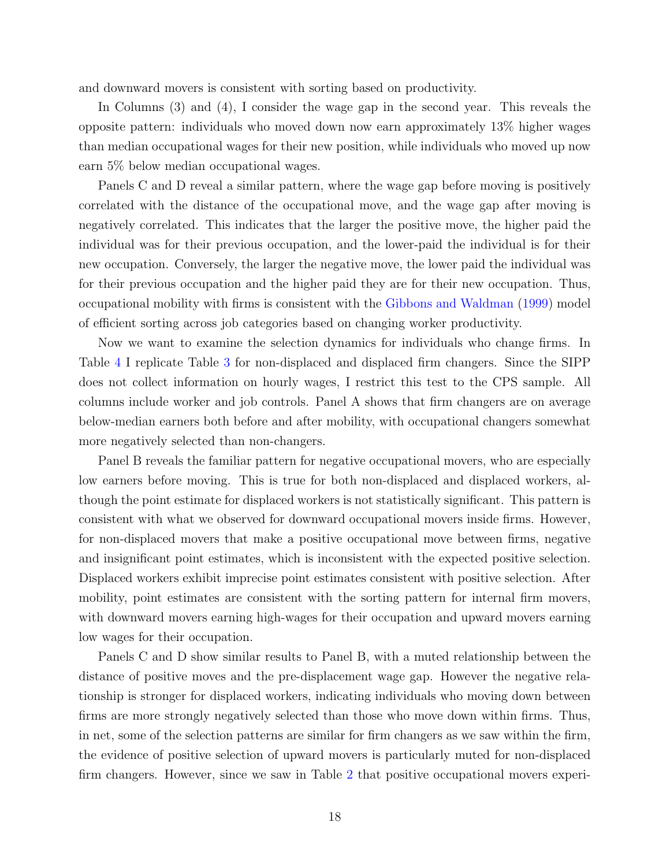and downward movers is consistent with sorting based on productivity.

In Columns (3) and (4), I consider the wage gap in the second year. This reveals the opposite pattern: individuals who moved down now earn approximately 13% higher wages than median occupational wages for their new position, while individuals who moved up now earn 5% below median occupational wages.

Panels C and D reveal a similar pattern, where the wage gap before moving is positively correlated with the distance of the occupational move, and the wage gap after moving is negatively correlated. This indicates that the larger the positive move, the higher paid the individual was for their previous occupation, and the lower-paid the individual is for their new occupation. Conversely, the larger the negative move, the lower paid the individual was for their previous occupation and the higher paid they are for their new occupation. Thus, occupational mobility with firms is consistent with the [Gibbons and Waldman](#page-28-0) [\(1999\)](#page-28-0) model of efficient sorting across job categories based on changing worker productivity.

Now we want to examine the selection dynamics for individuals who change firms. In Table [4](#page-36-0) I replicate Table [3](#page-35-0) for non-displaced and displaced firm changers. Since the SIPP does not collect information on hourly wages, I restrict this test to the CPS sample. All columns include worker and job controls. Panel A shows that firm changers are on average below-median earners both before and after mobility, with occupational changers somewhat more negatively selected than non-changers.

Panel B reveals the familiar pattern for negative occupational movers, who are especially low earners before moving. This is true for both non-displaced and displaced workers, although the point estimate for displaced workers is not statistically significant. This pattern is consistent with what we observed for downward occupational movers inside firms. However, for non-displaced movers that make a positive occupational move between firms, negative and insignificant point estimates, which is inconsistent with the expected positive selection. Displaced workers exhibit imprecise point estimates consistent with positive selection. After mobility, point estimates are consistent with the sorting pattern for internal firm movers, with downward movers earning high-wages for their occupation and upward movers earning low wages for their occupation.

Panels C and D show similar results to Panel B, with a muted relationship between the distance of positive moves and the pre-displacement wage gap. However the negative relationship is stronger for displaced workers, indicating individuals who moving down between firms are more strongly negatively selected than those who move down within firms. Thus, in net, some of the selection patterns are similar for firm changers as we saw within the firm, the evidence of positive selection of upward movers is particularly muted for non-displaced firm changers. However, since we saw in Table [2](#page-34-0) that positive occupational movers experi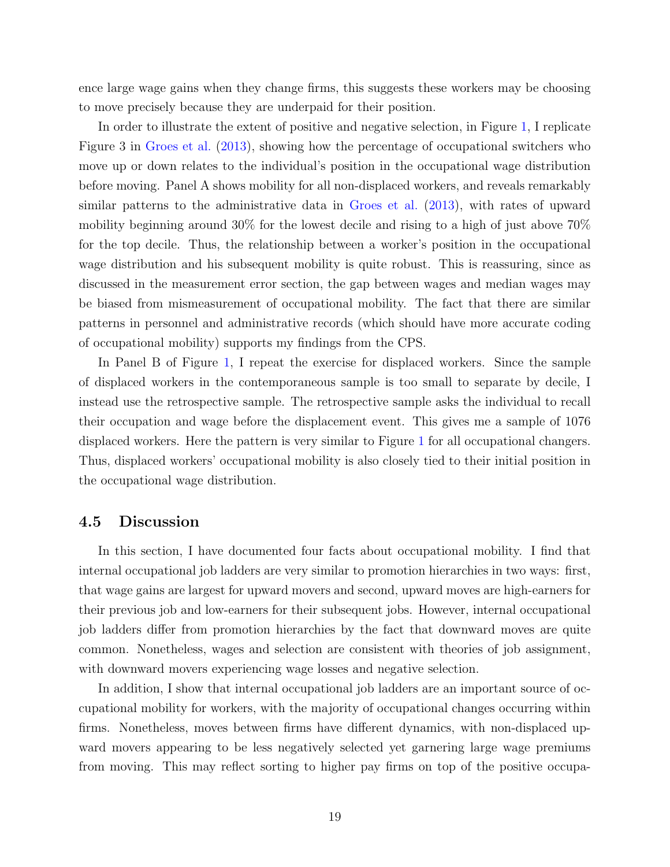ence large wage gains when they change firms, this suggests these workers may be choosing to move precisely because they are underpaid for their position.

In order to illustrate the extent of positive and negative selection, in Figure [1,](#page-30-0) I replicate Figure 3 in [Groes et al.](#page-28-6) [\(2013\)](#page-28-6), showing how the percentage of occupational switchers who move up or down relates to the individual's position in the occupational wage distribution before moving. Panel A shows mobility for all non-displaced workers, and reveals remarkably similar patterns to the administrative data in [Groes et al.](#page-28-6) [\(2013\)](#page-28-6), with rates of upward mobility beginning around 30% for the lowest decile and rising to a high of just above 70% for the top decile. Thus, the relationship between a worker's position in the occupational wage distribution and his subsequent mobility is quite robust. This is reassuring, since as discussed in the measurement error section, the gap between wages and median wages may be biased from mismeasurement of occupational mobility. The fact that there are similar patterns in personnel and administrative records (which should have more accurate coding of occupational mobility) supports my findings from the CPS.

In Panel B of Figure [1,](#page-30-0) I repeat the exercise for displaced workers. Since the sample of displaced workers in the contemporaneous sample is too small to separate by decile, I instead use the retrospective sample. The retrospective sample asks the individual to recall their occupation and wage before the displacement event. This gives me a sample of 1076 displaced workers. Here the pattern is very similar to Figure [1](#page-30-0) for all occupational changers. Thus, displaced workers' occupational mobility is also closely tied to their initial position in the occupational wage distribution.

#### 4.5 Discussion

In this section, I have documented four facts about occupational mobility. I find that internal occupational job ladders are very similar to promotion hierarchies in two ways: first, that wage gains are largest for upward movers and second, upward moves are high-earners for their previous job and low-earners for their subsequent jobs. However, internal occupational job ladders differ from promotion hierarchies by the fact that downward moves are quite common. Nonetheless, wages and selection are consistent with theories of job assignment, with downward movers experiencing wage losses and negative selection.

In addition, I show that internal occupational job ladders are an important source of occupational mobility for workers, with the majority of occupational changes occurring within firms. Nonetheless, moves between firms have different dynamics, with non-displaced upward movers appearing to be less negatively selected yet garnering large wage premiums from moving. This may reflect sorting to higher pay firms on top of the positive occupa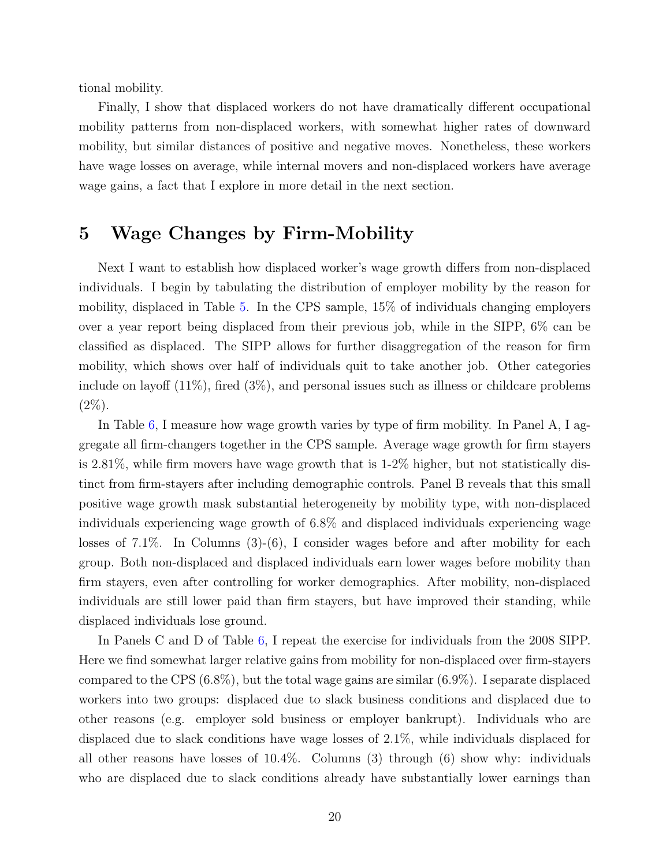tional mobility.

Finally, I show that displaced workers do not have dramatically different occupational mobility patterns from non-displaced workers, with somewhat higher rates of downward mobility, but similar distances of positive and negative moves. Nonetheless, these workers have wage losses on average, while internal movers and non-displaced workers have average wage gains, a fact that I explore in more detail in the next section.

### <span id="page-19-0"></span>5 Wage Changes by Firm-Mobility

Next I want to establish how displaced worker's wage growth differs from non-displaced individuals. I begin by tabulating the distribution of employer mobility by the reason for mobility, displaced in Table [5.](#page-37-0) In the CPS sample, 15% of individuals changing employers over a year report being displaced from their previous job, while in the SIPP, 6% can be classified as displaced. The SIPP allows for further disaggregation of the reason for firm mobility, which shows over half of individuals quit to take another job. Other categories include on layoff  $(11\%)$ , fired  $(3\%)$ , and personal issues such as illness or childcare problems  $(2\%)$ .

In Table [6,](#page-38-0) I measure how wage growth varies by type of firm mobility. In Panel A, I aggregate all firm-changers together in the CPS sample. Average wage growth for firm stayers is 2.81%, while firm movers have wage growth that is 1-2% higher, but not statistically distinct from firm-stayers after including demographic controls. Panel B reveals that this small positive wage growth mask substantial heterogeneity by mobility type, with non-displaced individuals experiencing wage growth of 6.8% and displaced individuals experiencing wage losses of 7.1%. In Columns (3)-(6), I consider wages before and after mobility for each group. Both non-displaced and displaced individuals earn lower wages before mobility than firm stayers, even after controlling for worker demographics. After mobility, non-displaced individuals are still lower paid than firm stayers, but have improved their standing, while displaced individuals lose ground.

In Panels C and D of Table [6,](#page-38-0) I repeat the exercise for individuals from the 2008 SIPP. Here we find somewhat larger relative gains from mobility for non-displaced over firm-stayers compared to the CPS (6.8%), but the total wage gains are similar (6.9%). I separate displaced workers into two groups: displaced due to slack business conditions and displaced due to other reasons (e.g. employer sold business or employer bankrupt). Individuals who are displaced due to slack conditions have wage losses of 2.1%, while individuals displaced for all other reasons have losses of 10.4%. Columns (3) through (6) show why: individuals who are displaced due to slack conditions already have substantially lower earnings than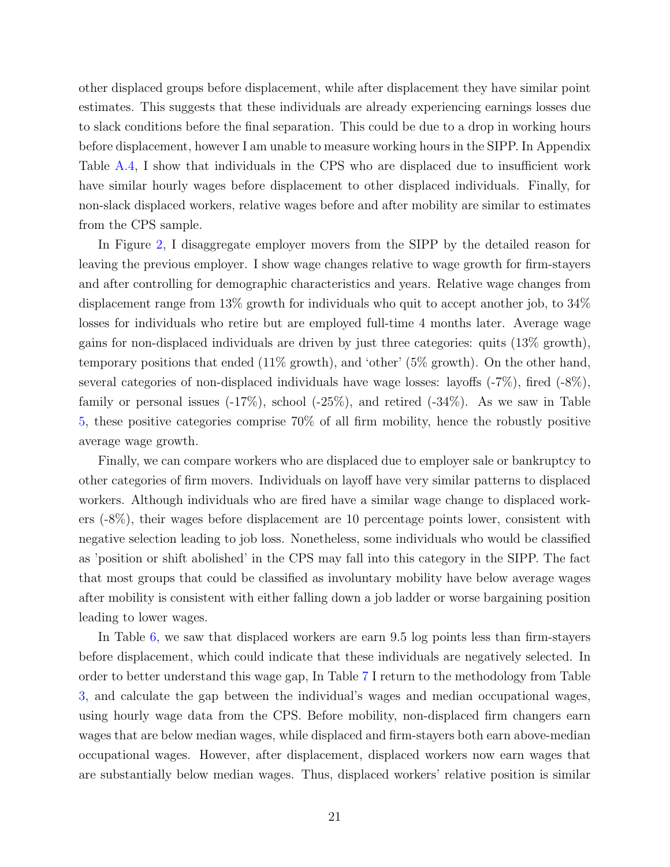other displaced groups before displacement, while after displacement they have similar point estimates. This suggests that these individuals are already experiencing earnings losses due to slack conditions before the final separation. This could be due to a drop in working hours before displacement, however I am unable to measure working hours in the SIPP. In Appendix Table [A.4,](#page-44-0) I show that individuals in the CPS who are displaced due to insufficient work have similar hourly wages before displacement to other displaced individuals. Finally, for non-slack displaced workers, relative wages before and after mobility are similar to estimates from the CPS sample.

In Figure [2,](#page-31-0) I disaggregate employer movers from the SIPP by the detailed reason for leaving the previous employer. I show wage changes relative to wage growth for firm-stayers and after controlling for demographic characteristics and years. Relative wage changes from displacement range from 13% growth for individuals who quit to accept another job, to 34% losses for individuals who retire but are employed full-time 4 months later. Average wage gains for non-displaced individuals are driven by just three categories: quits (13% growth), temporary positions that ended (11% growth), and 'other' (5% growth). On the other hand, several categories of non-displaced individuals have wage losses: layoffs (-7%), fired (-8%), family or personal issues  $(-17\%)$ , school  $(-25\%)$ , and retired  $(-34\%)$ . As we saw in Table [5,](#page-37-0) these positive categories comprise 70% of all firm mobility, hence the robustly positive average wage growth.

Finally, we can compare workers who are displaced due to employer sale or bankruptcy to other categories of firm movers. Individuals on layoff have very similar patterns to displaced workers. Although individuals who are fired have a similar wage change to displaced workers (-8%), their wages before displacement are 10 percentage points lower, consistent with negative selection leading to job loss. Nonetheless, some individuals who would be classified as 'position or shift abolished' in the CPS may fall into this category in the SIPP. The fact that most groups that could be classified as involuntary mobility have below average wages after mobility is consistent with either falling down a job ladder or worse bargaining position leading to lower wages.

In Table [6,](#page-38-0) we saw that displaced workers are earn 9.5 log points less than firm-stayers before displacement, which could indicate that these individuals are negatively selected. In order to better understand this wage gap, In Table [7](#page-38-1) I return to the methodology from Table [3,](#page-35-0) and calculate the gap between the individual's wages and median occupational wages, using hourly wage data from the CPS. Before mobility, non-displaced firm changers earn wages that are below median wages, while displaced and firm-stayers both earn above-median occupational wages. However, after displacement, displaced workers now earn wages that are substantially below median wages. Thus, displaced workers' relative position is similar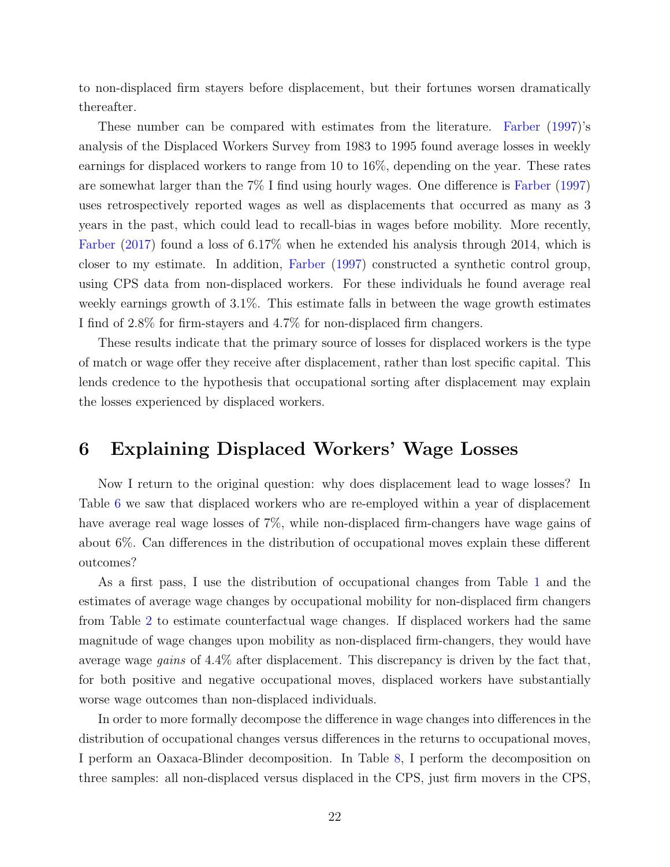to non-displaced firm stayers before displacement, but their fortunes worsen dramatically thereafter.

These number can be compared with estimates from the literature. [Farber](#page-28-10) [\(1997\)](#page-28-10)'s analysis of the Displaced Workers Survey from 1983 to 1995 found average losses in weekly earnings for displaced workers to range from 10 to 16%, depending on the year. These rates are somewhat larger than the 7% I find using hourly wages. One difference is [Farber](#page-28-10) [\(1997\)](#page-28-10) uses retrospectively reported wages as well as displacements that occurred as many as 3 years in the past, which could lead to recall-bias in wages before mobility. More recently, [Farber](#page-28-11) [\(2017\)](#page-28-11) found a loss of 6.17% when he extended his analysis through 2014, which is closer to my estimate. In addition, [Farber](#page-28-10) [\(1997\)](#page-28-10) constructed a synthetic control group, using CPS data from non-displaced workers. For these individuals he found average real weekly earnings growth of 3.1%. This estimate falls in between the wage growth estimates I find of 2.8% for firm-stayers and 4.7% for non-displaced firm changers.

These results indicate that the primary source of losses for displaced workers is the type of match or wage offer they receive after displacement, rather than lost specific capital. This lends credence to the hypothesis that occupational sorting after displacement may explain the losses experienced by displaced workers.

### <span id="page-21-0"></span>6 Explaining Displaced Workers' Wage Losses

Now I return to the original question: why does displacement lead to wage losses? In Table [6](#page-38-0) we saw that displaced workers who are re-employed within a year of displacement have average real wage losses of 7%, while non-displaced firm-changers have wage gains of about 6%. Can differences in the distribution of occupational moves explain these different outcomes?

As a first pass, I use the distribution of occupational changes from Table [1](#page-33-0) and the estimates of average wage changes by occupational mobility for non-displaced firm changers from Table [2](#page-34-0) to estimate counterfactual wage changes. If displaced workers had the same magnitude of wage changes upon mobility as non-displaced firm-changers, they would have average wage *gains* of 4.4% after displacement. This discrepancy is driven by the fact that, for both positive and negative occupational moves, displaced workers have substantially worse wage outcomes than non-displaced individuals.

In order to more formally decompose the difference in wage changes into differences in the distribution of occupational changes versus differences in the returns to occupational moves, I perform an Oaxaca-Blinder decomposition. In Table [8,](#page-39-0) I perform the decomposition on three samples: all non-displaced versus displaced in the CPS, just firm movers in the CPS,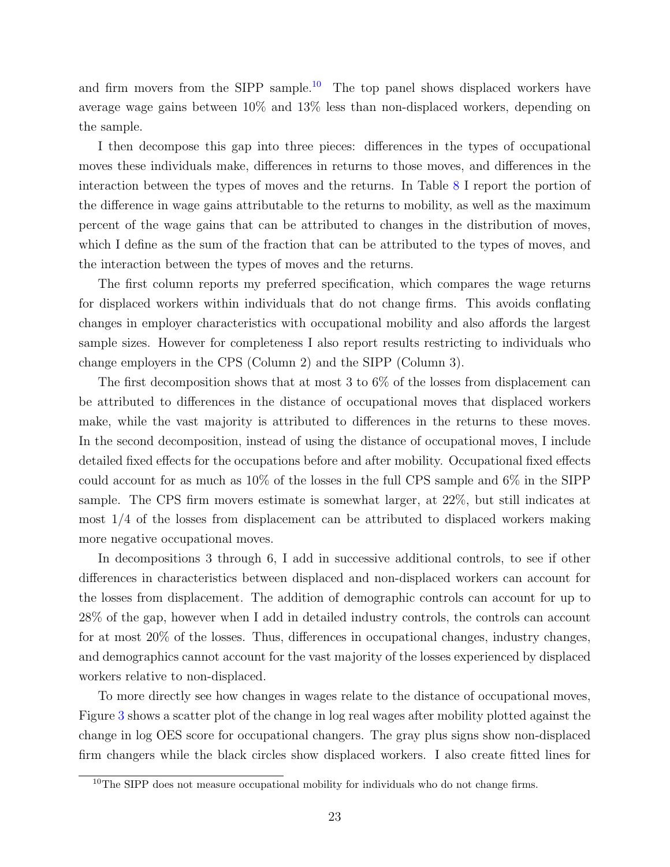and firm movers from the SIPP sample.<sup>[10](#page-22-0)</sup> The top panel shows displaced workers have average wage gains between 10% and 13% less than non-displaced workers, depending on the sample.

I then decompose this gap into three pieces: differences in the types of occupational moves these individuals make, differences in returns to those moves, and differences in the interaction between the types of moves and the returns. In Table [8](#page-39-0) I report the portion of the difference in wage gains attributable to the returns to mobility, as well as the maximum percent of the wage gains that can be attributed to changes in the distribution of moves, which I define as the sum of the fraction that can be attributed to the types of moves, and the interaction between the types of moves and the returns.

The first column reports my preferred specification, which compares the wage returns for displaced workers within individuals that do not change firms. This avoids conflating changes in employer characteristics with occupational mobility and also affords the largest sample sizes. However for completeness I also report results restricting to individuals who change employers in the CPS (Column 2) and the SIPP (Column 3).

The first decomposition shows that at most 3 to 6% of the losses from displacement can be attributed to differences in the distance of occupational moves that displaced workers make, while the vast majority is attributed to differences in the returns to these moves. In the second decomposition, instead of using the distance of occupational moves, I include detailed fixed effects for the occupations before and after mobility. Occupational fixed effects could account for as much as 10% of the losses in the full CPS sample and 6% in the SIPP sample. The CPS firm movers estimate is somewhat larger, at 22%, but still indicates at most 1/4 of the losses from displacement can be attributed to displaced workers making more negative occupational moves.

In decompositions 3 through 6, I add in successive additional controls, to see if other differences in characteristics between displaced and non-displaced workers can account for the losses from displacement. The addition of demographic controls can account for up to 28% of the gap, however when I add in detailed industry controls, the controls can account for at most 20% of the losses. Thus, differences in occupational changes, industry changes, and demographics cannot account for the vast majority of the losses experienced by displaced workers relative to non-displaced.

To more directly see how changes in wages relate to the distance of occupational moves, Figure [3](#page-32-0) shows a scatter plot of the change in log real wages after mobility plotted against the change in log OES score for occupational changers. The gray plus signs show non-displaced firm changers while the black circles show displaced workers. I also create fitted lines for

<span id="page-22-0"></span><sup>&</sup>lt;sup>10</sup>The SIPP does not measure occupational mobility for individuals who do not change firms.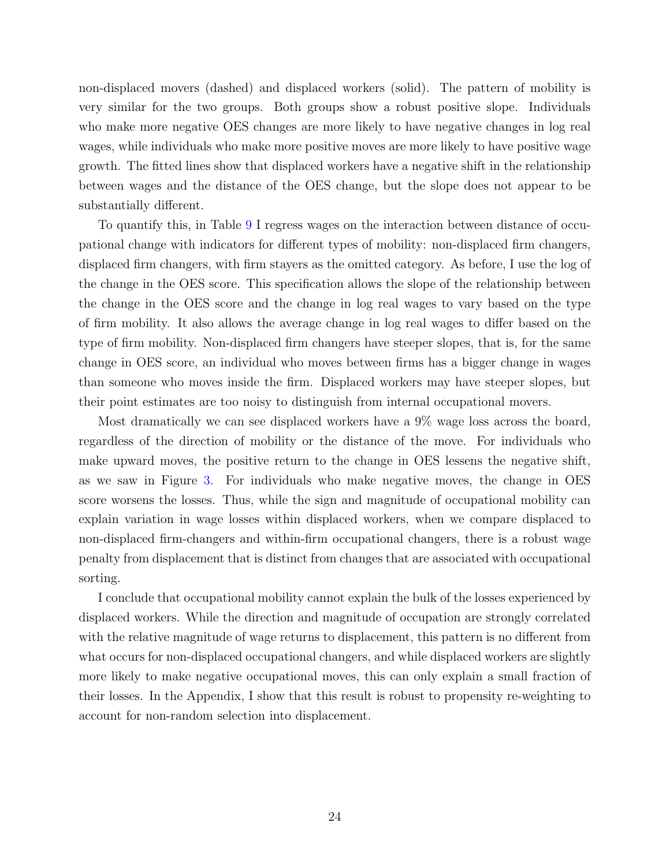non-displaced movers (dashed) and displaced workers (solid). The pattern of mobility is very similar for the two groups. Both groups show a robust positive slope. Individuals who make more negative OES changes are more likely to have negative changes in log real wages, while individuals who make more positive moves are more likely to have positive wage growth. The fitted lines show that displaced workers have a negative shift in the relationship between wages and the distance of the OES change, but the slope does not appear to be substantially different.

To quantify this, in Table [9](#page-40-0) I regress wages on the interaction between distance of occupational change with indicators for different types of mobility: non-displaced firm changers, displaced firm changers, with firm stayers as the omitted category. As before, I use the log of the change in the OES score. This specification allows the slope of the relationship between the change in the OES score and the change in log real wages to vary based on the type of firm mobility. It also allows the average change in log real wages to differ based on the type of firm mobility. Non-displaced firm changers have steeper slopes, that is, for the same change in OES score, an individual who moves between firms has a bigger change in wages than someone who moves inside the firm. Displaced workers may have steeper slopes, but their point estimates are too noisy to distinguish from internal occupational movers.

Most dramatically we can see displaced workers have a 9% wage loss across the board, regardless of the direction of mobility or the distance of the move. For individuals who make upward moves, the positive return to the change in OES lessens the negative shift, as we saw in Figure [3.](#page-32-0) For individuals who make negative moves, the change in OES score worsens the losses. Thus, while the sign and magnitude of occupational mobility can explain variation in wage losses within displaced workers, when we compare displaced to non-displaced firm-changers and within-firm occupational changers, there is a robust wage penalty from displacement that is distinct from changes that are associated with occupational sorting.

I conclude that occupational mobility cannot explain the bulk of the losses experienced by displaced workers. While the direction and magnitude of occupation are strongly correlated with the relative magnitude of wage returns to displacement, this pattern is no different from what occurs for non-displaced occupational changers, and while displaced workers are slightly more likely to make negative occupational moves, this can only explain a small fraction of their losses. In the Appendix, I show that this result is robust to propensity re-weighting to account for non-random selection into displacement.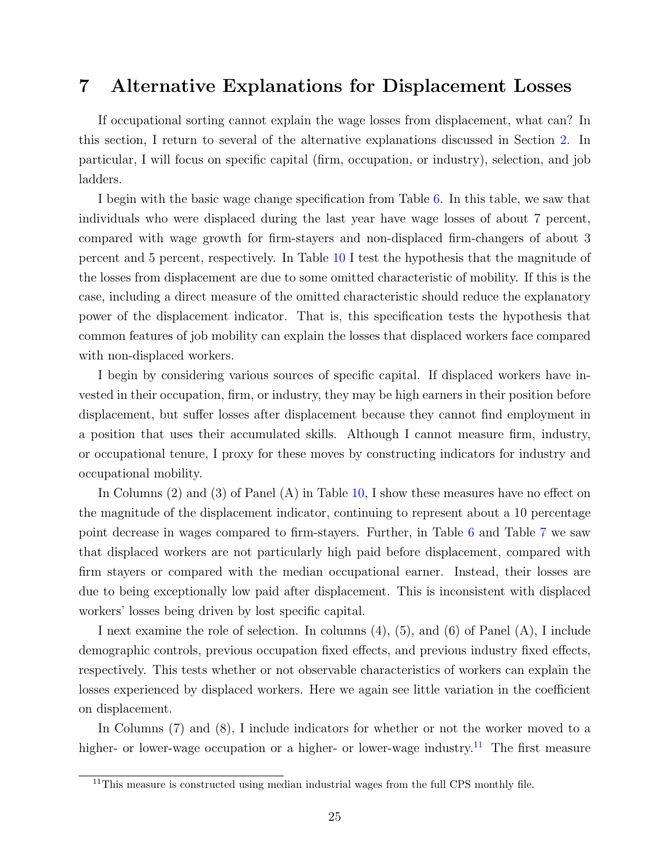### <span id="page-24-0"></span>7 Alternative Explanations for Displacement Losses

If occupational sorting cannot explain the wage losses from displacement, what can? In this section, I return to several of the alternative explanations discussed in Section [2.](#page-5-0) In particular, I will focus on specific capital (firm, occupation, or industry), selection, and job ladders.

I begin with the basic wage change specification from Table [6.](#page-38-0) In this table, we saw that individuals who were displaced during the last year have wage losses of about 7 percent, compared with wage growth for firm-stayers and non-displaced firm-changers of about 3 percent and 5 percent, respectively. In Table [10](#page-41-0) I test the hypothesis that the magnitude of the losses from displacement are due to some omitted characteristic of mobility. If this is the case, including a direct measure of the omitted characteristic should reduce the explanatory power of the displacement indicator. That is, this specification tests the hypothesis that common features of job mobility can explain the losses that displaced workers face compared with non-displaced workers.

I begin by considering various sources of specific capital. If displaced workers have invested in their occupation, firm, or industry, they may be high earners in their position before displacement, but suffer losses after displacement because they cannot find employment in a position that uses their accumulated skills. Although I cannot measure firm, industry, or occupational tenure, I proxy for these moves by constructing indicators for industry and occupational mobility.

In Columns (2) and (3) of Panel (A) in Table [10,](#page-41-0) I show these measures have no effect on the magnitude of the displacement indicator, continuing to represent about a 10 percentage point decrease in wages compared to firm-stayers. Further, in Table [6](#page-38-0) and Table [7](#page-38-1) we saw that displaced workers are not particularly high paid before displacement, compared with firm stayers or compared with the median occupational earner. Instead, their losses are due to being exceptionally low paid after displacement. This is inconsistent with displaced workers' losses being driven by lost specific capital.

I next examine the role of selection. In columns (4), (5), and (6) of Panel (A), I include demographic controls, previous occupation fixed effects, and previous industry fixed effects, respectively. This tests whether or not observable characteristics of workers can explain the losses experienced by displaced workers. Here we again see little variation in the coefficient on displacement.

In Columns (7) and (8), I include indicators for whether or not the worker moved to a higher- or lower-wage occupation or a higher- or lower-wage industry.<sup>[11](#page-24-1)</sup> The first measure

<span id="page-24-1"></span><sup>&</sup>lt;sup>11</sup>This measure is constructed using median industrial wages from the full CPS monthly file.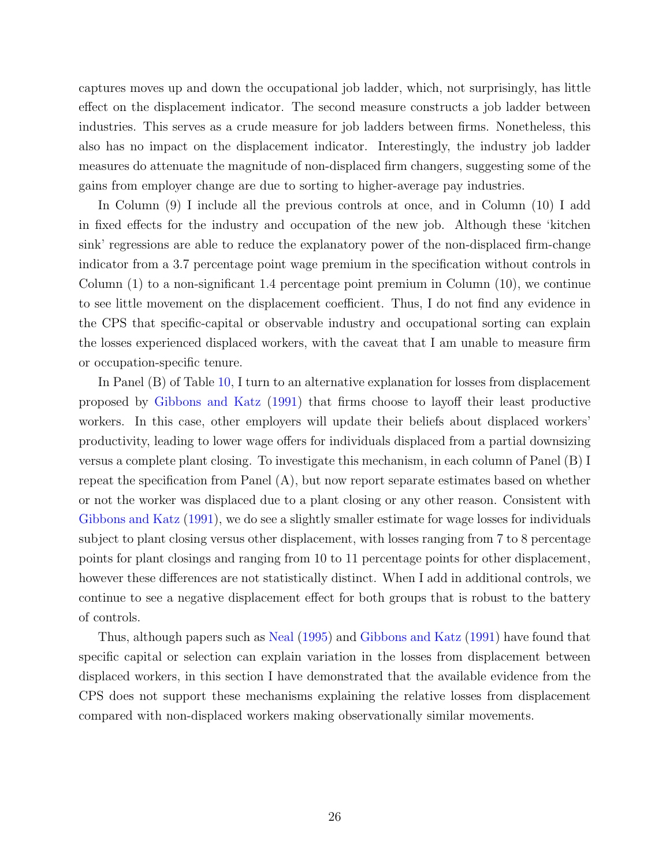captures moves up and down the occupational job ladder, which, not surprisingly, has little effect on the displacement indicator. The second measure constructs a job ladder between industries. This serves as a crude measure for job ladders between firms. Nonetheless, this also has no impact on the displacement indicator. Interestingly, the industry job ladder measures do attenuate the magnitude of non-displaced firm changers, suggesting some of the gains from employer change are due to sorting to higher-average pay industries.

In Column (9) I include all the previous controls at once, and in Column (10) I add in fixed effects for the industry and occupation of the new job. Although these 'kitchen sink' regressions are able to reduce the explanatory power of the non-displaced firm-change indicator from a 3.7 percentage point wage premium in the specification without controls in Column  $(1)$  to a non-significant 1.4 percentage point premium in Column  $(10)$ , we continue to see little movement on the displacement coefficient. Thus, I do not find any evidence in the CPS that specific-capital or observable industry and occupational sorting can explain the losses experienced displaced workers, with the caveat that I am unable to measure firm or occupation-specific tenure.

In Panel (B) of Table [10,](#page-41-0) I turn to an alternative explanation for losses from displacement proposed by [Gibbons and Katz](#page-28-13) [\(1991\)](#page-28-13) that firms choose to layoff their least productive workers. In this case, other employers will update their beliefs about displaced workers' productivity, leading to lower wage offers for individuals displaced from a partial downsizing versus a complete plant closing. To investigate this mechanism, in each column of Panel (B) I repeat the specification from Panel (A), but now report separate estimates based on whether or not the worker was displaced due to a plant closing or any other reason. Consistent with [Gibbons and Katz](#page-28-13) [\(1991\)](#page-28-13), we do see a slightly smaller estimate for wage losses for individuals subject to plant closing versus other displacement, with losses ranging from 7 to 8 percentage points for plant closings and ranging from 10 to 11 percentage points for other displacement, however these differences are not statistically distinct. When I add in additional controls, we continue to see a negative displacement effect for both groups that is robust to the battery of controls.

Thus, although papers such as [Neal](#page-29-4) [\(1995\)](#page-29-4) and [Gibbons and Katz](#page-28-13) [\(1991\)](#page-28-13) have found that specific capital or selection can explain variation in the losses from displacement between displaced workers, in this section I have demonstrated that the available evidence from the CPS does not support these mechanisms explaining the relative losses from displacement compared with non-displaced workers making observationally similar movements.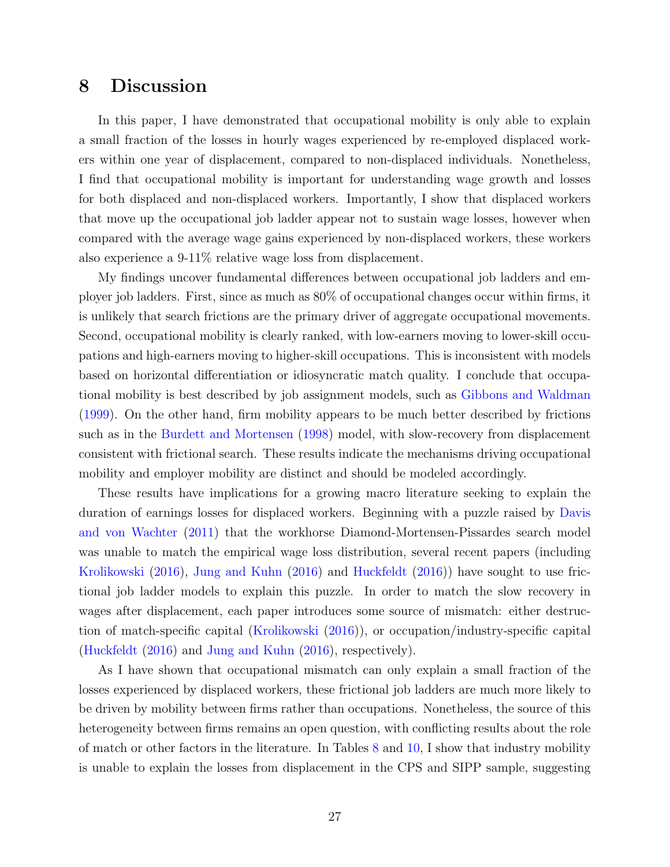### <span id="page-26-0"></span>8 Discussion

In this paper, I have demonstrated that occupational mobility is only able to explain a small fraction of the losses in hourly wages experienced by re-employed displaced workers within one year of displacement, compared to non-displaced individuals. Nonetheless, I find that occupational mobility is important for understanding wage growth and losses for both displaced and non-displaced workers. Importantly, I show that displaced workers that move up the occupational job ladder appear not to sustain wage losses, however when compared with the average wage gains experienced by non-displaced workers, these workers also experience a 9-11% relative wage loss from displacement.

My findings uncover fundamental differences between occupational job ladders and employer job ladders. First, since as much as 80% of occupational changes occur within firms, it is unlikely that search frictions are the primary driver of aggregate occupational movements. Second, occupational mobility is clearly ranked, with low-earners moving to lower-skill occupations and high-earners moving to higher-skill occupations. This is inconsistent with models based on horizontal differentiation or idiosyncratic match quality. I conclude that occupational mobility is best described by job assignment models, such as [Gibbons and Waldman](#page-28-0) [\(1999\)](#page-28-0). On the other hand, firm mobility appears to be much better described by frictions such as in the [Burdett and Mortensen](#page-28-12) [\(1998\)](#page-28-12) model, with slow-recovery from displacement consistent with frictional search. These results indicate the mechanisms driving occupational mobility and employer mobility are distinct and should be modeled accordingly.

These results have implications for a growing macro literature seeking to explain the duration of earnings losses for displaced workers. Beginning with a puzzle raised by [Davis](#page-28-15) [and von Wachter](#page-28-15) [\(2011\)](#page-28-15) that the workhorse Diamond-Mortensen-Pissardes search model was unable to match the empirical wage loss distribution, several recent papers (including [Krolikowski](#page-28-16) [\(2016\)](#page-28-16), [Jung and Kuhn](#page-28-17) [\(2016\)](#page-28-17) and [Huckfeldt](#page-28-3) [\(2016\)](#page-28-3)) have sought to use frictional job ladder models to explain this puzzle. In order to match the slow recovery in wages after displacement, each paper introduces some source of mismatch: either destruction of match-specific capital [\(Krolikowski](#page-28-16) [\(2016\)](#page-28-16)), or occupation/industry-specific capital [\(Huckfeldt](#page-28-3) [\(2016\)](#page-28-3) and [Jung and Kuhn](#page-28-17) [\(2016\)](#page-28-17), respectively).

As I have shown that occupational mismatch can only explain a small fraction of the losses experienced by displaced workers, these frictional job ladders are much more likely to be driven by mobility between firms rather than occupations. Nonetheless, the source of this heterogeneity between firms remains an open question, with conflicting results about the role of match or other factors in the literature. In Tables [8](#page-39-0) and [10,](#page-41-0) I show that industry mobility is unable to explain the losses from displacement in the CPS and SIPP sample, suggesting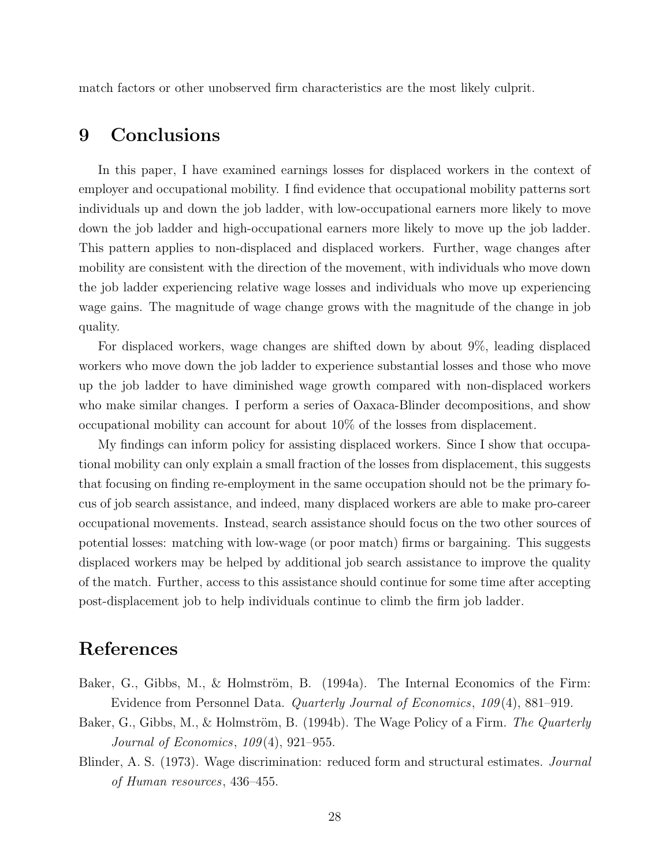match factors or other unobserved firm characteristics are the most likely culprit.

### <span id="page-27-1"></span>9 Conclusions

In this paper, I have examined earnings losses for displaced workers in the context of employer and occupational mobility. I find evidence that occupational mobility patterns sort individuals up and down the job ladder, with low-occupational earners more likely to move down the job ladder and high-occupational earners more likely to move up the job ladder. This pattern applies to non-displaced and displaced workers. Further, wage changes after mobility are consistent with the direction of the movement, with individuals who move down the job ladder experiencing relative wage losses and individuals who move up experiencing wage gains. The magnitude of wage change grows with the magnitude of the change in job quality.

For displaced workers, wage changes are shifted down by about 9%, leading displaced workers who move down the job ladder to experience substantial losses and those who move up the job ladder to have diminished wage growth compared with non-displaced workers who make similar changes. I perform a series of Oaxaca-Blinder decompositions, and show occupational mobility can account for about 10% of the losses from displacement.

My findings can inform policy for assisting displaced workers. Since I show that occupational mobility can only explain a small fraction of the losses from displacement, this suggests that focusing on finding re-employment in the same occupation should not be the primary focus of job search assistance, and indeed, many displaced workers are able to make pro-career occupational movements. Instead, search assistance should focus on the two other sources of potential losses: matching with low-wage (or poor match) firms or bargaining. This suggests displaced workers may be helped by additional job search assistance to improve the quality of the match. Further, access to this assistance should continue for some time after accepting post-displacement job to help individuals continue to climb the firm job ladder.

### References

- <span id="page-27-0"></span>Baker, G., Gibbs, M., & Holmström, B. (1994a). The Internal Economics of the Firm: Evidence from Personnel Data. Quarterly Journal of Economics, 109 (4), 881–919.
- <span id="page-27-3"></span>Baker, G., Gibbs, M., & Holmström, B. (1994b). The Wage Policy of a Firm. The Quarterly Journal of Economics, 109 (4), 921–955.
- <span id="page-27-2"></span>Blinder, A. S. (1973). Wage discrimination: reduced form and structural estimates. Journal of Human resources, 436–455.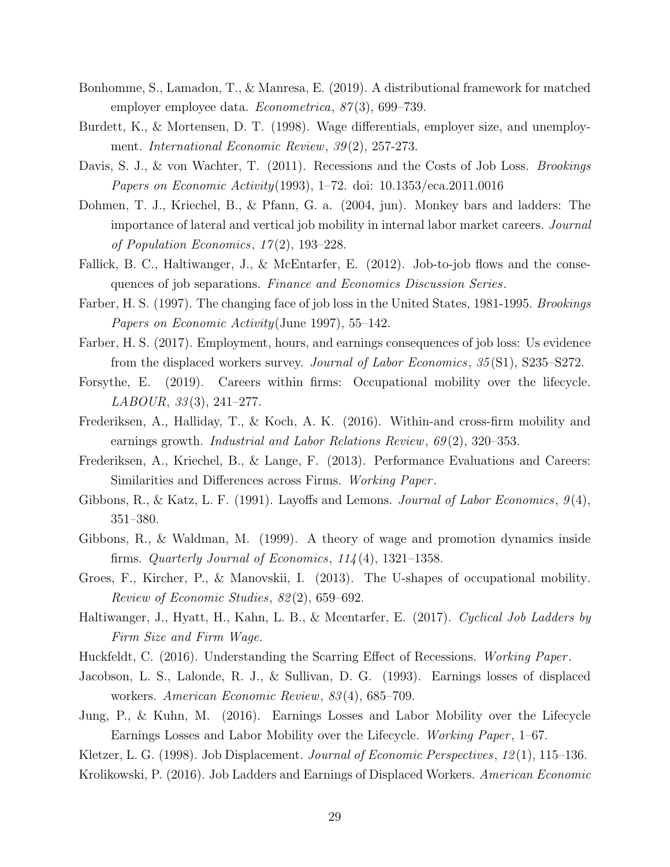- <span id="page-28-4"></span>Bonhomme, S., Lamadon, T., & Manresa, E. (2019). A distributional framework for matched employer employee data. *Econometrica*, 87(3), 699–739.
- <span id="page-28-12"></span>Burdett, K., & Mortensen, D. T. (1998). Wage differentials, employer size, and unemployment. International Economic Review, 39 (2), 257-273.
- <span id="page-28-15"></span>Davis, S. J., & von Wachter, T. (2011). Recessions and the Costs of Job Loss. *Brookings* Papers on Economic Activity(1993), 1–72. doi: 10.1353/eca.2011.0016
- <span id="page-28-14"></span>Dohmen, T. J., Kriechel, B., & Pfann, G. a. (2004, jun). Monkey bars and ladders: The importance of lateral and vertical job mobility in internal labor market careers. Journal of Population Economics, 17 (2), 193–228.
- <span id="page-28-5"></span>Fallick, B. C., Haltiwanger, J., & McEntarfer, E. (2012). Job-to-job flows and the consequences of job separations. Finance and Economics Discussion Series.
- <span id="page-28-10"></span>Farber, H. S. (1997). The changing face of job loss in the United States, 1981-1995. Brookings Papers on Economic Activity(June 1997), 55–142.
- <span id="page-28-11"></span>Farber, H. S. (2017). Employment, hours, and earnings consequences of job loss: Us evidence from the displaced workers survey. Journal of Labor Economics, 35 (S1), S235–S272.
- <span id="page-28-18"></span>Forsythe, E. (2019). Careers within firms: Occupational mobility over the lifecycle.  $LABOUR, 33(3), 241-277.$
- <span id="page-28-7"></span>Frederiksen, A., Halliday, T., & Koch, A. K. (2016). Within-and cross-firm mobility and earnings growth. *Industrial and Labor Relations Review*,  $69(2)$ , 320–353.
- <span id="page-28-9"></span>Frederiksen, A., Kriechel, B., & Lange, F. (2013). Performance Evaluations and Careers: Similarities and Differences across Firms. Working Paper.
- <span id="page-28-13"></span>Gibbons, R., & Katz, L. F. (1991). Layoffs and Lemons. Journal of Labor Economics,  $9(4)$ , 351–380.
- <span id="page-28-0"></span>Gibbons, R., & Waldman, M. (1999). A theory of wage and promotion dynamics inside firms. Quarterly Journal of Economics,  $114(4)$ , 1321–1358.
- <span id="page-28-6"></span>Groes, F., Kircher, P., & Manovskii, I. (2013). The U-shapes of occupational mobility. Review of Economic Studies, 82 (2), 659–692.
- <span id="page-28-8"></span>Haltiwanger, J., Hyatt, H., Kahn, L. B., & Mcentarfer, E. (2017). Cyclical Job Ladders by Firm Size and Firm Wage.
- <span id="page-28-3"></span><span id="page-28-1"></span>Huckfeldt, C. (2016). Understanding the Scarring Effect of Recessions. Working Paper.
- Jacobson, L. S., Lalonde, R. J., & Sullivan, D. G. (1993). Earnings losses of displaced workers. American Economic Review, 83 (4), 685–709.
- <span id="page-28-17"></span>Jung, P., & Kuhn, M. (2016). Earnings Losses and Labor Mobility over the Lifecycle Earnings Losses and Labor Mobility over the Lifecycle. Working Paper, 1–67.

<span id="page-28-16"></span><span id="page-28-2"></span>Kletzer, L. G. (1998). Job Displacement. Journal of Economic Perspectives, 12 (1), 115–136.

Krolikowski, P. (2016). Job Ladders and Earnings of Displaced Workers. American Economic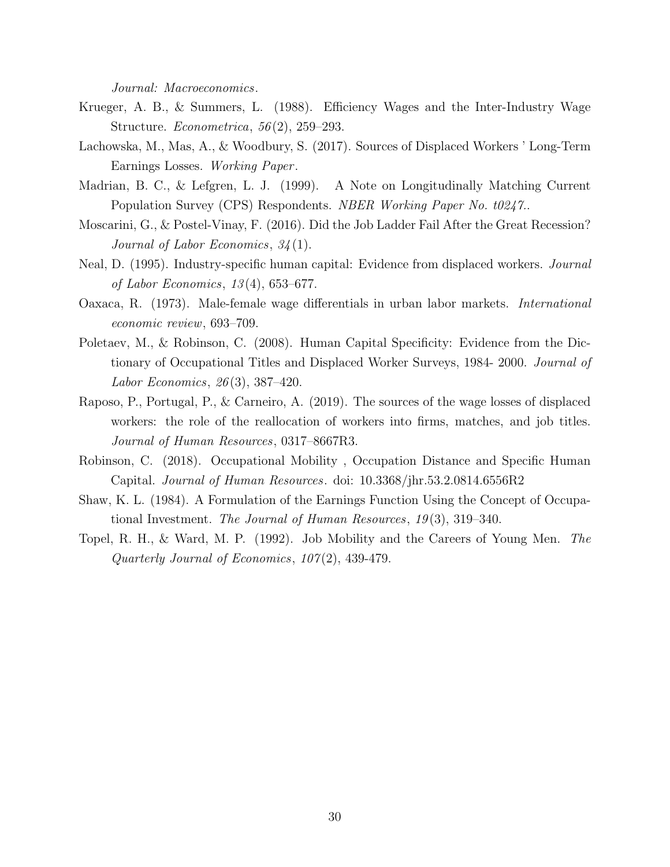Journal: Macroeconomics.

- <span id="page-29-6"></span>Krueger, A. B., & Summers, L. (1988). Efficiency Wages and the Inter-Industry Wage Structure. Econometrica, 56 (2), 259–293.
- <span id="page-29-2"></span>Lachowska, M., Mas, A., & Woodbury, S. (2017). Sources of Displaced Workers ' Long-Term Earnings Losses. Working Paper .
- <span id="page-29-9"></span>Madrian, B. C., & Lefgren, L. J. (1999). A Note on Longitudinally Matching Current Population Survey (CPS) Respondents. NBER Working Paper No. t0247..
- <span id="page-29-3"></span>Moscarini, G., & Postel-Vinay, F. (2016). Did the Job Ladder Fail After the Great Recession? Journal of Labor Economics, 34 (1).
- <span id="page-29-4"></span>Neal, D. (1995). Industry-specific human capital: Evidence from displaced workers. Journal of Labor Economics, 13 (4), 653–677.
- <span id="page-29-10"></span>Oaxaca, R. (1973). Male-female wage differentials in urban labor markets. International economic review, 693–709.
- <span id="page-29-5"></span>Poletaev, M., & Robinson, C. (2008). Human Capital Specificity: Evidence from the Dictionary of Occupational Titles and Displaced Worker Surveys, 1984- 2000. Journal of Labor Economics, 26 (3), 387–420.
- <span id="page-29-7"></span>Raposo, P., Portugal, P., & Carneiro, A. (2019). The sources of the wage losses of displaced workers: the role of the reallocation of workers into firms, matches, and job titles. Journal of Human Resources, 0317–8667R3.
- <span id="page-29-1"></span>Robinson, C. (2018). Occupational Mobility , Occupation Distance and Specific Human Capital. Journal of Human Resources. doi: 10.3368/jhr.53.2.0814.6556R2
- <span id="page-29-8"></span>Shaw, K. L. (1984). A Formulation of the Earnings Function Using the Concept of Occupational Investment. The Journal of Human Resources, 19(3), 319–340.
- <span id="page-29-0"></span>Topel, R. H., & Ward, M. P. (1992). Job Mobility and the Careers of Young Men. The Quarterly Journal of Economics, 107 (2), 439-479.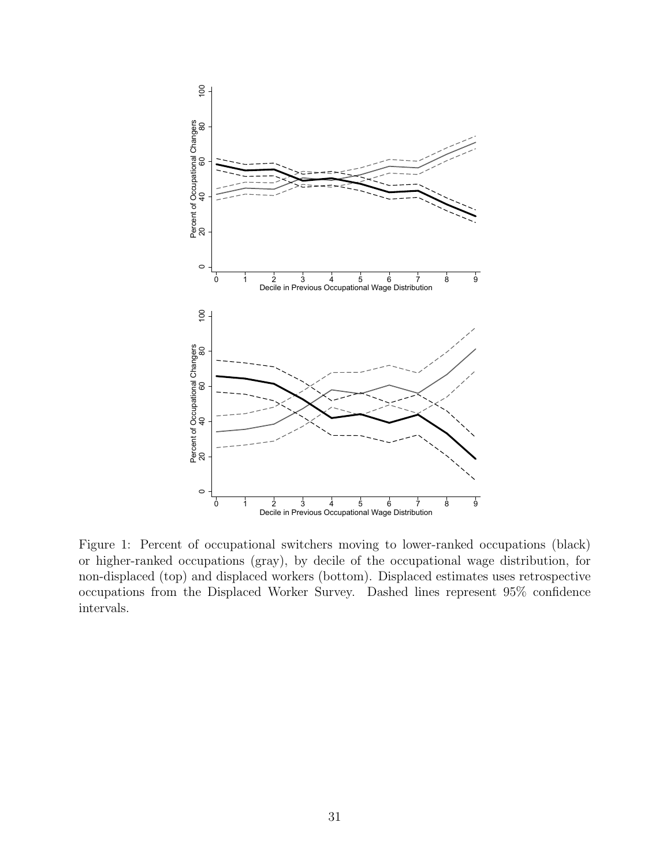<span id="page-30-0"></span>

Figure 1: Percent of occupational switchers moving to lower-ranked occupations (black) or higher-ranked occupations (gray), by decile of the occupational wage distribution, for non-displaced (top) and displaced workers (bottom). Displaced estimates uses retrospective occupations from the Displaced Worker Survey. Dashed lines represent 95% confidence intervals.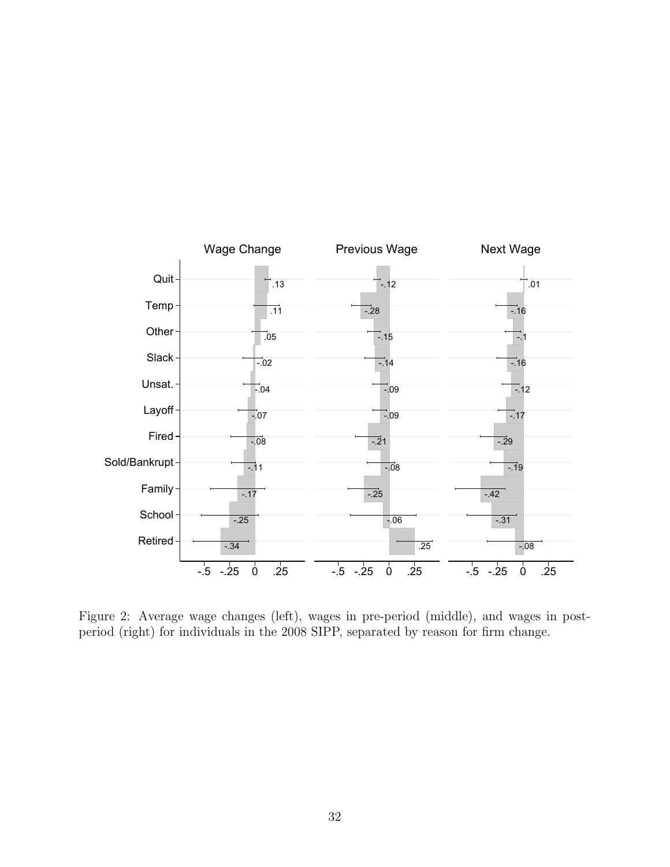<span id="page-31-0"></span>

Figure 2: Average wage changes (left), wages in pre-period (middle), and wages in postperiod (right) for individuals in the 2008 SIPP, separated by reason for firm change.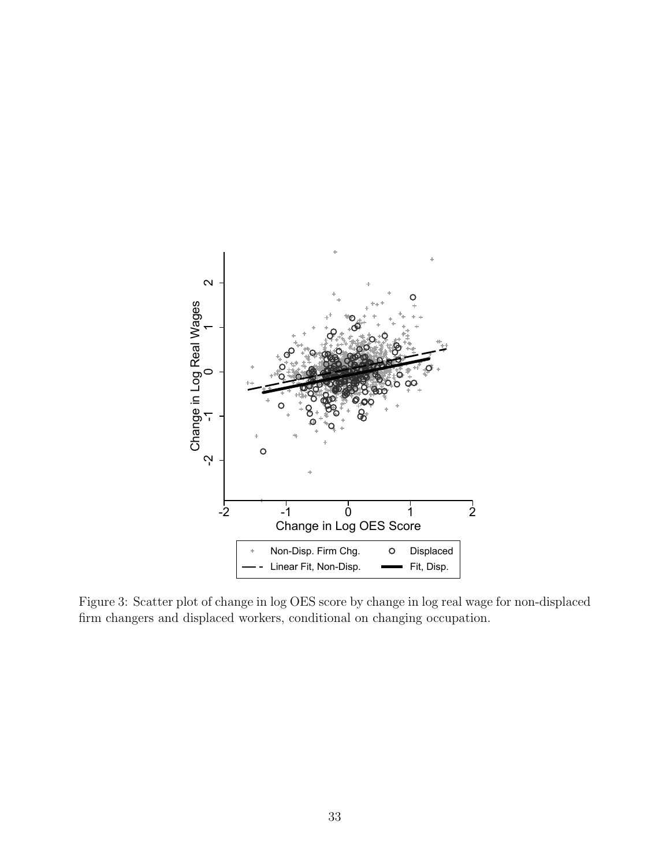<span id="page-32-0"></span>

Figure 3: Scatter plot of change in log OES score by change in log real wage for non-displaced firm changers and displaced workers, conditional on changing occupation.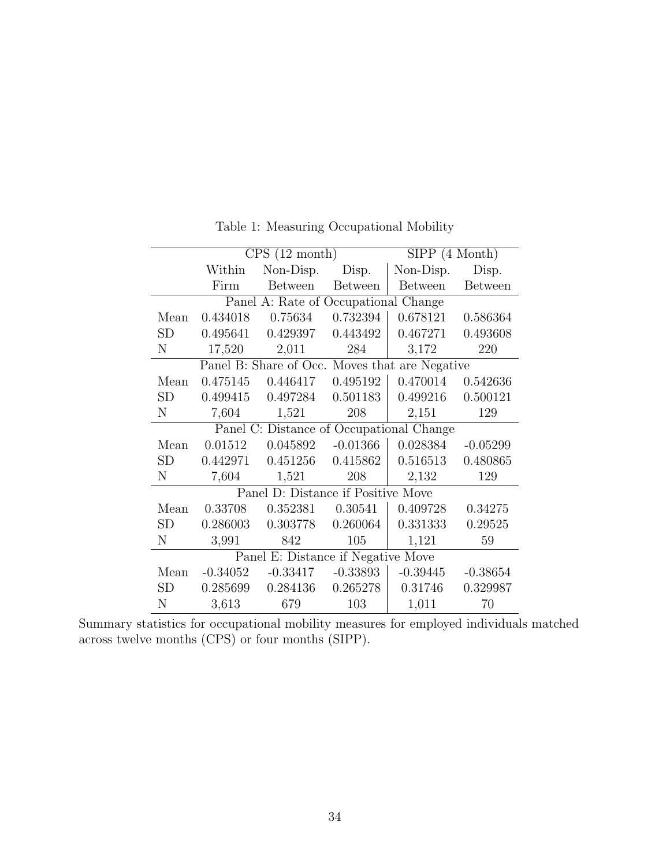<span id="page-33-0"></span>

|                                          |            | CPS(12 month)                        |                | $SIPP(4 \; \text{Month})$                      |                |  |
|------------------------------------------|------------|--------------------------------------|----------------|------------------------------------------------|----------------|--|
|                                          | Within     | Non-Disp.                            | Disp.          | Non-Disp.                                      | Disp.          |  |
|                                          | Firm       | <b>Between</b>                       | <b>Between</b> | <b>Between</b>                                 | <b>Between</b> |  |
|                                          |            | Panel A: Rate of Occupational Change |                |                                                |                |  |
| Mean                                     | 0.434018   | 0.75634                              | 0.732394       | 0.678121                                       | 0.586364       |  |
| SD                                       | 0.495641   | 0.429397                             | 0.443492       | 0.467271                                       | 0.493608       |  |
| $\mathbf N$                              | 17,520     | 2,011                                | 284            | 3,172                                          | 220            |  |
|                                          |            |                                      |                | Panel B: Share of Occ. Moves that are Negative |                |  |
| Mean                                     | 0.475145   | 0.446417                             | 0.495192       | 0.470014                                       | 0.542636       |  |
| SD                                       | 0.499415   | 0.497284                             | 0.501183       | 0.499216                                       | 0.500121       |  |
| N                                        | 7,604      | 1,521                                | 208            | 2,151                                          | 129            |  |
| Panel C: Distance of Occupational Change |            |                                      |                |                                                |                |  |
| Mean                                     | 0.01512    | 0.045892                             | $-0.01366$     | 0.028384                                       | $-0.05299$     |  |
| <b>SD</b>                                | 0.442971   | 0.451256                             | 0.415862       | 0.516513                                       | 0.480865       |  |
| $\mathbf N$                              | 7,604      | 1,521                                | 208            | 2,132                                          | 129            |  |
|                                          |            | Panel D: Distance if Positive Move   |                |                                                |                |  |
| Mean                                     | 0.33708    | 0.352381                             | 0.30541        | 0.409728                                       | 0.34275        |  |
| SD                                       | 0.286003   | 0.303778                             | 0.260064       | 0.331333                                       | 0.29525        |  |
| N                                        | 3,991      | 842                                  | 105            | 1,121                                          | 59             |  |
|                                          |            | Panel E: Distance if Negative Move   |                |                                                |                |  |
| Mean                                     | $-0.34052$ | $-0.33417$                           | $-0.33893$     | $-0.39445$                                     | $-0.38654$     |  |
| SD                                       | 0.285699   | 0.284136                             | 0.265278       | 0.31746                                        | 0.329987       |  |
| N                                        | 3,613      | 679                                  | 103            | 1,011                                          | 70             |  |

Table 1: Measuring Occupational Mobility

Summary statistics for occupational mobility measures for employed individuals matched across twelve months (CPS) or four months (SIPP).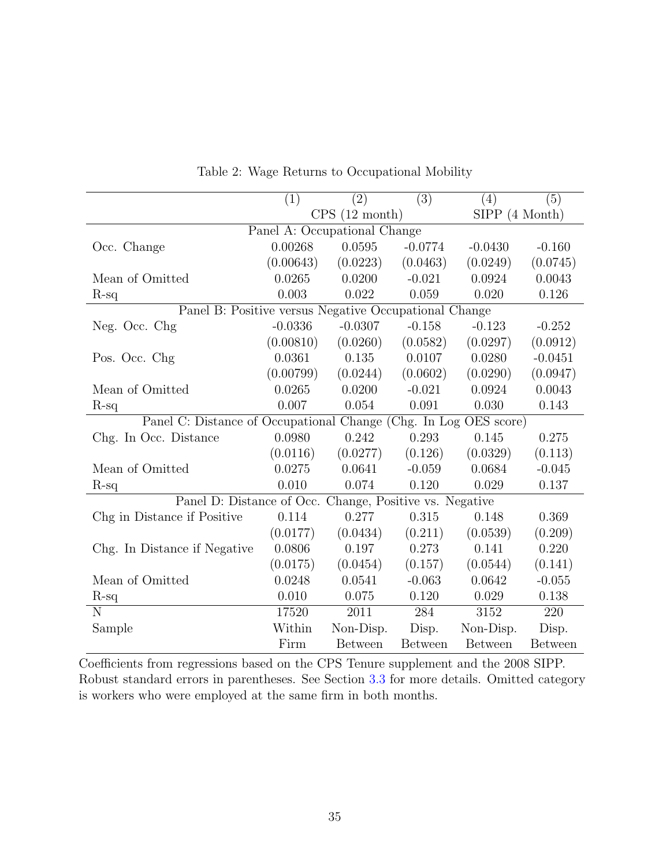<span id="page-34-0"></span>

|                                                                  | (1)       | (2)                          | $\overline{(3)}$ | (4)                       | (5)            |
|------------------------------------------------------------------|-----------|------------------------------|------------------|---------------------------|----------------|
|                                                                  |           | CPS(12 month)                |                  | $SIPP(4 \; \text{Month})$ |                |
|                                                                  |           | Panel A: Occupational Change |                  |                           |                |
| Occ. Change                                                      | 0.00268   | 0.0595                       | $-0.0774$        | $-0.0430$                 | $-0.160$       |
|                                                                  | (0.00643) | (0.0223)                     | (0.0463)         | (0.0249)                  | (0.0745)       |
| Mean of Omitted                                                  | 0.0265    | 0.0200                       | $-0.021$         | 0.0924                    | 0.0043         |
| $R-sq$                                                           | 0.003     | 0.022                        | 0.059            | 0.020                     | 0.126          |
| Panel B: Positive versus Negative Occupational Change            |           |                              |                  |                           |                |
| Neg. Occ. Chg                                                    | $-0.0336$ | $-0.0307$                    | $-0.158$         | $-0.123$                  | $-0.252$       |
|                                                                  | (0.00810) | (0.0260)                     | (0.0582)         | (0.0297)                  | (0.0912)       |
| Pos. Occ. Chg                                                    | 0.0361    | 0.135                        | 0.0107           | 0.0280                    | $-0.0451$      |
|                                                                  | (0.00799) | (0.0244)                     | (0.0602)         | (0.0290)                  | (0.0947)       |
| Mean of Omitted                                                  | 0.0265    | 0.0200                       | $-0.021$         | 0.0924                    | 0.0043         |
| $R-sq$                                                           | 0.007     | 0.054                        | 0.091            | 0.030                     | 0.143          |
| Panel C: Distance of Occupational Change (Chg. In Log OES score) |           |                              |                  |                           |                |
| Chg. In Occ. Distance                                            | 0.0980    | 0.242                        | 0.293            | 0.145                     | 0.275          |
|                                                                  | (0.0116)  | (0.0277)                     | (0.126)          | (0.0329)                  | (0.113)        |
| Mean of Omitted                                                  | 0.0275    | 0.0641                       | $-0.059$         | 0.0684                    | $-0.045$       |
| $R$ -sq                                                          | 0.010     | 0.074                        | 0.120            | 0.029                     | 0.137          |
| Panel D: Distance of Occ. Change, Positive vs. Negative          |           |                              |                  |                           |                |
| Chg in Distance if Positive                                      | 0.114     | 0.277                        | 0.315            | 0.148                     | 0.369          |
|                                                                  | (0.0177)  | (0.0434)                     | (0.211)          | (0.0539)                  | (0.209)        |
| Chg. In Distance if Negative                                     | 0.0806    | 0.197                        | 0.273            | 0.141                     | 0.220          |
|                                                                  | (0.0175)  | (0.0454)                     | (0.157)          | (0.0544)                  | (0.141)        |
| Mean of Omitted                                                  | 0.0248    | 0.0541                       | $-0.063$         | 0.0642                    | $-0.055$       |
| $R-sq$                                                           | 0.010     | 0.075                        | 0.120            | 0.029                     | 0.138          |
| N                                                                | 17520     | 2011                         | 284              | 3152                      | 220            |
| Sample                                                           | Within    | Non-Disp.                    | Disp.            | Non-Disp.                 | Disp.          |
|                                                                  | Firm      | <b>Between</b>               | <b>Between</b>   | <b>Between</b>            | <b>Between</b> |

Table 2: Wage Returns to Occupational Mobility

Coefficients from regressions based on the CPS Tenure supplement and the 2008 SIPP. Robust standard errors in parentheses. See Section [3.3](#page-9-1) for more details. Omitted category is workers who were employed at the same firm in both months.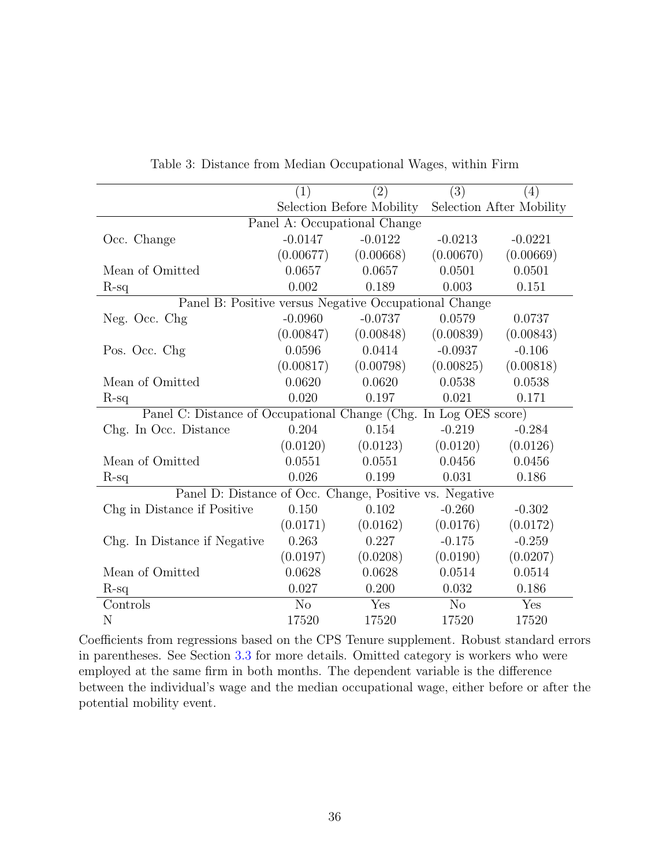<span id="page-35-0"></span>

|                                                                  | (1)            | (2)                          | $\overline{(3)}$ | (4)                      |
|------------------------------------------------------------------|----------------|------------------------------|------------------|--------------------------|
|                                                                  |                | Selection Before Mobility    |                  | Selection After Mobility |
|                                                                  |                | Panel A: Occupational Change |                  |                          |
| Occ. Change                                                      | $-0.0147$      | $-0.0122$                    | $-0.0213$        | $-0.0221$                |
|                                                                  | (0.00677)      | (0.00668)                    | (0.00670)        | (0.00669)                |
| Mean of Omitted                                                  | 0.0657         | 0.0657                       | 0.0501           | 0.0501                   |
| $R-sq$                                                           | 0.002          | 0.189                        | 0.003            | 0.151                    |
| Panel B: Positive versus Negative Occupational Change            |                |                              |                  |                          |
| Neg. Occ. Chg                                                    | $-0.0960$      | $-0.0737$                    | 0.0579           | 0.0737                   |
|                                                                  | (0.00847)      | (0.00848)                    | (0.00839)        | (0.00843)                |
| Pos. Occ. Chg                                                    | 0.0596         | 0.0414                       | $-0.0937$        | $-0.106$                 |
|                                                                  | (0.00817)      | (0.00798)                    | (0.00825)        | (0.00818)                |
| Mean of Omitted                                                  | 0.0620         | 0.0620                       | 0.0538           | 0.0538                   |
| $R$ -sq                                                          | 0.020          | 0.197                        | 0.021            | 0.171                    |
| Panel C: Distance of Occupational Change (Chg. In Log OES score) |                |                              |                  |                          |
| Chg. In Occ. Distance                                            | 0.204          | 0.154                        | $-0.219$         | $-0.284$                 |
|                                                                  | (0.0120)       | (0.0123)                     | (0.0120)         | (0.0126)                 |
| Mean of Omitted                                                  | 0.0551         | 0.0551                       | 0.0456           | 0.0456                   |
| $R-sq$                                                           | 0.026          | 0.199                        | 0.031            | 0.186                    |
| Panel D: Distance of Occ. Change, Positive vs. Negative          |                |                              |                  |                          |
| Chg in Distance if Positive                                      | 0.150          | 0.102                        | $-0.260$         | $-0.302$                 |
|                                                                  | (0.0171)       | (0.0162)                     | (0.0176)         | (0.0172)                 |
| Chg. In Distance if Negative                                     | 0.263          | 0.227                        | $-0.175$         | $-0.259$                 |
|                                                                  | (0.0197)       | (0.0208)                     | (0.0190)         | (0.0207)                 |
| Mean of Omitted                                                  | 0.0628         | 0.0628                       | 0.0514           | 0.0514                   |
| $R-sq$                                                           | 0.027          | 0.200                        | 0.032            | 0.186                    |
| Controls                                                         | N <sub>o</sub> | Yes                          | No               | Yes                      |
| N                                                                | 17520          | 17520                        | 17520            | 17520                    |

Table 3: Distance from Median Occupational Wages, within Firm

Coefficients from regressions based on the CPS Tenure supplement. Robust standard errors in parentheses. See Section [3.3](#page-9-1) for more details. Omitted category is workers who were employed at the same firm in both months. The dependent variable is the difference between the individual's wage and the median occupational wage, either before or after the potential mobility event.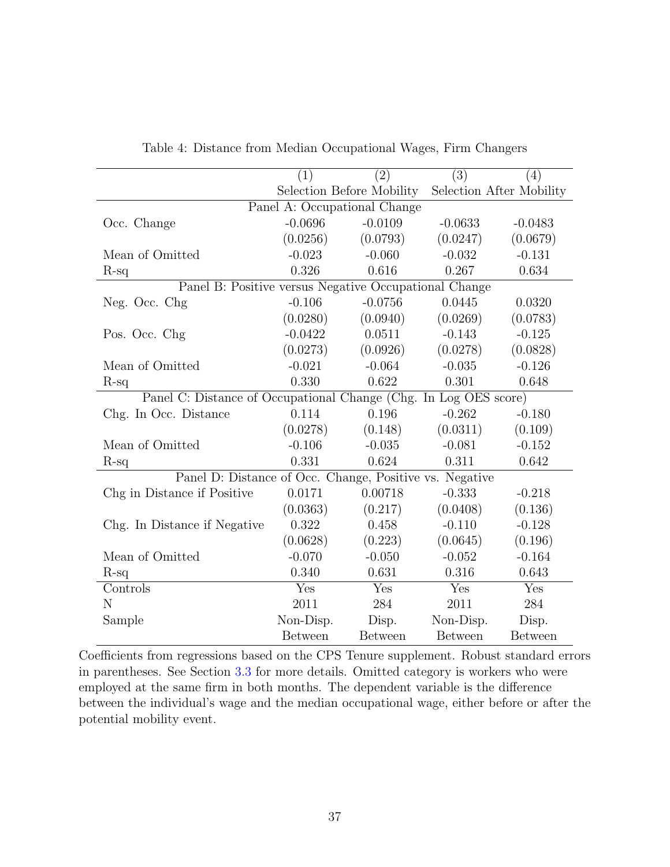<span id="page-36-0"></span>

|                                                                  | (1)                          | (2)                       | $\overline{(3)}$ | (4)                      |  |  |
|------------------------------------------------------------------|------------------------------|---------------------------|------------------|--------------------------|--|--|
|                                                                  |                              | Selection Before Mobility |                  | Selection After Mobility |  |  |
|                                                                  | Panel A: Occupational Change |                           |                  |                          |  |  |
| Occ. Change                                                      | $-0.0696$                    | $-0.0109$                 | $-0.0633$        | $-0.0483$                |  |  |
|                                                                  | (0.0256)                     | (0.0793)                  | (0.0247)         | (0.0679)                 |  |  |
| Mean of Omitted                                                  | $-0.023$                     | $-0.060$                  | $-0.032$         | $-0.131$                 |  |  |
| $R-sq$                                                           | 0.326                        | 0.616                     | 0.267            | 0.634                    |  |  |
| Panel B: Positive versus Negative Occupational Change            |                              |                           |                  |                          |  |  |
| Neg. Occ. Chg                                                    | $-0.106$                     | $-0.0756$                 | 0.0445           | 0.0320                   |  |  |
|                                                                  | (0.0280)                     | (0.0940)                  | (0.0269)         | (0.0783)                 |  |  |
| Pos. Occ. Chg                                                    | $-0.0422$                    | 0.0511                    | $-0.143$         | $-0.125$                 |  |  |
|                                                                  | (0.0273)                     | (0.0926)                  | (0.0278)         | (0.0828)                 |  |  |
| Mean of Omitted                                                  | $-0.021$                     | $-0.064$                  | $-0.035$         | $-0.126$                 |  |  |
| $R$ -sq                                                          | 0.330                        | 0.622                     | 0.301            | 0.648                    |  |  |
| Panel C: Distance of Occupational Change (Chg. In Log OES score) |                              |                           |                  |                          |  |  |
| Chg. In Occ. Distance                                            | 0.114                        | 0.196                     | $-0.262$         | $-0.180$                 |  |  |
|                                                                  | (0.0278)                     | (0.148)                   | (0.0311)         | (0.109)                  |  |  |
| Mean of Omitted                                                  | $-0.106$                     | $-0.035$                  | $-0.081$         | $-0.152$                 |  |  |
| $R$ -sq                                                          | 0.331                        | 0.624                     | 0.311            | 0.642                    |  |  |
| Panel D: Distance of Occ. Change, Positive vs. Negative          |                              |                           |                  |                          |  |  |
| Chg in Distance if Positive                                      | 0.0171                       | 0.00718                   | $-0.333$         | $-0.218$                 |  |  |
|                                                                  | (0.0363)                     | (0.217)                   | (0.0408)         | (0.136)                  |  |  |
| Chg. In Distance if Negative                                     | 0.322                        | 0.458                     | $-0.110$         | $-0.128$                 |  |  |
|                                                                  | (0.0628)                     | (0.223)                   | (0.0645)         | (0.196)                  |  |  |
| Mean of Omitted                                                  | $-0.070$                     | $-0.050$                  | $-0.052$         | $-0.164$                 |  |  |
| $R-sq$                                                           | 0.340                        | 0.631                     | 0.316            | 0.643                    |  |  |
| Controls                                                         | Yes                          | Yes                       | Yes              | Yes                      |  |  |
| N                                                                | 2011                         | 284                       | 2011             | 284                      |  |  |
| Sample                                                           | Non-Disp.                    | Disp.                     | Non-Disp.        | Disp.                    |  |  |
|                                                                  | <b>Between</b>               | <b>Between</b>            | <b>Between</b>   | <b>Between</b>           |  |  |

Table 4: Distance from Median Occupational Wages, Firm Changers

Coefficients from regressions based on the CPS Tenure supplement. Robust standard errors in parentheses. See Section [3.3](#page-9-1) for more details. Omitted category is workers who were employed at the same firm in both months. The dependent variable is the difference between the individual's wage and the median occupational wage, either before or after the potential mobility event.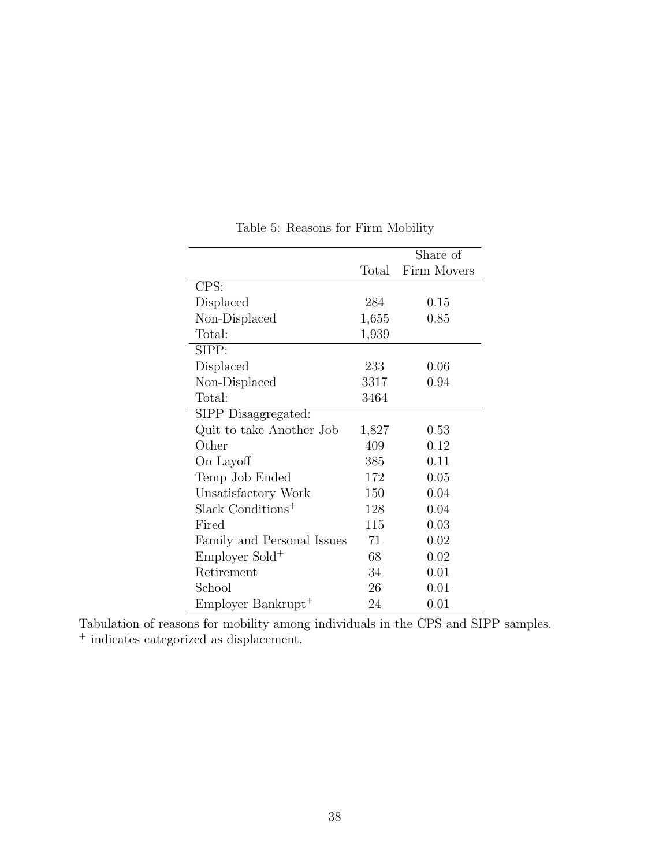<span id="page-37-0"></span>

|                               |       | Share of    |
|-------------------------------|-------|-------------|
|                               | Total | Firm Movers |
| CPS:                          |       |             |
| Displaced                     | 284   | 0.15        |
| Non-Displaced                 | 1,655 | 0.85        |
| Total:                        | 1,939 |             |
| SIPP:                         |       |             |
| Displaced                     | 233   | 0.06        |
| Non-Displaced                 | 3317  | 0.94        |
| Total:                        | 3464  |             |
| SIPP Disaggregated:           |       |             |
| Quit to take Another Job      | 1,827 | 0.53        |
| Other                         | 409   | 0.12        |
| On Layoff                     | 385   | 0.11        |
| Temp Job Ended                | 172   | 0.05        |
| Unsatisfactory Work           | 150   | 0.04        |
| Slack Conditions <sup>+</sup> | 128   | 0.04        |
| Fired                         | 115   | 0.03        |
| Family and Personal Issues    | 71    | 0.02        |
| Employer Sold <sup>+</sup>    | 68    | 0.02        |
| Retirement                    | 34    | 0.01        |
| School                        | 26    | 0.01        |
| $Employer Bankrupt+$          | 24    | 0.01        |

Table 5: Reasons for Firm Mobility

Tabulation of reasons for mobility among individuals in the CPS and SIPP samples. <sup>+</sup> indicates categorized as displacement.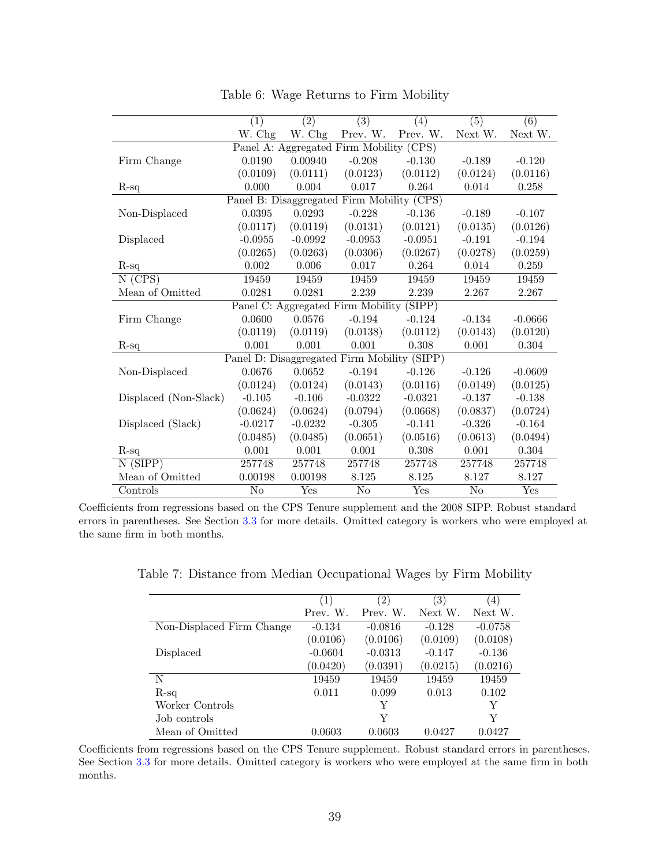<span id="page-38-0"></span>

|                                             | (1)       | $\overline{(2)}$        | $\overline{(3)}$                        | (4)                     | $\overline{(5)}$       | $\overline{(6)}$ |  |
|---------------------------------------------|-----------|-------------------------|-----------------------------------------|-------------------------|------------------------|------------------|--|
|                                             | W. Chg    | W. Chg                  | Prev. W.                                | Prev. W.                | Next W.                | Next W.          |  |
|                                             |           |                         | Panel A: Aggregated Firm Mobility (CPS) |                         |                        |                  |  |
| Firm Change                                 | 0.0190    | 0.00940                 | $-0.208$                                | $-0.130$                | $-0.189$               | $-0.120$         |  |
|                                             | (0.0109)  | (0.0111)                | (0.0123)                                | (0.0112)                | (0.0124)               | (0.0116)         |  |
| $R-sq$                                      | 0.000     | 0.004                   | 0.017                                   | 0.264                   | 0.014                  | 0.258            |  |
| Panel B: Disaggregated Firm Mobility (CPS)  |           |                         |                                         |                         |                        |                  |  |
| Non-Displaced                               | 0.0395    | 0.0293                  | $-0.228$                                | $-0.136$                | $-0.189$               | $-0.107$         |  |
|                                             | (0.0117)  | (0.0119)                | (0.0131)                                | (0.0121)                | (0.0135)               | (0.0126)         |  |
| Displaced                                   | $-0.0955$ | $-0.0992$               | $-0.0953$                               | $-0.0951$               | $-0.191$               | $-0.194$         |  |
|                                             | (0.0265)  | (0.0263)                | (0.0306)                                | (0.0267)                | (0.0278)               | (0.0259)         |  |
| $R-sq$                                      | 0.002     | 0.006                   | 0.017                                   | 0.264                   | 0.014                  | 0.259            |  |
| $\overline{N(GPS)}$                         | 19459     | 19459                   | 19459                                   | 19459                   | 19459                  | 19459            |  |
| Mean of Omitted                             | 0.0281    | 0.0281                  | 2.239                                   | 2.239                   | 2.267                  | 2.267            |  |
| Panel C: Aggregated Firm Mobility (SIPP)    |           |                         |                                         |                         |                        |                  |  |
| Firm Change                                 | 0.0600    | 0.0576                  | $-0.194$                                | $-0.124$                | $-0.134$               | $-0.0666$        |  |
|                                             | (0.0119)  | (0.0119)                | (0.0138)                                | (0.0112)                | (0.0143)               | (0.0120)         |  |
| $R-sq$                                      | 0.001     | 0.001                   | 0.001                                   | 0.308                   | 0.001                  | 0.304            |  |
| Panel D: Disaggregated Firm Mobility (SIPP) |           |                         |                                         |                         |                        |                  |  |
| Non-Displaced                               | 0.0676    | 0.0652                  | $-0.194$                                | $-0.126$                | $-0.126$               | $-0.0609$        |  |
|                                             | (0.0124)  | (0.0124)                | (0.0143)                                | (0.0116)                | (0.0149)               | (0.0125)         |  |
| Displaced (Non-Slack)                       | $-0.105$  | $-0.106$                | $-0.0322$                               | $-0.0321$               | $-0.137$               | $-0.138$         |  |
|                                             | (0.0624)  | (0.0624)                | (0.0794)                                | (0.0668)                | (0.0837)               | (0.0724)         |  |
| Displaced (Slack)                           | $-0.0217$ | $-0.0232$               | $-0.305$                                | $-0.141$                | $-0.326$               | $-0.164$         |  |
|                                             | (0.0485)  | (0.0485)                | (0.0651)                                | (0.0516)                | (0.0613)               | (0.0494)         |  |
| $R$ -sq                                     | 0.001     | 0.001                   | 0.001                                   | 0.308                   | 0.001                  | 0.304            |  |
| N(SIPP)                                     | 257748    | 257748                  | 257748                                  | 257748                  | 257748                 | 257748           |  |
| Mean of Omitted                             | 0.00198   | 0.00198                 | 8.125                                   | 8.125                   | 8.127                  | 8.127            |  |
| Controls                                    | No        | $\overline{\text{Yes}}$ | N <sub>o</sub>                          | $\overline{\text{Yes}}$ | $\overline{\text{No}}$ | Yes              |  |

Table 6: Wage Returns to Firm Mobility

<span id="page-38-1"></span>Coefficients from regressions based on the CPS Tenure supplement and the 2008 SIPP. Robust standard errors in parentheses. See Section [3.3](#page-9-1) for more details. Omitted category is workers who were employed at the same firm in both months.

Table 7: Distance from Median Occupational Wages by Firm Mobility

|                           | $\left(1\right)$ | $^{\prime}2)$ | $^{\prime}3)$ | $\left(4\right)$ |
|---------------------------|------------------|---------------|---------------|------------------|
|                           | Prev. W.         | Prev. W.      | Next W.       | Next W.          |
| Non-Displaced Firm Change | $-0.134$         | $-0.0816$     | $-0.128$      | $-0.0758$        |
|                           | (0.0106)         | (0.0106)      | (0.0109)      | (0.0108)         |
| Displaced                 | $-0.0604$        | $-0.0313$     | $-0.147$      | $-0.136$         |
|                           | (0.0420)         | (0.0391)      | (0.0215)      | (0.0216)         |
| N                         | 19459            | 19459         | 19459         | 19459            |
| $R$ -sq                   | 0.011            | 0.099         | 0.013         | 0.102            |
| Worker Controls           |                  | Y             |               | Y                |
| Job controls              |                  | Y             |               | Y                |
| Mean of Omitted           | 0.0603           | 0.0603        | 0.0427        | 0.0427           |

Coefficients from regressions based on the CPS Tenure supplement. Robust standard errors in parentheses. See Section [3.3](#page-9-1) for more details. Omitted category is workers who were employed at the same firm in both months.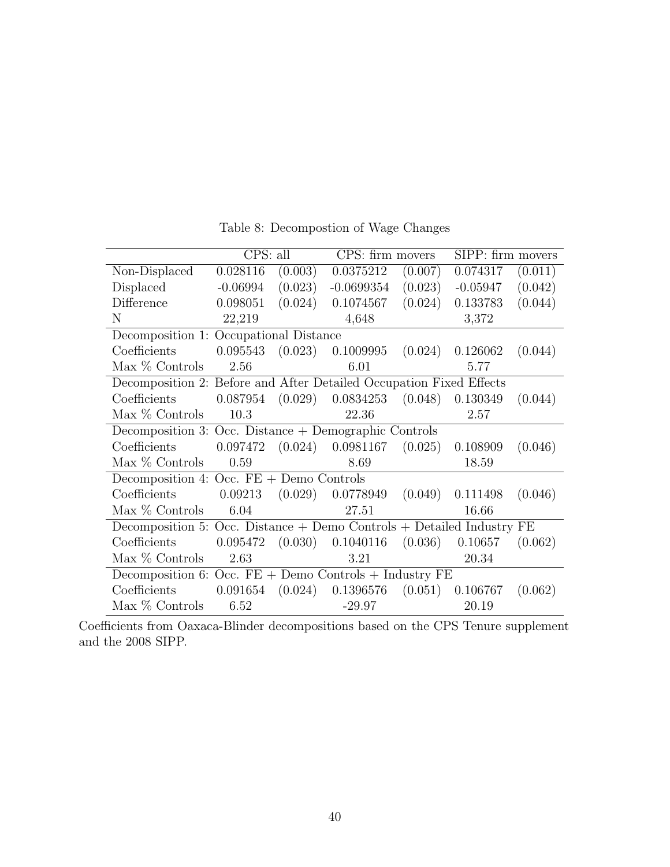<span id="page-39-0"></span>

|                                                                           | CPS: all   |         | CPS: firm movers                                      |         | SIPP: firm movers  |         |
|---------------------------------------------------------------------------|------------|---------|-------------------------------------------------------|---------|--------------------|---------|
| Non-Displaced                                                             | 0.028116   | (0.003) | 0.0375212                                             | (0.007) | 0.074317           | (0.011) |
| Displaced                                                                 | $-0.06994$ | (0.023) | $-0.0699354$                                          | (0.023) | $-0.05947$         | (0.042) |
| Difference                                                                | 0.098051   | (0.024) | 0.1074567                                             | (0.024) | 0.133783           | (0.044) |
| N                                                                         | 22,219     |         | 4,648                                                 |         | 3,372              |         |
| Decomposition 1: Occupational Distance                                    |            |         |                                                       |         |                    |         |
| Coefficients                                                              |            |         | $0.095543$ $(0.023)$ $0.1009995$                      |         | $(0.024)$ 0.126062 | (0.044) |
| Max % Controls                                                            | 2.56       |         | 6.01                                                  |         | 5.77               |         |
| Decomposition 2: Before and After Detailed Occupation Fixed Effects       |            |         |                                                       |         |                    |         |
| Coefficients                                                              |            |         | $0.087954$ $(0.029)$ $0.0834253$ $(0.048)$ $0.130349$ |         |                    | (0.044) |
| Max $%$ Controls                                                          | 10.3       |         | 22.36                                                 |         | 2.57               |         |
| Decomposition 3: Occ. Distance $+$ Demographic Controls                   |            |         |                                                       |         |                    |         |
| Coefficients                                                              | 0.097472   |         | $(0.024)$ 0.0981167                                   | (0.025) | 0.108909           | (0.046) |
| $Max \%$ Controls                                                         | 0.59       |         | 8.69                                                  |         | 18.59              |         |
| Decomposition 4: Occ. $FE +$ Demo Controls                                |            |         |                                                       |         |                    |         |
| Coefficients                                                              | 0.09213    |         | $(0.029)$ 0.0778949 $(0.049)$                         |         | 0.111498           | (0.046) |
| Max % Controls                                                            | 6.04       |         | 27.51                                                 |         | 16.66              |         |
| Decomposition 5: Occ. Distance $+$ Demo Controls $+$ Detailed Industry FE |            |         |                                                       |         |                    |         |
| Coefficients                                                              | 0.095472   |         | $(0.030)$ 0.1040116                                   | (0.036) | 0.10657            | (0.062) |
| Max % Controls                                                            | 2.63       |         | 3.21                                                  |         | 20.34              |         |
| Decomposition 6: Occ. $FE +$ Demo Controls + Industry $FE$                |            |         |                                                       |         |                    |         |
| Coefficients                                                              | 0.091654   |         | $(0.024)$ 0.1396576                                   |         | $(0.051)$ 0.106767 | (0.062) |
| $Max \%$ Controls                                                         | 6.52       |         | $-29.97$                                              |         | 20.19              |         |

Table 8: Decompostion of Wage Changes

Coefficients from Oaxaca-Blinder decompositions based on the CPS Tenure supplement and the 2008 SIPP.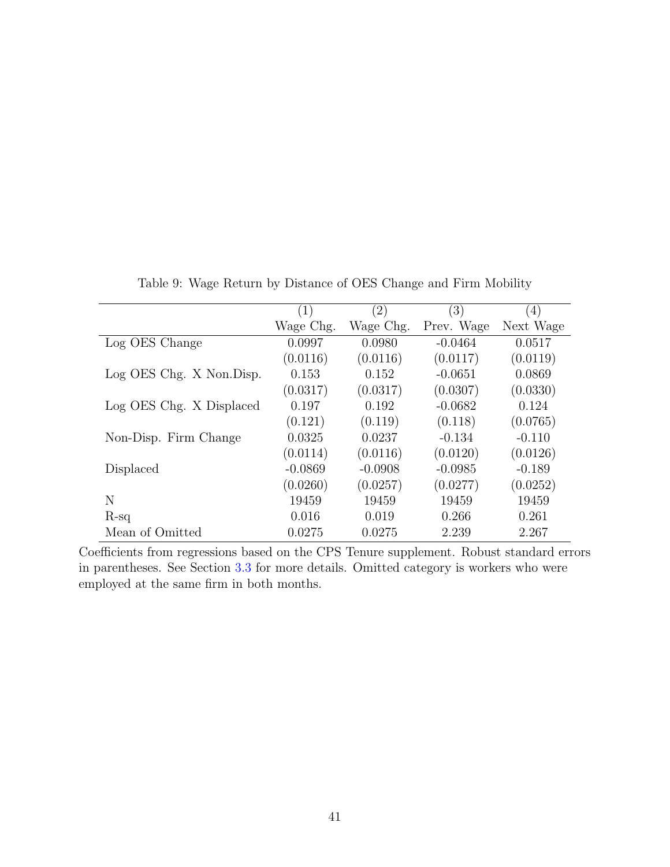<span id="page-40-0"></span>

|                          | (1)       | $\left( 2\right)$ | (3)        | (4)       |
|--------------------------|-----------|-------------------|------------|-----------|
|                          | Wage Chg. | Wage Chg.         | Prev. Wage | Next Wage |
| Log OES Change           | 0.0997    | 0.0980            | $-0.0464$  | 0.0517    |
|                          | (0.0116)  | (0.0116)          | (0.0117)   | (0.0119)  |
| Log OES Chg. X Non.Disp. | 0.153     | 0.152             | $-0.0651$  | 0.0869    |
|                          | (0.0317)  | (0.0317)          | (0.0307)   | (0.0330)  |
| Log OES Chg. X Displaced | 0.197     | 0.192             | $-0.0682$  | 0.124     |
|                          | (0.121)   | (0.119)           | (0.118)    | (0.0765)  |
| Non-Disp. Firm Change    | 0.0325    | 0.0237            | $-0.134$   | $-0.110$  |
|                          | (0.0114)  | (0.0116)          | (0.0120)   | (0.0126)  |
| Displaced                | $-0.0869$ | $-0.0908$         | $-0.0985$  | $-0.189$  |
|                          | (0.0260)  | (0.0257)          | (0.0277)   | (0.0252)  |
| N                        | 19459     | 19459             | 19459      | 19459     |
| $R-sq$                   | 0.016     | 0.019             | 0.266      | 0.261     |
| Mean of Omitted          | 0.0275    | 0.0275            | 2.239      | 2.267     |

Table 9: Wage Return by Distance of OES Change and Firm Mobility

Coefficients from regressions based on the CPS Tenure supplement. Robust standard errors in parentheses. See Section [3.3](#page-9-1) for more details. Omitted category is workers who were employed at the same firm in both months.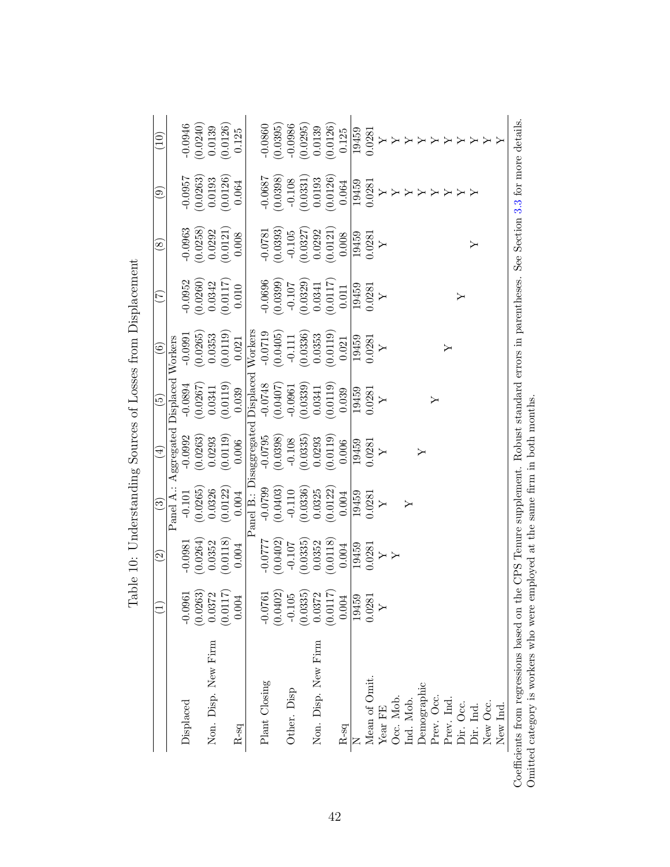<span id="page-41-0"></span>

|                     |                                                   | $\widetilde{\mathcal{S}}$ | $\widehat{\mathbb{C}}$ | $\bigoplus$             | $\widetilde{\mathbb{G}}$ | $\widehat{\mathbf{e}}$ | E                              | $\otimes$            | ತ         | $\widetilde{\Xi}$ |
|---------------------|---------------------------------------------------|---------------------------|------------------------|-------------------------|--------------------------|------------------------|--------------------------------|----------------------|-----------|-------------------|
|                     |                                                   |                           | Panel A.:              | Aggregated              | Displaced Workers        |                        |                                |                      |           |                   |
| Displaced           | $-0.0961$                                         | $-0.0981$                 | $-0.101$               | $-0.0992$               | $-0.0894$                | $-0.0991$              | $-0.0952$                      | $-0.0963$            | $-0.0957$ | $-0.0946$         |
|                     | (0.0263)                                          | (0.0264)                  | (0.0265)               | (0.0263)                | (0.0267)                 | (0.0265)               |                                | (0.0258)             | (0.0263)  | (0.0240)          |
| Non. Disp. New Firm | $\begin{array}{c} 0.0372 \\ (0.0117) \end{array}$ | 0.0352                    | 0.0326                 | 0.0293                  | 0.0341                   | 0.0353                 | $(0.0260)$<br>0.0342           | 0.0292               | 0.0193    | 0.0139            |
|                     |                                                   | (0.0118)                  | (0.0122)               | (0.0119)                | (0.0119)                 | (0.0119)               | (0.0117)                       | (0.0121)             | (0.0126)  | (0.0126)          |
| $R$ -sq             | 0.004                                             | 0.004                     | 0.004                  | 0.006                   | 0.039                    | 0.021                  | 0.010                          | 0.008                | 0.064     | 0.125             |
|                     |                                                   |                           |                        | Panel B.: Disaggregated |                          | Displaced Workers      |                                |                      |           |                   |
| Plant Closing       | $-0.0761$                                         | $-0.0777$                 | $-0.0799$              | $-0.0795$               | $-0.0748$                | $-0.0719$              | $-0.0696$                      | $-0.0781$            | $-0.0687$ | $-0.0860$         |
|                     | (0.0402)                                          | (0.0402)                  | (0.0403)               | (0.0398)                |                          | (0.0405)               | (0.0399)                       | (0.0393)             | (0.0398)  | (0.0395)          |
| Other. Disp         | 05<br>$-0.1$                                      | $-0.107$                  | $-0.110$               | $-0.108$                | $(0.0407)$<br>-0.0961    | $-0.111$               | $-0.107$                       | $-0.105$             | $-0.108$  | $-0.0986$         |
|                     | (0.0335)                                          | 0.0335                    | (0.0336)               | (0.0335)                | (0.0339)                 | (0.0336)               |                                | $(0.0327)$<br>0.0292 | (0.0331)  | (0.0295)          |
| Non. Disp. New Firm | 0.0372                                            | 0.0352                    | 0.0325                 | 0.0293                  | 0.0341                   | 0.0353                 | $\left(0.0329\right)$ $0.0341$ |                      | 0.0193    | 0.0139            |
|                     | (0.0117)                                          | (0.0118)                  | (0.0122)               | (0.0119)                | (0.0119)                 | (0.0119)               | (0.0117)                       | (0.0121)             | (0.0126)  | (0.0126)          |
| $R$ -sq             | 0.004                                             | 0.004                     | 0.004                  | 0.006                   | 0.039                    | 0.021                  | 0.011                          | 0.008                | 0.064     | 0.125             |
|                     | 19459                                             | 19459                     | 19459                  | 19459                   | 19459                    | 19459                  | 19459                          | 19459                | 19459     | 19459             |
| Mean of Omit.       | 0.0281                                            | 0.0281                    | 0.0281                 | 0.0281                  | 0.0281                   | 0.0281                 | 0.0281                         | 0.0281               | 0.0281    | 0.0281            |
| Year FE             |                                                   |                           | Υ                      | $\blacktriangleright$   | Υ                        | $\triangleright$       | $\rightarrow$                  | Υ                    | ≻         |                   |
| Occ. Mob.           |                                                   |                           |                        |                         |                          |                        |                                |                      |           |                   |
| Ind. Mob.           |                                                   |                           |                        |                         |                          |                        |                                |                      |           |                   |
| Demographic         |                                                   |                           |                        | ≻                       |                          |                        |                                |                      |           |                   |
| Prev. Occ.          |                                                   |                           |                        |                         | ≻                        |                        |                                |                      |           |                   |
| Prev. Ind.          |                                                   |                           |                        |                         |                          | ≻                      |                                |                      |           |                   |
| Dir. Occ.           |                                                   |                           |                        |                         |                          |                        | $\succ$                        |                      |           |                   |
| Dir. Ind.           |                                                   |                           |                        |                         |                          |                        |                                | ≻                    |           |                   |
| New Occ.            |                                                   |                           |                        |                         |                          |                        |                                |                      |           |                   |
| New Ind.            |                                                   |                           |                        |                         |                          |                        |                                |                      |           |                   |

| ׇ֘֝֬֕<br>くくりょう<br>ׇ֚֘֝֕<br>ł                                                                                                      |
|-----------------------------------------------------------------------------------------------------------------------------------|
| <br> <br> <br>$\sim$<br>¢                                                                                                         |
| ひろひと サウ ひろりききく<br>į<br>ł                                                                                                          |
| $\mathbf{i}$                                                                                                                      |
| ĺ<br>ł                                                                                                                            |
| ֧ׅ֧֧֧֧֦֧֧֧֦֧֦֧֧֦֧֧֛֪ׅ֧֛֪֧֦֧֧֧֦֧֦֧֛֪֪ׅ֧֛֛֪֛֛֛֛֪֛֪ׅ֛֧֧֚֚֚֚֚֚֚֚֚֚֚֚֬֕֕֓֕֕֓֡֕֓֡֬֕֓֡֬֓֓֝֬֝֬֓֓֓֓֓֓֬֓֓֬֬<br>)<br>ׇ֚֘<br>I<br>j<br>ו<br>ו |
| ļ<br>l<br>;<br>;                                                                                                                  |
|                                                                                                                                   |
| ۱<br>l<br>I                                                                                                                       |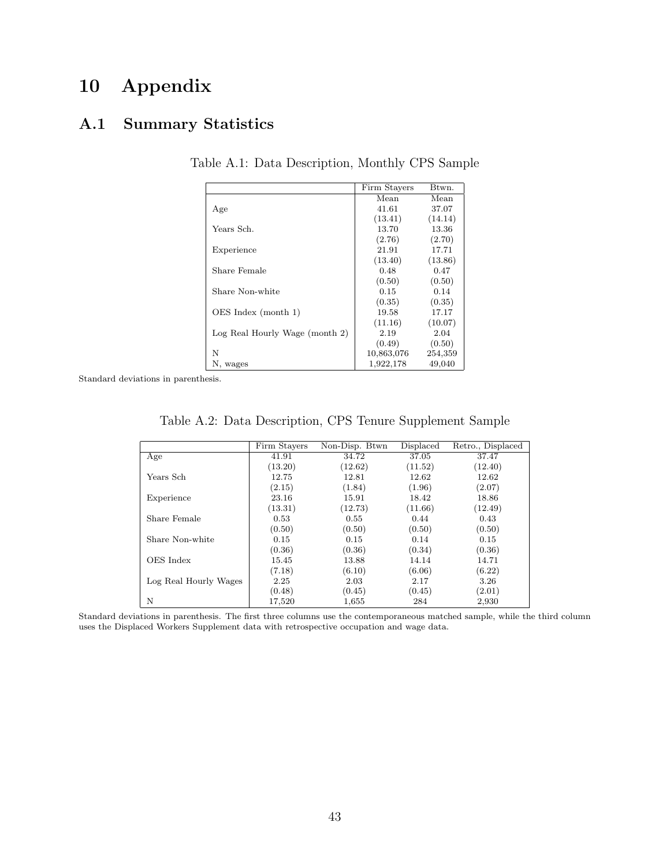## 10 Appendix

## A.1 Summary Statistics

|                                | Firm Stavers | Btwn.   |
|--------------------------------|--------------|---------|
|                                | Mean         | Mean    |
| Age                            | 41.61        | 37.07   |
|                                | (13.41)      | (14.14) |
| Years Sch.                     | 13.70        | 13.36   |
|                                | (2.76)       | (2.70)  |
| Experience                     | 21.91        | 17.71   |
|                                | (13.40)      | (13.86) |
| Share Female                   | 0.48         | 0.47    |
|                                | (0.50)       | (0.50)  |
| Share Non-white                | 0.15         | 0.14    |
|                                | (0.35)       | (0.35)  |
| OES Index (month 1)            | 19.58        | 17.17   |
|                                | (11.16)      | (10.07) |
| Log Real Hourly Wage (month 2) | 2.19         | 2.04    |
|                                | (0.49)       | (0.50)  |
| N                              | 10,863,076   | 254,359 |
| N, wages                       | 1,922,178    | 49,040  |

Table A.1: Data Description, Monthly CPS Sample

<span id="page-42-0"></span>Standard deviations in parenthesis.

| Table A.2: Data Description, CPS Tenure Supplement Sample |  |  |
|-----------------------------------------------------------|--|--|
|                                                           |  |  |

|                       | Firm Stayers | Non-Disp. Btwn | Displaced | Retro., Displaced |
|-----------------------|--------------|----------------|-----------|-------------------|
| Age                   | 41.91        | 34.72          | 37.05     | 37.47             |
|                       | (13.20)      | (12.62)        | (11.52)   | (12.40)           |
| Years Sch-            | 12.75        | 12.81          | 12.62     | 12.62             |
|                       | (2.15)       | (1.84)         | (1.96)    | (2.07)            |
| Experience            | 23.16        | 15.91          | 18.42     | 18.86             |
|                       | (13.31)      | (12.73)        | (11.66)   | (12.49)           |
| Share Female          | 0.53         | 0.55           | 0.44      | 0.43              |
|                       | (0.50)       | (0.50)         | (0.50)    | (0.50)            |
| Share Non-white       | 0.15         | 0.15           | 0.14      | 0.15              |
|                       | (0.36)       | (0.36)         | (0.34)    | (0.36)            |
| OES Index             | 15.45        | 13.88          | 14.14     | 14.71             |
|                       | (7.18)       | (6.10)         | (6.06)    | (6.22)            |
| Log Real Hourly Wages | 2.25         | 2.03           | 2.17      | 3.26              |
|                       | (0.48)       | (0.45)         | (0.45)    | (2.01)            |
| N                     | 17,520       | 1,655          | 284       | 2,930             |

Standard deviations in parenthesis. The first three columns use the contemporaneous matched sample, while the third column uses the Displaced Workers Supplement data with retrospective occupation and wage data.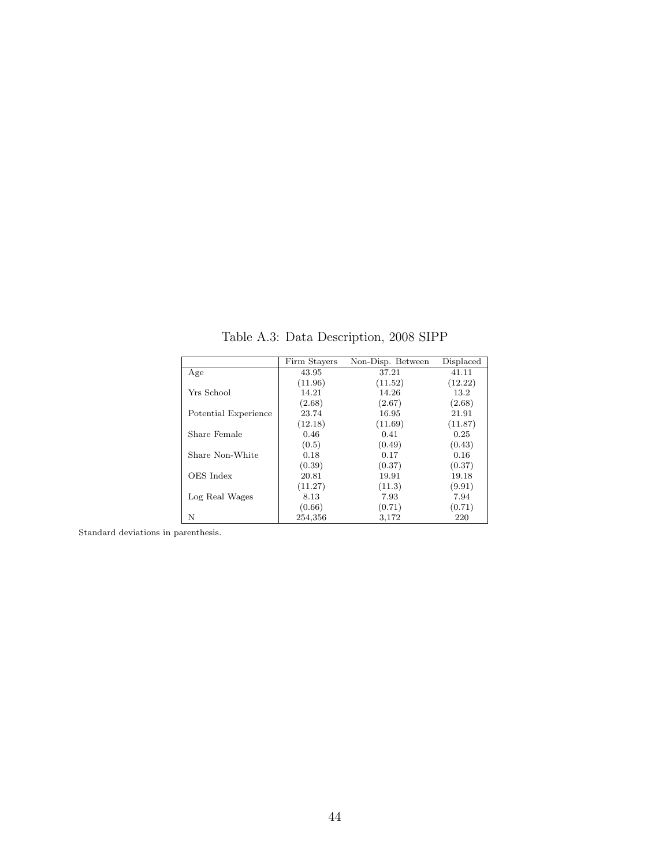<span id="page-43-0"></span>

|                      | Firm Stayers | Non-Disp. Between | Displaced |
|----------------------|--------------|-------------------|-----------|
| Age                  | 43.95        | 37.21             | 41.11     |
|                      | (11.96)      | (11.52)           | (12.22)   |
| Yrs School           | 14.21        | 14.26             | 13.2      |
|                      | (2.68)       | (2.67)            | (2.68)    |
| Potential Experience | 23.74        | 16.95             | 21.91     |
|                      | (12.18)      | (11.69)           | (11.87)   |
| Share Female         | 0.46         | 0.41              | 0.25      |
|                      | (0.5)        | (0.49)            | (0.43)    |
| Share Non-White      | 0.18         | 0.17              | 0.16      |
|                      | (0.39)       | (0.37)            | (0.37)    |
| OES Index            | 20.81        | 19.91             | 19.18     |
|                      | (11.27)      | (11.3)            | (9.91)    |
| Log Real Wages       | 8.13         | 7.93              | 7.94      |
|                      | (0.66)       | (0.71)            | (0.71)    |
| N                    | 254,356      | 3,172             | 220       |

Table A.3: Data Description, 2008 SIPP

Standard deviations in parenthesis.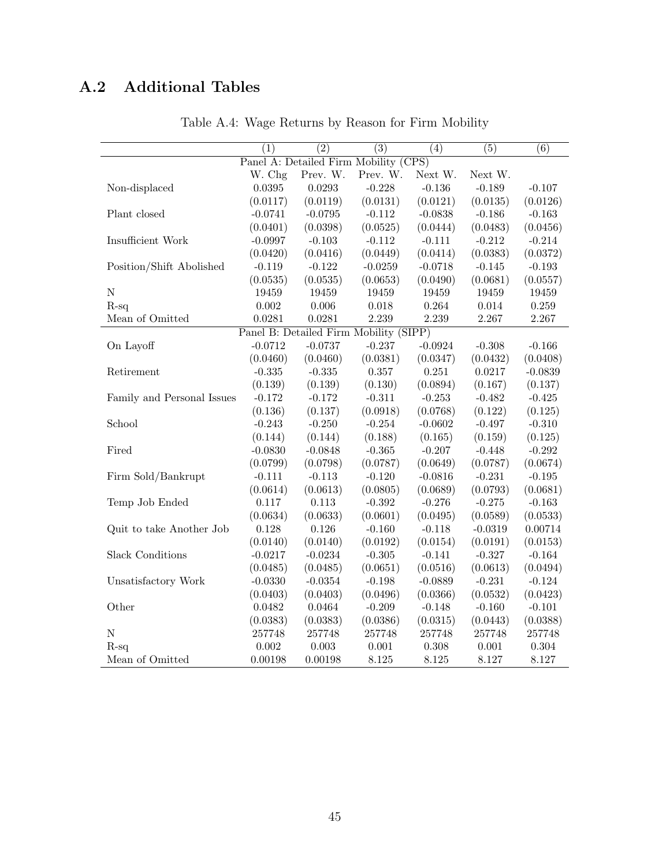# <span id="page-44-0"></span>A.2 Additional Tables

|                                       | $\overline{(1)}$ | $\overline{(2)}$                       | $\overline{(3)}$ | (4)       | (5)       | $\overline{(6)}$ |  |
|---------------------------------------|------------------|----------------------------------------|------------------|-----------|-----------|------------------|--|
| Panel A: Detailed Firm Mobility (CPS) |                  |                                        |                  |           |           |                  |  |
|                                       | W. Chg           | Prev. W.                               | Prev. W.         | Next W.   | Next W.   |                  |  |
| Non-displaced                         | 0.0395           | 0.0293                                 | $-0.228$         | $-0.136$  | $-0.189$  | $-0.107$         |  |
|                                       | (0.0117)         | (0.0119)                               | (0.0131)         | (0.0121)  | (0.0135)  | (0.0126)         |  |
| Plant closed                          | $-0.0741$        | $-0.0795$                              | $-0.112$         | $-0.0838$ | $-0.186$  | $-0.163$         |  |
|                                       | (0.0401)         | (0.0398)                               | (0.0525)         | (0.0444)  | (0.0483)  | (0.0456)         |  |
| Insufficient Work                     | $-0.0997$        | $-0.103$                               | $-0.112$         | $-0.111$  | $-0.212$  | $-0.214$         |  |
|                                       | (0.0420)         | (0.0416)                               | (0.0449)         | (0.0414)  | (0.0383)  | (0.0372)         |  |
| Position/Shift Abolished              | $-0.119$         | $-0.122$                               | $-0.0259$        | $-0.0718$ | $-0.145$  | $-0.193$         |  |
|                                       | (0.0535)         | (0.0535)                               | (0.0653)         | (0.0490)  | (0.0681)  | (0.0557)         |  |
| ${\bf N}$                             | 19459            | 19459                                  | 19459            | 19459     | 19459     | 19459            |  |
| $R-sq$                                | $0.002\,$        | 0.006                                  | 0.018            | 0.264     | 0.014     | 0.259            |  |
| Mean of Omitted                       | 0.0281           | 0.0281                                 | 2.239            | 2.239     | 2.267     | 2.267            |  |
|                                       |                  | Panel B: Detailed Firm Mobility (SIPP) |                  |           |           |                  |  |
| On Layoff                             | $-0.0712$        | $-0.0737$                              | $-0.237$         | $-0.0924$ | $-0.308$  | $-0.166$         |  |
|                                       | (0.0460)         | (0.0460)                               | (0.0381)         | (0.0347)  | (0.0432)  | (0.0408)         |  |
| Retirement                            | $-0.335$         | $-0.335$                               | 0.357            | 0.251     | 0.0217    | $-0.0839$        |  |
|                                       | (0.139)          | (0.139)                                | (0.130)          | (0.0894)  | (0.167)   | (0.137)          |  |
| Family and Personal Issues            | $-0.172$         | $-0.172$                               | $-0.311$         | $-0.253$  | $-0.482$  | $-0.425$         |  |
|                                       | (0.136)          | (0.137)                                | (0.0918)         | (0.0768)  | (0.122)   | (0.125)          |  |
| School                                | $-0.243$         | $-0.250$                               | $-0.254$         | $-0.0602$ | $-0.497$  | $-0.310$         |  |
|                                       | (0.144)          | (0.144)                                | (0.188)          | (0.165)   | (0.159)   | (0.125)          |  |
| Fired                                 | $-0.0830$        | $-0.0848$                              | $-0.365$         | $-0.207$  | $-0.448$  | $-0.292$         |  |
|                                       | (0.0799)         | (0.0798)                               | (0.0787)         | (0.0649)  | (0.0787)  | (0.0674)         |  |
| Firm Sold/Bankrupt                    | $-0.111$         | $-0.113$                               | $-0.120$         | $-0.0816$ | $-0.231$  | $-0.195$         |  |
|                                       | (0.0614)         | (0.0613)                               | (0.0805)         | (0.0689)  | (0.0793)  | (0.0681)         |  |
| Temp Job Ended                        | 0.117            | 0.113                                  | $-0.392$         | $-0.276$  | $-0.275$  | $-0.163$         |  |
|                                       | (0.0634)         | (0.0633)                               | (0.0601)         | (0.0495)  | (0.0589)  | (0.0533)         |  |
| Quit to take Another Job              | 0.128            | 0.126                                  | $-0.160$         | $-0.118$  | $-0.0319$ | 0.00714          |  |
|                                       | (0.0140)         | (0.0140)                               | (0.0192)         | (0.0154)  | (0.0191)  | (0.0153)         |  |
| <b>Slack Conditions</b>               | $-0.0217$        | $-0.0234$                              | $-0.305$         | $-0.141$  | $-0.327$  | $-0.164$         |  |
|                                       | (0.0485)         | (0.0485)                               | (0.0651)         | (0.0516)  | (0.0613)  | (0.0494)         |  |
| Unsatisfactory Work                   | $-0.0330$        | $-0.0354$                              | $-0.198$         | $-0.0889$ | $-0.231$  | $-0.124$         |  |
|                                       | (0.0403)         | (0.0403)                               | (0.0496)         | (0.0366)  | (0.0532)  | (0.0423)         |  |
| Other                                 | 0.0482           | 0.0464                                 | $-0.209$         | $-0.148$  | $-0.160$  | $-0.101$         |  |
|                                       | (0.0383)         | (0.0383)                               | (0.0386)         | (0.0315)  | (0.0443)  | (0.0388)         |  |
| ${\rm N}$                             | 257748           | 257748                                 | 257748           | 257748    | 257748    | 257748           |  |
| $R-sq$                                | 0.002            | 0.003                                  | 0.001            | 0.308     | 0.001     | 0.304            |  |
| Mean of Omitted                       | 0.00198          | 0.00198                                | 8.125            | 8.125     | 8.127     | 8.127            |  |

Table A.4: Wage Returns by Reason for Firm Mobility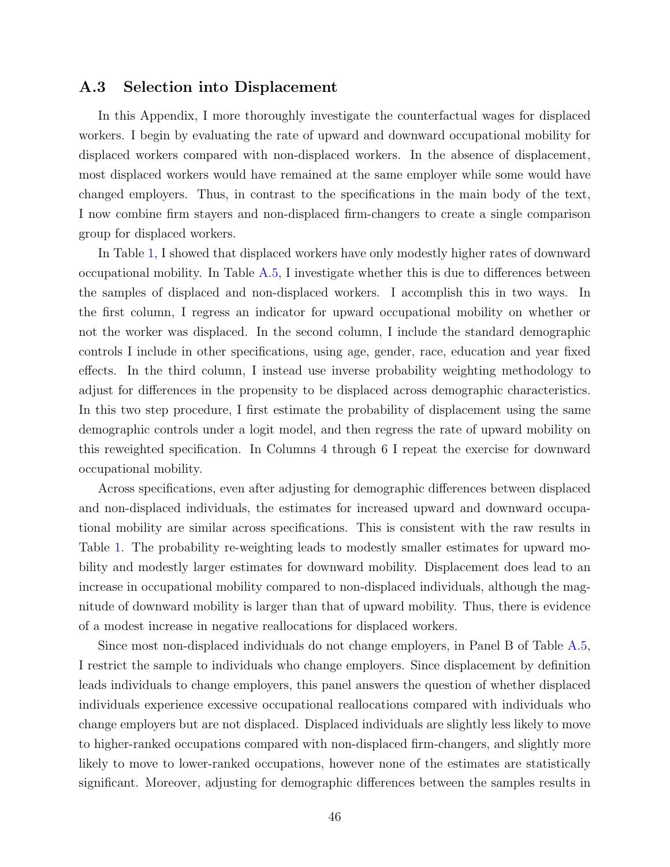#### A.3 Selection into Displacement

In this Appendix, I more thoroughly investigate the counterfactual wages for displaced workers. I begin by evaluating the rate of upward and downward occupational mobility for displaced workers compared with non-displaced workers. In the absence of displacement, most displaced workers would have remained at the same employer while some would have changed employers. Thus, in contrast to the specifications in the main body of the text, I now combine firm stayers and non-displaced firm-changers to create a single comparison group for displaced workers.

In Table [1,](#page-33-0) I showed that displaced workers have only modestly higher rates of downward occupational mobility. In Table [A.5,](#page-46-0) I investigate whether this is due to differences between the samples of displaced and non-displaced workers. I accomplish this in two ways. In the first column, I regress an indicator for upward occupational mobility on whether or not the worker was displaced. In the second column, I include the standard demographic controls I include in other specifications, using age, gender, race, education and year fixed effects. In the third column, I instead use inverse probability weighting methodology to adjust for differences in the propensity to be displaced across demographic characteristics. In this two step procedure, I first estimate the probability of displacement using the same demographic controls under a logit model, and then regress the rate of upward mobility on this reweighted specification. In Columns 4 through 6 I repeat the exercise for downward occupational mobility.

Across specifications, even after adjusting for demographic differences between displaced and non-displaced individuals, the estimates for increased upward and downward occupational mobility are similar across specifications. This is consistent with the raw results in Table [1.](#page-33-0) The probability re-weighting leads to modestly smaller estimates for upward mobility and modestly larger estimates for downward mobility. Displacement does lead to an increase in occupational mobility compared to non-displaced individuals, although the magnitude of downward mobility is larger than that of upward mobility. Thus, there is evidence of a modest increase in negative reallocations for displaced workers.

Since most non-displaced individuals do not change employers, in Panel B of Table [A.5,](#page-46-0) I restrict the sample to individuals who change employers. Since displacement by definition leads individuals to change employers, this panel answers the question of whether displaced individuals experience excessive occupational reallocations compared with individuals who change employers but are not displaced. Displaced individuals are slightly less likely to move to higher-ranked occupations compared with non-displaced firm-changers, and slightly more likely to move to lower-ranked occupations, however none of the estimates are statistically significant. Moreover, adjusting for demographic differences between the samples results in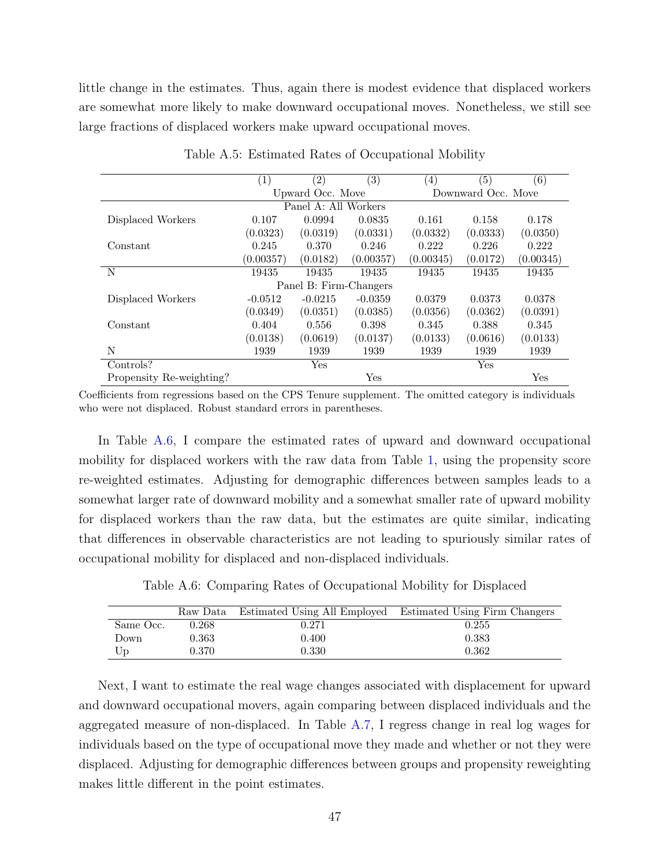little change in the estimates. Thus, again there is modest evidence that displaced workers are somewhat more likely to make downward occupational moves. Nonetheless, we still see large fractions of displaced workers make upward occupational moves.

<span id="page-46-0"></span>

|                          | (1)       | $\left( 2\right)$      | (3)       | (4)       | (5)                | (6)       |  |
|--------------------------|-----------|------------------------|-----------|-----------|--------------------|-----------|--|
|                          |           | Upward Occ. Move       |           |           | Downward Occ. Move |           |  |
|                          |           | Panel A: All Workers   |           |           |                    |           |  |
| Displaced Workers        | 0.107     | 0.0994                 | 0.0835    | 0.161     | 0.158              | 0.178     |  |
|                          | (0.0323)  | (0.0319)               | (0.0331)  | (0.0332)  | (0.0333)           | (0.0350)  |  |
| Constant                 | 0.245     | 0.370                  | 0.246     | 0.222     | 0.226              | 0.222     |  |
|                          | (0.00357) | (0.0182)               | (0.00357) | (0.00345) | (0.0172)           | (0.00345) |  |
| N                        | 19435     | 19435                  | 19435     | 19435     | 19435              | 19435     |  |
|                          |           | Panel B: Firm-Changers |           |           |                    |           |  |
| Displaced Workers        | $-0.0512$ | $-0.0215$              | $-0.0359$ | 0.0379    | 0.0373             | 0.0378    |  |
|                          | (0.0349)  | (0.0351)               | (0.0385)  | (0.0356)  | (0.0362)           | (0.0391)  |  |
| Constant                 | 0.404     | 0.556                  | 0.398     | 0.345     | 0.388              | 0.345     |  |
|                          | (0.0138)  | (0.0619)               | (0.0137)  | (0.0133)  | (0.0616)           | (0.0133)  |  |
| N                        | 1939      | 1939                   | 1939      | 1939      | 1939               | 1939      |  |
| Controls?                |           | Yes                    |           |           | Yes                |           |  |
| Propensity Re-weighting? |           |                        | Yes       |           |                    | Yes       |  |

Table A.5: Estimated Rates of Occupational Mobility

Coefficients from regressions based on the CPS Tenure supplement. The omitted category is individuals who were not displaced. Robust standard errors in parentheses.

In Table [A.6,](#page-46-1) I compare the estimated rates of upward and downward occupational mobility for displaced workers with the raw data from Table [1,](#page-33-0) using the propensity score re-weighted estimates. Adjusting for demographic differences between samples leads to a somewhat larger rate of downward mobility and a somewhat smaller rate of upward mobility for displaced workers than the raw data, but the estimates are quite similar, indicating that differences in observable characteristics are not leading to spuriously similar rates of occupational mobility for displaced and non-displaced individuals.

Table A.6: Comparing Rates of Occupational Mobility for Displaced

<span id="page-46-1"></span>

|           |             |       | Raw Data Estimated Using All Employed Estimated Using Firm Changers |
|-----------|-------------|-------|---------------------------------------------------------------------|
| Same Occ. | 0.268       | 0.271 | 0.255                                                               |
| Down      | $\rm 0.363$ | 0.400 | 0.383                                                               |
| Up        | 0.370       | 0.330 | 0.362                                                               |

Next, I want to estimate the real wage changes associated with displacement for upward and downward occupational movers, again comparing between displaced individuals and the aggregated measure of non-displaced. In Table [A.7,](#page-47-0) I regress change in real log wages for individuals based on the type of occupational move they made and whether or not they were displaced. Adjusting for demographic differences between groups and propensity reweighting makes little different in the point estimates.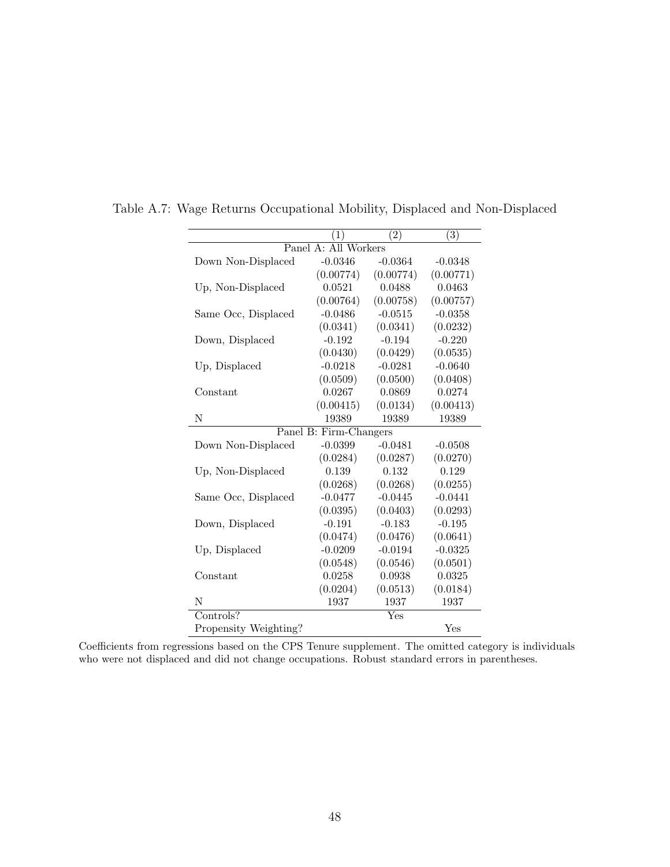|                       | (1)                    | $\overline{(2)}$ | (3)       |
|-----------------------|------------------------|------------------|-----------|
|                       | Panel A: All Workers   |                  |           |
| Down Non-Displaced    | $-0.0346$              | $-0.0364$        | $-0.0348$ |
|                       | (0.00774)              | (0.00774)        | (0.00771) |
| Up, Non-Displaced     | 0.0521                 | 0.0488           | 0.0463    |
|                       | (0.00764)              | (0.00758)        | (0.00757) |
| Same Occ, Displaced   | $-0.0486$              | $-0.0515$        | $-0.0358$ |
|                       | (0.0341)               | (0.0341)         | (0.0232)  |
| Down, Displaced       | $-0.192$               | $-0.194$         | $-0.220$  |
|                       | (0.0430)               | (0.0429)         | (0.0535)  |
| Up, Displaced         | $-0.0218$              | $-0.0281$        | $-0.0640$ |
|                       | (0.0509)               | (0.0500)         | (0.0408)  |
| Constant              | 0.0267                 | 0.0869           | 0.0274    |
|                       | (0.00415)              | (0.0134)         | (0.00413) |
| N                     | 19389                  | 19389            | 19389     |
|                       | Panel B: Firm-Changers |                  |           |
| Down Non-Displaced    | $-0.0399$              | $-0.0481$        | $-0.0508$ |
|                       | (0.0284)               | (0.0287)         | (0.0270)  |
| Up, Non-Displaced     | 0.139                  | 0.132            | 0.129     |
|                       | (0.0268)               | (0.0268)         | (0.0255)  |
| Same Occ, Displaced   | $-0.0477$              | $-0.0445$        | $-0.0441$ |
|                       | (0.0395)               | (0.0403)         | (0.0293)  |
| Down, Displaced       | $-0.191$               | $-0.183$         | $-0.195$  |
|                       | (0.0474)               | (0.0476)         | (0.0641)  |
| Up, Displaced         | $-0.0209$              | $-0.0194$        | $-0.0325$ |
|                       | (0.0548)               | (0.0546)         | (0.0501)  |
| Constant              | 0.0258                 | 0.0938           | 0.0325    |
|                       | (0.0204)               | (0.0513)         | (0.0184)  |
| N                     | 1937                   | 1937             | 1937      |
| Controls?             |                        | Yes              |           |
| Propensity Weighting? |                        |                  | Yes       |

<span id="page-47-0"></span>Table A.7: Wage Returns Occupational Mobility, Displaced and Non-Displaced

Coefficients from regressions based on the CPS Tenure supplement. The omitted category is individuals who were not displaced and did not change occupations. Robust standard errors in parentheses.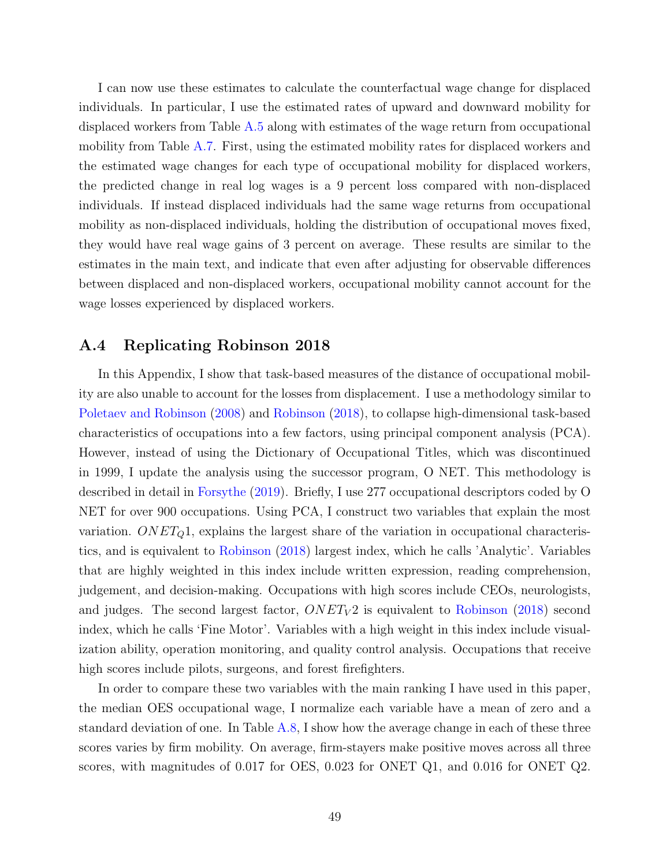I can now use these estimates to calculate the counterfactual wage change for displaced individuals. In particular, I use the estimated rates of upward and downward mobility for displaced workers from Table [A.5](#page-46-0) along with estimates of the wage return from occupational mobility from Table [A.7.](#page-47-0) First, using the estimated mobility rates for displaced workers and the estimated wage changes for each type of occupational mobility for displaced workers, the predicted change in real log wages is a 9 percent loss compared with non-displaced individuals. If instead displaced individuals had the same wage returns from occupational mobility as non-displaced individuals, holding the distribution of occupational moves fixed, they would have real wage gains of 3 percent on average. These results are similar to the estimates in the main text, and indicate that even after adjusting for observable differences between displaced and non-displaced workers, occupational mobility cannot account for the wage losses experienced by displaced workers.

#### A.4 Replicating Robinson 2018

In this Appendix, I show that task-based measures of the distance of occupational mobility are also unable to account for the losses from displacement. I use a methodology similar to [Poletaev and Robinson](#page-29-5) [\(2008\)](#page-29-5) and [Robinson](#page-29-1) [\(2018\)](#page-29-1), to collapse high-dimensional task-based characteristics of occupations into a few factors, using principal component analysis (PCA). However, instead of using the Dictionary of Occupational Titles, which was discontinued in 1999, I update the analysis using the successor program, O NET. This methodology is described in detail in [Forsythe](#page-28-18) [\(2019\)](#page-28-18). Briefly, I use 277 occupational descriptors coded by O NET for over 900 occupations. Using PCA, I construct two variables that explain the most variation.  $ONET<sub>Q</sub>1$ , explains the largest share of the variation in occupational characteristics, and is equivalent to [Robinson](#page-29-1) [\(2018\)](#page-29-1) largest index, which he calls 'Analytic'. Variables that are highly weighted in this index include written expression, reading comprehension, judgement, and decision-making. Occupations with high scores include CEOs, neurologists, and judges. The second largest factor,  $ONET<sub>V</sub>2$  is equivalent to [Robinson](#page-29-1) [\(2018\)](#page-29-1) second index, which he calls 'Fine Motor'. Variables with a high weight in this index include visualization ability, operation monitoring, and quality control analysis. Occupations that receive high scores include pilots, surgeons, and forest firefighters.

In order to compare these two variables with the main ranking I have used in this paper, the median OES occupational wage, I normalize each variable have a mean of zero and a standard deviation of one. In Table [A.8,](#page-49-0) I show how the average change in each of these three scores varies by firm mobility. On average, firm-stayers make positive moves across all three scores, with magnitudes of 0.017 for OES, 0.023 for ONET Q1, and 0.016 for ONET Q2.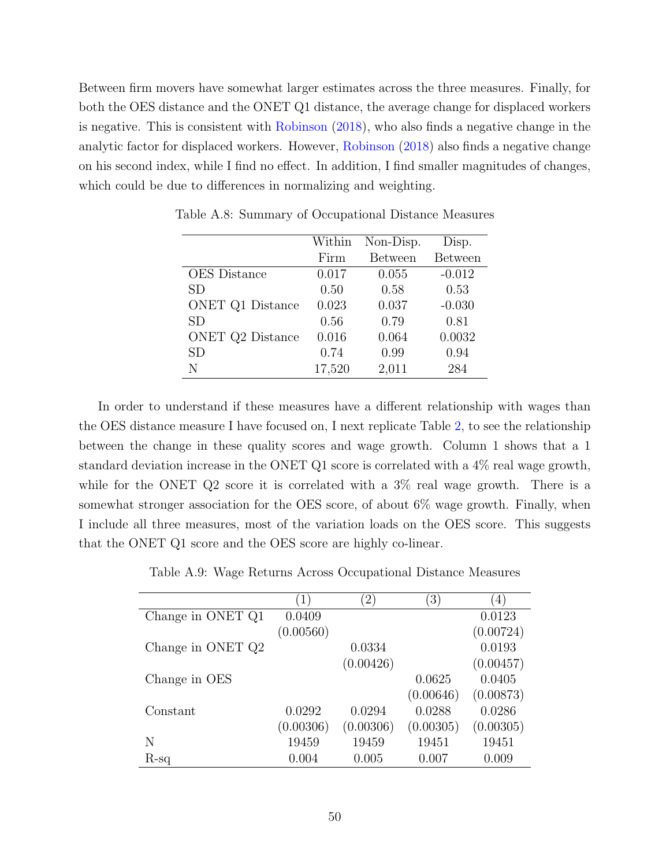Between firm movers have somewhat larger estimates across the three measures. Finally, for both the OES distance and the ONET Q1 distance, the average change for displaced workers is negative. This is consistent with [Robinson](#page-29-1) [\(2018\)](#page-29-1), who also finds a negative change in the analytic factor for displaced workers. However, [Robinson](#page-29-1) [\(2018\)](#page-29-1) also finds a negative change on his second index, while I find no effect. In addition, I find smaller magnitudes of changes, which could be due to differences in normalizing and weighting.

|                         | Within | Non-Disp.      | Disp.          |
|-------------------------|--------|----------------|----------------|
|                         | Firm   | <b>Between</b> | <b>Between</b> |
| <b>OES</b> Distance     | 0.017  | 0.055          | $-0.012$       |
| <b>SD</b>               | 0.50   | 0.58           | 0.53           |
| <b>ONET Q1 Distance</b> | 0.023  | 0.037          | $-0.030$       |
| <b>SD</b>               | 0.56   | 0.79           | 0.81           |
| ONET Q2 Distance        | 0.016  | 0.064          | 0.0032         |
| <b>SD</b>               | 0.74   | 0.99           | 0.94           |
| N                       | 17,520 | 2,011          | 284            |

<span id="page-49-0"></span>Table A.8: Summary of Occupational Distance Measures

In order to understand if these measures have a different relationship with wages than the OES distance measure I have focused on, I next replicate Table [2,](#page-34-0) to see the relationship between the change in these quality scores and wage growth. Column 1 shows that a 1 standard deviation increase in the ONET Q1 score is correlated with a 4% real wage growth, while for the ONET Q2 score it is correlated with a  $3\%$  real wage growth. There is a somewhat stronger association for the OES score, of about 6% wage growth. Finally, when I include all three measures, most of the variation loads on the OES score. This suggests that the ONET Q1 score and the OES score are highly co-linear.

Table A.9: Wage Returns Across Occupational Distance Measures

|                   | 1)        | $\left(2\right)$ | $\left(3\right)$ | 4)        |
|-------------------|-----------|------------------|------------------|-----------|
| Change in ONET Q1 | 0.0409    |                  |                  | 0.0123    |
|                   | (0.00560) |                  |                  | (0.00724) |
| Change in ONET Q2 |           | 0.0334           |                  | 0.0193    |
|                   |           | (0.00426)        |                  | (0.00457) |
| Change in OES     |           |                  | 0.0625           | 0.0405    |
|                   |           |                  | (0.00646)        | (0.00873) |
| Constant          | 0.0292    | 0.0294           | 0.0288           | 0.0286    |
|                   | (0.00306) | (0.00306)        | (0.00305)        | (0.00305) |
| N                 | 19459     | 19459            | 19451            | 19451     |
| R-sq              | 0.004     | 0.005            | 0.007            | 0.009     |